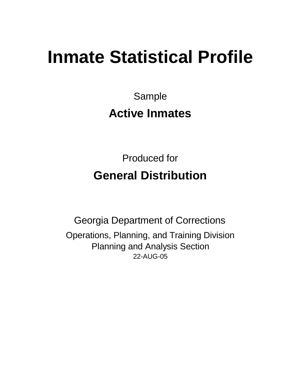# **Inmate Statistical Profile**

Sample **Active Inmates**

Produced for **General Distribution**

22-AUG-05 Georgia Department of Corrections Operations, Planning, and Training Division Planning and Analysis Section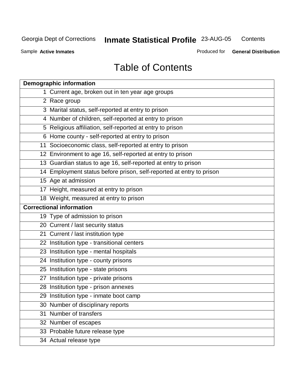**Contents** 

Sample **Active Inmates**

Produced for **General Distribution**

# Table of Contents

|    | <b>Demographic information</b>                                       |
|----|----------------------------------------------------------------------|
|    | 1 Current age, broken out in ten year age groups                     |
|    | 2 Race group                                                         |
|    | 3 Marital status, self-reported at entry to prison                   |
|    | 4 Number of children, self-reported at entry to prison               |
|    | 5 Religious affiliation, self-reported at entry to prison            |
|    | 6 Home county - self-reported at entry to prison                     |
|    | 11 Socioeconomic class, self-reported at entry to prison             |
|    | 12 Environment to age 16, self-reported at entry to prison           |
|    | 13 Guardian status to age 16, self-reported at entry to prison       |
|    | 14 Employment status before prison, self-reported at entry to prison |
|    | 15 Age at admission                                                  |
|    | 17 Height, measured at entry to prison                               |
|    | 18 Weight, measured at entry to prison                               |
|    | <b>Correctional information</b>                                      |
|    | 19 Type of admission to prison                                       |
|    | 20 Current / last security status                                    |
|    | 21 Current / last institution type                                   |
|    | 22 Institution type - transitional centers                           |
|    | 23 Institution type - mental hospitals                               |
|    | 24 Institution type - county prisons                                 |
|    | 25 Institution type - state prisons                                  |
|    | 27 Institution type - private prisons                                |
|    | 28 Institution type - prison annexes                                 |
|    | 29 Institution type - inmate boot camp                               |
|    | 30 Number of disciplinary reports                                    |
| 31 | Number of transfers                                                  |
|    | 32 Number of escapes                                                 |
|    | 33 Probable future release type                                      |
|    | 34 Actual release type                                               |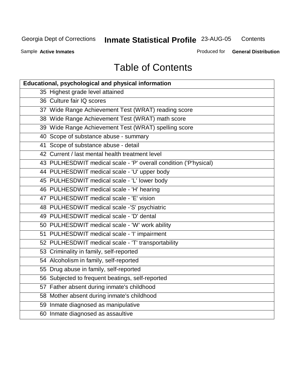**Contents** 

Sample **Active Inmates**

Produced for **General Distribution**

# Table of Contents

| <b>Educational, psychological and physical information</b>       |
|------------------------------------------------------------------|
| 35 Highest grade level attained                                  |
| 36 Culture fair IQ scores                                        |
| 37 Wide Range Achievement Test (WRAT) reading score              |
| 38 Wide Range Achievement Test (WRAT) math score                 |
| 39 Wide Range Achievement Test (WRAT) spelling score             |
| 40 Scope of substance abuse - summary                            |
| 41 Scope of substance abuse - detail                             |
| 42 Current / last mental health treatment level                  |
| 43 PULHESDWIT medical scale - 'P' overall condition ('P'hysical) |
| 44 PULHESDWIT medical scale - 'U' upper body                     |
| 45 PULHESDWIT medical scale - 'L' lower body                     |
| 46 PULHESDWIT medical scale - 'H' hearing                        |
| 47 PULHESDWIT medical scale - 'E' vision                         |
| 48 PULHESDWIT medical scale -'S' psychiatric                     |
| 49 PULHESDWIT medical scale - 'D' dental                         |
| 50 PULHESDWIT medical scale - 'W' work ability                   |
| 51 PULHESDWIT medical scale - 'I' impairment                     |
| 52 PULHESDWIT medical scale - 'T' transportability               |
| 53 Criminality in family, self-reported                          |
| 54 Alcoholism in family, self-reported                           |
| 55 Drug abuse in family, self-reported                           |
| 56 Subjected to frequent beatings, self-reported                 |
| 57 Father absent during inmate's childhood                       |
| 58 Mother absent during inmate's childhood                       |
| 59 Inmate diagnosed as manipulative                              |
| 60 Inmate diagnosed as assaultive                                |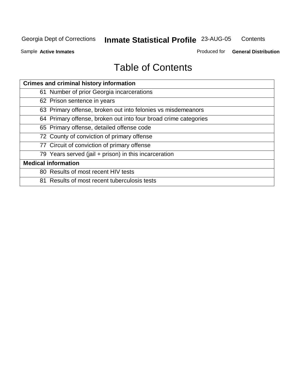#### Georgia Dept of Corrections **Inmate Statistical Profile** 23-AUG-05 **Contents**

Sample **Active Inmates**

Produced for **General Distribution**

# Table of Contents

| <b>Crimes and criminal history information</b>                  |
|-----------------------------------------------------------------|
| 61 Number of prior Georgia incarcerations                       |
| 62 Prison sentence in years                                     |
| 63 Primary offense, broken out into felonies vs misdemeanors    |
| 64 Primary offense, broken out into four broad crime categories |
| 65 Primary offense, detailed offense code                       |
| 72 County of conviction of primary offense                      |
| 77 Circuit of conviction of primary offense                     |
| 79 Years served (jail + prison) in this incarceration           |
| <b>Medical information</b>                                      |
| 80 Results of most recent HIV tests                             |
| 81 Results of most recent tuberculosis tests                    |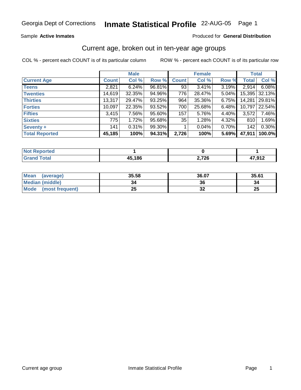Sample **Active Inmates**

### Produced for **General Distribution**

### Current age, broken out in ten-year age groups

|                       |              | <b>Male</b> |        |              | <b>Female</b> |       | <b>Total</b> |        |
|-----------------------|--------------|-------------|--------|--------------|---------------|-------|--------------|--------|
| <b>Current Age</b>    | <b>Count</b> | Col %       | Row %  | <b>Count</b> | Col %         | Row % | <b>Total</b> | Col %  |
| <b>Teens</b>          | 2,821        | 6.24%       | 96.81% | 93           | 3.41%         | 3.19% | 2,914        | 6.08%  |
| <b>Twenties</b>       | 14,619       | $32.35\%$   | 94.96% | 776          | 28.47%        | 5.04% | 15,395       | 32.13% |
| <b>Thirties</b>       | 13,317       | 29.47%      | 93.25% | 964          | 35.36%        | 6.75% | 14,281       | 29.81% |
| <b>Forties</b>        | 10,097       | 22.35%      | 93.52% | 700          | 25.68%        | 6.48% | 10,797       | 22.54% |
| <b>Fifties</b>        | 3,415        | 7.56%       | 95.60% | 157          | 5.76%         | 4.40% | 3,572        | 7.46%  |
| <b>Sixties</b>        | 775          | 1.72%       | 95.68% | 35           | 1.28%         | 4.32% | 810          | 1.69%  |
| <b>Seventy +</b>      | 141          | 0.31%       | 99.30% |              | 0.04%         | 0.70% | 142          | 0.30%  |
| <b>Total Reported</b> | 45,185       | 100%        | 94.31% | 2,726        | 100%          | 5.69% | 47,911       | 100.0% |

| <b>Not Reported</b> |        |       |                |
|---------------------|--------|-------|----------------|
|                     | 45,186 | 2,726 | 47.91<br>.J 17 |

| <b>Mean</b><br>(average) | 35.58   | 36.07                      | 35.61    |
|--------------------------|---------|----------------------------|----------|
| <b>Median (middle)</b>   | 34      | 36                         |          |
| Mode<br>(most frequent)  | つに<br>⊷ | $\ddot{\phantom{0}}$<br>JZ | つに<br>ZJ |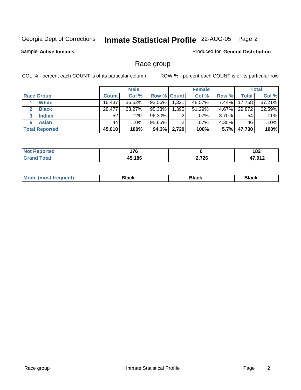Sample **Active Inmates**

### Produced for **General Distribution**

# Race group

|                       |              | <b>Male</b> |                    |       | <b>Female</b> |          |        | <b>Total</b> |
|-----------------------|--------------|-------------|--------------------|-------|---------------|----------|--------|--------------|
| <b>Race Group</b>     | <b>Count</b> | Col %       | <b>Row % Count</b> |       | Col %         | Row %    | Total  | Col %        |
| <b>White</b>          | 16,437       | 36.52%      | 92.56%             | 1,321 | 48.57%        | $7.44\%$ | 17,758 | $37.21\%$    |
| <b>Black</b>          | 28,477       | 63.27%      | 95.33%             | 1,395 | 51.29%        | 4.67%    | 29,872 | 62.59%       |
| <b>Indian</b>         | 52           | .12%        | 96.30%             | 2     | $.07\%$       | $3.70\%$ | 54     | .11%         |
| <b>Asian</b><br>6     | 44           | .10%        | 95.65%             | 2     | $.07\%$       | $4.35\%$ | 46     | .10%         |
| <b>Total Reported</b> | 45,010       | 100%        | 94.3%              | 2,720 | 100%          | 5.7%     | 47,730 | 100%         |

| 1 7 C<br>1 I V<br>--- |       | 10 <sup>c</sup><br>I OZ<br>$-$ |
|-----------------------|-------|--------------------------------|
| <b>A5186</b>          | 2,726 | <b>17 מיט</b>                  |

| Black<br><b>Black</b><br><b>οιαύκ</b><br>___ |
|----------------------------------------------|
|----------------------------------------------|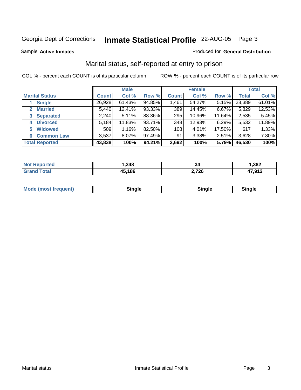Sample **Active Inmates**

### Produced for **General Distribution**

# Marital status, self-reported at entry to prison

|                                |              | <b>Male</b> |        |              | <b>Female</b> |        |              | <b>Total</b> |
|--------------------------------|--------------|-------------|--------|--------------|---------------|--------|--------------|--------------|
| <b>Marital Status</b>          | <b>Count</b> | Col %       | Row %  | <b>Count</b> | Col %         | Row %  | <b>Total</b> | Col %        |
| <b>Single</b>                  | 26,928       | 61.43%      | 94.85% | 1,461        | 54.27%        | 5.15%  | 28,389       | 61.01%       |
| <b>Married</b><br>$\mathbf{2}$ | 5,440        | 12.41%      | 93.33% | 389          | 14.45%        | 6.67%  | 5,829        | 12.53%       |
| <b>Separated</b><br>3          | 2,240        | 5.11%       | 88.36% | 295          | 10.96%        | 11.64% | 2,535        | 5.45%        |
| <b>Divorced</b><br>4           | 5,184        | 11.83%      | 93.71% | 348          | 12.93%        | 6.29%  | 5,532        | 11.89%       |
| <b>Widowed</b><br>5            | 509          | 1.16%       | 82.50% | 108          | 4.01%         | 17.50% | 617          | 1.33%        |
| <b>Common Law</b><br>6         | 3,537        | 8.07%       | 97.49% | 91           | 3.38%         | 2.51%  | 3,628        | 7.80%        |
| <b>Total Reported</b>          | 43,838       | 100%        | 94.21% | 2,692        | 100%          | 5.79%  | 46,530       | 100%         |

| ortec<br>NO | ,348 | 34    | .382   |
|-------------|------|-------|--------|
|             | ,186 | 2,726 | 17 012 |
|             | л.   |       | - 14   |

|  | <b>Mode (most frequent)</b> | .<br>omale | Sinale | Single |
|--|-----------------------------|------------|--------|--------|
|--|-----------------------------|------------|--------|--------|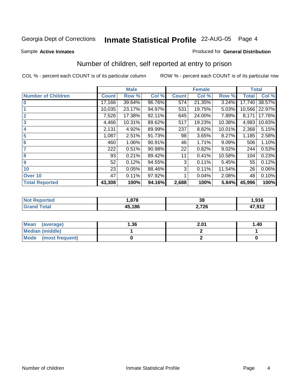Sample **Active Inmates**

### Produced for **General Distribution**

# Number of children, self reported at entry to prison

|                           | <b>Male</b>  |        |        | <b>Female</b> |        |        | <b>Total</b> |        |
|---------------------------|--------------|--------|--------|---------------|--------|--------|--------------|--------|
| <b>Number of Children</b> | <b>Count</b> | Row %  | Col %  | <b>Count</b>  | Col %  | Row %  | <b>Total</b> | Col %  |
| $\overline{0}$            | 17,166       | 39.64% | 96.76% | 574           | 21.35% | 3.24%  | 17,740       | 38.57% |
|                           | 10,035       | 23.17% | 94.97% | 531           | 19.75% | 5.03%  | 10,566       | 22.97% |
| $\overline{2}$            | 7,526        | 17.38% | 92.11% | 645           | 24.00% | 7.89%  | 8,171        | 17.76% |
| $\overline{\mathbf{3}}$   | 4,466        | 10.31% | 89.62% | 517           | 19.23% | 10.38% | 4,983        | 10.83% |
| $\overline{\mathbf{4}}$   | 2,131        | 4.92%  | 89.99% | 237           | 8.82%  | 10.01% | 2,368        | 5.15%  |
| 5                         | 1,087        | 2.51%  | 91.73% | 98            | 3.65%  | 8.27%  | 1,185        | 2.58%  |
| $6\phantom{a}6$           | 460          | 1.06%  | 90.91% | 46            | 1.71%  | 9.09%  | 506          | 1.10%  |
| 7                         | 222          | 0.51%  | 90.98% | 22            | 0.82%  | 9.02%  | 244          | 0.53%  |
| 8                         | 93           | 0.21%  | 89.42% | 11            | 0.41%  | 10.58% | 104          | 0.23%  |
| 9                         | 52           | 0.12%  | 94.55% | 3             | 0.11%  | 5.45%  | 55           | 0.12%  |
| 10                        | 23           | 0.05%  | 88.46% | 3             | 0.11%  | 11.54% | 26           | 0.06%  |
| Over 10                   | 47           | 0.11%  | 97.92% |               | 0.04%  | 2.08%  | 48           | 0.10%  |
| <b>Total Reported</b>     | 43,308       | 100%   | 94.16% | 2,688         | 100%   | 5.84%  | 45,996       | 100%   |

| ted<br>w  | .878   | $\overline{ }$<br>u | 916. ا            |
|-----------|--------|---------------------|-------------------|
| $\sim$ 10 | 45.186 | 2,726<br>. –        | 47 Q12<br>. J I A |

| <b>Mean</b><br>(average) | 1.36 | 2.01 | 1.40 |
|--------------------------|------|------|------|
| <b>Median (middle)</b>   |      |      |      |
| Mode<br>(most frequent)  |      |      |      |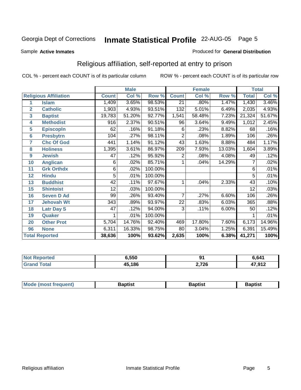Sample **Active Inmates**

### Produced for **General Distribution**

# Religious affiliation, self-reported at entry to prison

|                       |                              | <b>Male</b>  |        |         |                 | <b>Female</b> |        | <b>Total</b>        |          |
|-----------------------|------------------------------|--------------|--------|---------|-----------------|---------------|--------|---------------------|----------|
|                       | <b>Religious Affiliation</b> | <b>Count</b> | Col %  | Row %   | <b>Count</b>    | Col %         | Row %  | <b>Total</b>        | Col %    |
| 1                     | <b>Islam</b>                 | 1,409        | 3.65%  | 98.53%  | $\overline{21}$ | .80%          | 1.47%  | 1,430               | $3.46\%$ |
| $\overline{2}$        | <b>Catholic</b>              | 1,903        | 4.93%  | 93.51%  | 132             | 5.01%         | 6.49%  | 2,035               | 4.93%    |
| 3                     | <b>Baptist</b>               | 19,783       | 51.20% | 92.77%  | 1,541           | 58.48%        | 7.23%  | $\overline{2}1,324$ | 51.67%   |
| 4                     | <b>Methodist</b>             | 916          | 2.37%  | 90.51%  | 96              | 3.64%         | 9.49%  | 1,012               | 2.45%    |
| 5                     | <b>EpiscopIn</b>             | 62           | .16%   | 91.18%  | 6               | .23%          | 8.82%  | 68                  | .16%     |
| $6\phantom{1}6$       | <b>Presbytrn</b>             | 104          | .27%   | 98.11%  | $\overline{2}$  | .08%          | 1.89%  | 106                 | .26%     |
| 7                     | <b>Chc Of God</b>            | 441          | 1.14%  | 91.12%  | 43              | 1.63%         | 8.88%  | 484                 | 1.17%    |
| 8                     | <b>Holiness</b>              | 1,395        | 3.61%  | 86.97%  | 209             | 7.93%         | 13.03% | 1,604               | 3.89%    |
| $\boldsymbol{9}$      | <b>Jewish</b>                | 47           | .12%   | 95.92%  | 2               | .08%          | 4.08%  | 49                  | .12%     |
| 10                    | <b>Anglican</b>              | 6            | .02%   | 85.71%  |                 | .04%          | 14.29% | 7                   | .02%     |
| 11                    | <b>Grk Orthdx</b>            | 6            | .02%   | 100.00% |                 |               |        | 6                   | .01%     |
| 12                    | <b>Hindu</b>                 | 5            | .01%   | 100.00% |                 |               |        | 5                   | .01%     |
| 13                    | <b>Buddhist</b>              | 42           | .11%   | 97.67%  | 1               | .04%          | 2.33%  | 43                  | .10%     |
| 15                    | <b>Shintoist</b>             | 12           | .03%   | 100.00% |                 |               |        | $\overline{12}$     | .03%     |
| 16                    | <b>Seven D Ad</b>            | 99           | .26%   | 93.40%  | 7               | .27%          | 6.60%  | 106                 | .26%     |
| 17                    | <b>Jehovah Wt</b>            | 343          | .89%   | 93.97%  | 22              | .83%          | 6.03%  | 365                 | .88%     |
| 18                    | <b>Latr Day S</b>            | 47           | .12%   | 94.00%  | 3               | .11%          | 6.00%  | 50                  | .12%     |
| 19                    | <b>Quaker</b>                |              | .01%   | 100.00% |                 |               |        |                     | .01%     |
| 20                    | <b>Other Prot</b>            | 5,704        | 14.76% | 92.40%  | 469             | 17.80%        | 7.60%  | 6,173               | 14.96%   |
| 96                    | <b>None</b>                  | 6,311        | 16.33% | 98.75%  | 80              | 3.04%         | 1.25%  | 6,391               | 15.49%   |
| <b>Total Reported</b> |                              | 38,636       | 100%   | 93.62%  | 2,635           | 100%          | 6.38%  | 41,271              | 100%     |

| N<br>тес. | <b>ຣ.550</b> | ים    | 6,641  |
|-----------|--------------|-------|--------|
|           | 45,186       | 2,726 | 47,912 |

| Mode (mo<br>ost freauent) | 3aptist | Baptist | 3aptist |
|---------------------------|---------|---------|---------|
|                           |         |         |         |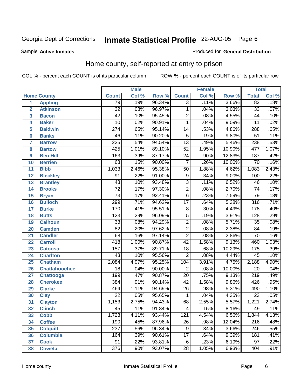Sample **Active Inmates**

### Produced for **General Distribution**

# Home county, self-reported at entry to prison

|                |                      |                  | <b>Male</b> |        |                  | <b>Female</b> |          | <b>Total</b>     |       |
|----------------|----------------------|------------------|-------------|--------|------------------|---------------|----------|------------------|-------|
|                | <b>Home County</b>   | <b>Count</b>     | Col %       | Row %  | <b>Count</b>     | Col %         | Row %    | <b>Total</b>     | Col % |
| $\overline{1}$ | <b>Appling</b>       | 79               | .19%        | 96.34% | $\overline{3}$   | .11%          | 3.66%    | 82               | .18%  |
| $\overline{2}$ | <b>Atkinson</b>      | $\overline{32}$  | .08%        | 96.97% | $\mathbf 1$      | .04%          | 3.03%    | $\overline{33}$  | .07%  |
| 3              | <b>Bacon</b>         | $\overline{42}$  | .10%        | 95.45% | $\overline{2}$   | .08%          | 4.55%    | $\overline{44}$  | .10%  |
| 4              | <b>Baker</b>         | $\overline{10}$  | .02%        | 90.91% | $\mathbf{1}$     | .04%          | 9.09%    | $\overline{11}$  | .02%  |
| 5              | <b>Baldwin</b>       | $\overline{274}$ | .65%        | 95.14% | $\overline{14}$  | .53%          | 4.86%    | 288              | .65%  |
| $6\phantom{a}$ | <b>Banks</b>         | $\overline{46}$  | .11%        | 90.20% | $\overline{5}$   | .19%          | 9.80%    | $\overline{51}$  | .11%  |
| 7              | <b>Barrow</b>        | 225              | .54%        | 94.54% | $\overline{13}$  | .49%          | 5.46%    | 238              | .53%  |
| 8              | <b>Bartow</b>        | 425              | 1.01%       | 89.10% | $\overline{52}$  | 1.95%         | 10.90%   | 477              | 1.07% |
| 9              | <b>Ben Hill</b>      | $\overline{163}$ | .39%        | 87.17% | $\overline{24}$  | .90%          | 12.83%   | 187              | .42%  |
| 10             | <b>Berrien</b>       | 63               | .15%        | 90.00% | $\overline{7}$   | .26%          | 10.00%   | $\overline{70}$  | .16%  |
| 11             | <b>Bibb</b>          | 1,033            | 2.46%       | 95.38% | $\overline{50}$  | 1.88%         | 4.62%    | 1,083            | 2.43% |
| 12             | <b>Bleckley</b>      | $\overline{91}$  | .22%        | 91.00% | 9                | .34%          | $9.00\%$ | 100              | .22%  |
| 13             | <b>Brantley</b>      | $\overline{43}$  | .10%        | 93.48% | $\overline{3}$   | .11%          | 6.52%    | $\overline{46}$  | .10%  |
| 14             | <b>Brooks</b>        | $\overline{72}$  | .17%        | 97.30% | $\overline{2}$   | .08%          | 2.70%    | $\overline{74}$  | .17%  |
| 15             | <b>Bryan</b>         | $\overline{73}$  | .17%        | 92.41% | $\overline{6}$   | .23%          | 7.59%    | $\overline{79}$  | .18%  |
| 16             | <b>Bulloch</b>       | 299              | .71%        | 94.62% | $\overline{17}$  | .64%          | 5.38%    | 316              | .71%  |
| 17             | <b>Burke</b>         | 170              | .41%        | 95.51% | $\overline{8}$   | .30%          | 4.49%    | 178              | .40%  |
| 18             | <b>Butts</b>         | $\overline{123}$ | .29%        | 96.09% | $\overline{5}$   | .19%          | 3.91%    | $\overline{128}$ | .29%  |
| 19             | <b>Calhoun</b>       | $\overline{33}$  | .08%        | 94.29% | $\overline{2}$   | .08%          | 5.71%    | $\overline{35}$  | .08%  |
| 20             | <b>Camden</b>        | $\overline{82}$  | .20%        | 97.62% | $\overline{2}$   | .08%          | 2.38%    | $\overline{84}$  | .19%  |
| 21             | <b>Candler</b>       | 68               | .16%        | 97.14% | $\overline{2}$   | .08%          | 2.86%    | $\overline{70}$  | .16%  |
| 22             | <b>Carroll</b>       | 418              | 1.00%       | 90.87% | $\overline{42}$  | 1.58%         | 9.13%    | 460              | 1.03% |
| 23             | <b>Catoosa</b>       | 157              | .37%        | 89.71% | $\overline{18}$  | .68%          | 10.29%   | 175              | .39%  |
| 24             | <b>Charlton</b>      | $\overline{43}$  | .10%        | 95.56% | $\overline{2}$   | .08%          | 4.44%    | $\overline{45}$  | .10%  |
| 25             | <b>Chatham</b>       | 2,084            | 4.97%       | 95.25% | 104              | 3.91%         | 4.75%    | 2,188            | 4.90% |
| 26             | <b>Chattahoochee</b> | $\overline{18}$  | .04%        | 90.00% | $\overline{2}$   | .08%          | 10.00%   | 20               | .04%  |
| 27             | Chattooga            | 199              | .47%        | 90.87% | $\overline{20}$  | .75%          | 9.13%    | $\overline{219}$ | .49%  |
| 28             | <b>Cherokee</b>      | 384              | .91%        | 90.14% | 42               | 1.58%         | 9.86%    | 426              | .95%  |
| 29             | <b>Clarke</b>        | 464              | 1.11%       | 94.69% | $\overline{26}$  | .98%          | 5.31%    | 490              | 1.10% |
| 30             | <b>Clay</b>          | $\overline{22}$  | .05%        | 95.65% | $\mathbf{1}$     | .04%          | 4.35%    | $\overline{23}$  | .05%  |
| 31             | <b>Clayton</b>       | 1,153            | 2.75%       | 94.43% | 68               | 2.55%         | 5.57%    | 1,221            | 2.74% |
| 32             | <b>Clinch</b>        | 45               | .11%        | 91.84% | $\overline{4}$   | .15%          | 8.16%    | 49               | .11%  |
| 33             | <b>Cobb</b>          | 1,723            | 4.11%       | 93.44% | $\overline{121}$ | 4.54%         | 6.56%    | 1,844            | 4.13% |
| 34             | <b>Coffee</b>        | 190              | .45%        | 87.96% | 26               | .98%          | 12.04%   | 216              | .48%  |
| 35             | <b>Colquitt</b>      | $\overline{237}$ | .56%        | 96.34% | 9                | .34%          | 3.66%    | 246              | .55%  |
| 36             | <b>Columbia</b>      | 164              | .39%        | 90.61% | 17               | .64%          | 9.39%    | 181              | .41%  |
| 37             | <b>Cook</b>          | $\overline{91}$  | .22%        | 93.81% | 6                | .23%          | 6.19%    | $\overline{97}$  | .22%  |
| 38             | <b>Coweta</b>        | 376              | .90%        | 93.07% | $\overline{28}$  | 1.05%         | 6.93%    | 404              | .91%  |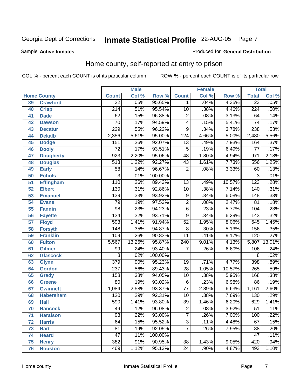Sample **Active Inmates**

### Produced for **General Distribution**

# Home county, self-reported at entry to prison

|    |                    |                  | <b>Male</b> |         |                          | <b>Female</b> |        | <b>Total</b>     |        |
|----|--------------------|------------------|-------------|---------|--------------------------|---------------|--------|------------------|--------|
|    | <b>Home County</b> | <b>Count</b>     | Col %       | Row %   | <b>Count</b>             | Col %         | Row %  | <b>Total</b>     | Col %  |
| 39 | <b>Crawford</b>    | $\overline{22}$  | .05%        | 95.65%  | 1.                       | .04%          | 4.35%  | 23               | .05%   |
| 40 | <b>Crisp</b>       | $\overline{214}$ | .51%        | 95.54%  | 10                       | .38%          | 4.46%  | $\overline{224}$ | .50%   |
| 41 | <b>Dade</b>        | $\overline{62}$  | .15%        | 96.88%  | $\overline{2}$           | .08%          | 3.13%  | 64               | .14%   |
| 42 | <b>Dawson</b>      | $\overline{70}$  | .17%        | 94.59%  | $\overline{\mathcal{A}}$ | .15%          | 5.41%  | $\overline{74}$  | .17%   |
| 43 | <b>Decatur</b>     | 229              | .55%        | 96.22%  | $\overline{9}$           | .34%          | 3.78%  | 238              | .53%   |
| 44 | <b>Dekalb</b>      | 2,356            | 5.61%       | 95.00%  | 124                      | 4.66%         | 5.00%  | 2,480            | 5.56%  |
| 45 | <b>Dodge</b>       | 151              | .36%        | 92.07%  | $\overline{13}$          | .49%          | 7.93%  | 164              | .37%   |
| 46 | <b>Dooly</b>       | $\overline{72}$  | .17%        | 93.51%  | $\overline{5}$           | .19%          | 6.49%  | $\overline{77}$  | .17%   |
| 47 | <b>Dougherty</b>   | 923              | 2.20%       | 95.06%  | $\overline{48}$          | 1.80%         | 4.94%  | 971              | 2.18%  |
| 48 | <b>Douglas</b>     | $\overline{513}$ | 1.22%       | 92.27%  | 43                       | 1.61%         | 7.73%  | 556              | 1.25%  |
| 49 | <b>Early</b>       | $\overline{58}$  | .14%        | 96.67%  | $\overline{2}$           | .08%          | 3.33%  | 60               | .13%   |
| 50 | <b>Echols</b>      | 3                | .01%        | 100.00% |                          |               |        | $\overline{3}$   | .01%   |
| 51 | <b>Effingham</b>   | $\overline{110}$ | .26%        | 89.43%  | $\overline{13}$          | .49%          | 10.57% | $\overline{123}$ | .28%   |
| 52 | <b>Elbert</b>      | 130              | .31%        | 92.86%  | 10                       | .38%          | 7.14%  | 140              | .31%   |
| 53 | <b>Emanuel</b>     | 139              | .33%        | 93.92%  | 9                        | .34%          | 6.08%  | $\overline{148}$ | .33%   |
| 54 | <b>Evans</b>       | 79               | .19%        | 97.53%  | $\overline{2}$           | .08%          | 2.47%  | $\overline{81}$  | .18%   |
| 55 | <b>Fannin</b>      | $\overline{98}$  | .23%        | 94.23%  | $\overline{6}$           | .23%          | 5.77%  | 104              | .23%   |
| 56 | <b>Fayette</b>     | 134              | .32%        | 93.71%  | $\overline{9}$           | .34%          | 6.29%  | 143              | .32%   |
| 57 | <b>Floyd</b>       | 593              | 1.41%       | 91.94%  | $\overline{52}$          | 1.95%         | 8.06%  | 645              | 1.45%  |
| 58 | <b>Forsyth</b>     | $\overline{148}$ | .35%        | 94.87%  | $\overline{8}$           | .30%          | 5.13%  | 156              | .35%   |
| 59 | <b>Franklin</b>    | 109              | .26%        | 90.83%  | $\overline{11}$          | .41%          | 9.17%  | 120              | .27%   |
| 60 | <b>Fulton</b>      | 5,567            | 13.26%      | 95.87%  | $\overline{240}$         | 9.01%         | 4.13%  | 5,807            | 13.01% |
| 61 | <b>Gilmer</b>      | 99               | .24%        | 93.40%  | $\overline{7}$           | .26%          | 6.60%  | 106              | .24%   |
| 62 | <b>Glascock</b>    | $\overline{8}$   | .02%        | 100.00% |                          |               |        | $\overline{8}$   | .02%   |
| 63 | <b>Glynn</b>       | $\overline{379}$ | .90%        | 95.23%  | $\overline{19}$          | .71%          | 4.77%  | 398              | .89%   |
| 64 | <b>Gordon</b>      | $\overline{237}$ | .56%        | 89.43%  | $\overline{28}$          | 1.05%         | 10.57% | 265              | .59%   |
| 65 | <b>Grady</b>       | 158              | .38%        | 94.05%  | 10                       | .38%          | 5.95%  | 168              | .38%   |
| 66 | <b>Greene</b>      | $\overline{80}$  | .19%        | 93.02%  | $\overline{6}$           | .23%          | 6.98%  | 86               | .19%   |
| 67 | <b>Gwinnett</b>    | 1,084            | 2.58%       | 93.37%  | $\overline{77}$          | 2.89%         | 6.63%  | 1,161            | 2.60%  |
| 68 | <b>Habersham</b>   | 120              | .29%        | 92.31%  | 10                       | .38%          | 7.69%  | 130              | .29%   |
| 69 | <b>Hall</b>        | 590              | 1.41%       | 93.80%  | $\overline{39}$          | 1.46%         | 6.20%  | 629              | 1.41%  |
| 70 | <b>Hancock</b>     | 49               | .12%        | 96.08%  | $\overline{c}$           | .08%          | 3.92%  | 51               | .11%   |
| 71 | <b>Haralson</b>    | $\overline{93}$  | .22%        | 93.00%  | $\overline{7}$           | .26%          | 7.00%  | 100              | .22%   |
| 72 | <b>Harris</b>      | 64               | .15%        | 95.52%  | $\overline{3}$           | .11%          | 4.48%  | 67               | .15%   |
| 73 | <b>Hart</b>        | 81               | .19%        | 92.05%  | $\overline{7}$           | .26%          | 7.95%  | 88               | .20%   |
| 74 | <b>Heard</b>       | $\overline{47}$  | .11%        | 100.00% |                          |               |        | 47               | .11%   |
| 75 | <b>Henry</b>       | 382              | .91%        | 90.95%  | $\overline{38}$          | 1.43%         | 9.05%  | 420              | .94%   |
| 76 | <b>Houston</b>     | 469              | 1.12%       | 95.13%  | 24                       | .90%          | 4.87%  | 493              | 1.10%  |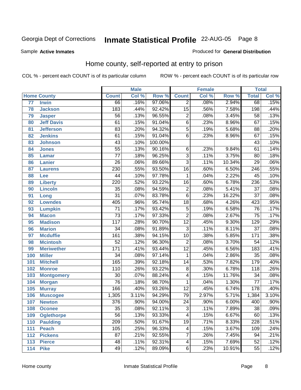Sample **Active Inmates**

### Produced for **General Distribution**

# Home county, self-reported at entry to prison

|     |                    |                  | <b>Male</b> |         |                 | <b>Female</b> |        | <b>Total</b>     |       |
|-----|--------------------|------------------|-------------|---------|-----------------|---------------|--------|------------------|-------|
|     | <b>Home County</b> | <b>Count</b>     | Col %       | Row %   | <b>Count</b>    | Col %         | Row %  | <b>Total</b>     | Col % |
| 77  | <b>Irwin</b>       | 66               | .16%        | 97.06%  | $\overline{2}$  | .08%          | 2.94%  | 68               | .15%  |
| 78  | <b>Jackson</b>     | 183              | .44%        | 92.42%  | $\overline{15}$ | .56%          | 7.58%  | 198              | .44%  |
| 79  | <b>Jasper</b>      | $\overline{56}$  | .13%        | 96.55%  | $\overline{2}$  | .08%          | 3.45%  | $\overline{58}$  | .13%  |
| 80  | <b>Jeff Davis</b>  | $\overline{61}$  | .15%        | 91.04%  | $\overline{6}$  | .23%          | 8.96%  | $\overline{67}$  | .15%  |
| 81  | <b>Jefferson</b>   | $\overline{83}$  | .20%        | 94.32%  | $\overline{5}$  | .19%          | 5.68%  | $\overline{88}$  | .20%  |
| 82  | <b>Jenkins</b>     | 61               | .15%        | 91.04%  | $\overline{6}$  | .23%          | 8.96%  | 67               | .15%  |
| 83  | <b>Johnson</b>     | 43               | .10%        | 100.00% |                 |               |        | $\overline{43}$  | .10%  |
| 84  | <b>Jones</b>       | $\overline{55}$  | .13%        | 90.16%  | $\,6$           | .23%          | 9.84%  | $\overline{61}$  | .14%  |
| 85  | <b>Lamar</b>       | $\overline{77}$  | .18%        | 96.25%  | $\overline{3}$  | .11%          | 3.75%  | 80               | .18%  |
| 86  | <b>Lanier</b>      | $\overline{26}$  | .06%        | 89.66%  | $\overline{3}$  | .11%          | 10.34% | $\overline{29}$  | .06%  |
| 87  | <b>Laurens</b>     | 230              | .55%        | 93.50%  | $\overline{16}$ | .60%          | 6.50%  | $\overline{246}$ | .55%  |
| 88  | Lee                | $\overline{44}$  | .10%        | 97.78%  | $\mathbf 1$     | .04%          | 2.22%  | $\overline{45}$  | .10%  |
| 89  | <b>Liberty</b>     | 220              | .52%        | 93.22%  | $\overline{16}$ | .60%          | 6.78%  | 236              | .53%  |
| 90  | <b>Lincoln</b>     | $\overline{35}$  | .08%        | 94.59%  | $\overline{2}$  | .08%          | 5.41%  | $\overline{37}$  | .08%  |
| 91  | Long               | $\overline{31}$  | .07%        | 83.78%  | $\overline{6}$  | .23%          | 16.22% | $\overline{37}$  | .08%  |
| 92  | <b>Lowndes</b>     | 405              | .96%        | 95.74%  | $\overline{18}$ | .68%          | 4.26%  | 423              | .95%  |
| 93  | <b>Lumpkin</b>     | $\overline{71}$  | .17%        | 93.42%  | $\overline{5}$  | .19%          | 6.58%  | $\overline{76}$  | .17%  |
| 94  | <b>Macon</b>       | $\overline{73}$  | .17%        | 97.33%  | $\overline{2}$  | .08%          | 2.67%  | $\overline{75}$  | .17%  |
| 95  | <b>Madison</b>     | $\overline{117}$ | .28%        | 90.70%  | $\overline{12}$ | .45%          | 9.30%  | $\overline{129}$ | .29%  |
| 96  | <b>Marion</b>      | $\overline{34}$  | .08%        | 91.89%  | $\overline{3}$  | .11%          | 8.11%  | $\overline{37}$  | .08%  |
| 97  | <b>Mcduffie</b>    | $\overline{161}$ | .38%        | 94.15%  | $\overline{10}$ | .38%          | 5.85%  | 171              | .38%  |
| 98  | <b>Mcintosh</b>    | $\overline{52}$  | .12%        | 96.30%  | $\overline{2}$  | .08%          | 3.70%  | $\overline{54}$  | .12%  |
| 99  | <b>Meriwether</b>  | 171              | .41%        | 93.44%  | $\overline{12}$ | .45%          | 6.56%  | $\overline{183}$ | .41%  |
| 100 | <b>Miller</b>      | $\overline{34}$  | .08%        | 97.14%  | $\mathbf{1}$    | .04%          | 2.86%  | $\overline{35}$  | .08%  |
| 101 | <b>Mitchell</b>    | 165              | .39%        | 92.18%  | $\overline{14}$ | .53%          | 7.82%  | 179              | .40%  |
| 102 | <b>Monroe</b>      | 110              | .26%        | 93.22%  | $\overline{8}$  | .30%          | 6.78%  | $\overline{118}$ | .26%  |
| 103 | <b>Montgomery</b>  | $\overline{30}$  | .07%        | 88.24%  | 4               | .15%          | 11.76% | $\overline{34}$  | .08%  |
| 104 | <b>Morgan</b>      | $\overline{76}$  | .18%        | 98.70%  | $\mathbf{1}$    | .04%          | 1.30%  | $\overline{77}$  | .17%  |
| 105 | <b>Murray</b>      | 166              | .40%        | 93.26%  | $\overline{12}$ | .45%          | 6.74%  | 178              | .40%  |
| 106 | <b>Muscogee</b>    | 1,305            | 3.11%       | 94.29%  | 79              | 2.97%         | 5.71%  | 1,384            | 3.10% |
| 107 | <b>Newton</b>      | $\overline{376}$ | .90%        | 94.00%  | $\overline{24}$ | .90%          | 6.00%  | 400              | .90%  |
| 108 | <b>Oconee</b>      | 35               | .08%        | 92.11%  | 3               | .11%          | 7.89%  | 38               | .09%  |
| 109 | <b>Oglethorpe</b>  | $\overline{56}$  | .13%        | 93.33%  | 4               | .15%          | 6.67%  | 60               | .13%  |
| 110 | <b>Paulding</b>    | $\overline{209}$ | .50%        | 91.67%  | $\overline{19}$ | .71%          | 8.33%  | 228              | .51%  |
| 111 | <b>Peach</b>       | 105              | .25%        | 96.33%  | 4               | .15%          | 3.67%  | 109              | .24%  |
| 112 | <b>Pickens</b>     | $\overline{87}$  | .21%        | 92.55%  | 7               | .26%          | 7.45%  | $\overline{94}$  | .21%  |
| 113 | <b>Pierce</b>      | 48               | .11%        | 92.31%  | 4               | .15%          | 7.69%  | 52               | .12%  |
| 114 | <b>Pike</b>        | 49               | .12%        | 89.09%  | $\overline{6}$  | .23%          | 10.91% | $\overline{55}$  | .12%  |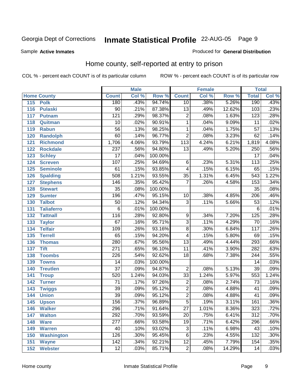Sample **Active Inmates**

### Produced for **General Distribution**

# Home county, self-reported at entry to prison

|                          |                  | <b>Male</b> |         |                         | <b>Female</b> |        | <b>Total</b>     |       |
|--------------------------|------------------|-------------|---------|-------------------------|---------------|--------|------------------|-------|
| <b>Home County</b>       | <b>Count</b>     | Col %       | Row %   | <b>Count</b>            | Col %         | Row %  | <b>Total</b>     | Col % |
| 115 Polk                 | 180              | .43%        | 94.74%  | $\overline{10}$         | .38%          | 5.26%  | 190              | .43%  |
| 116<br><b>Pulaski</b>    | 90               | .21%        | 87.38%  | $\overline{13}$         | .49%          | 12.62% | 103              | .23%  |
| 117<br><b>Putnam</b>     | 121              | .29%        | 98.37%  | $\overline{2}$          | .08%          | 1.63%  | 123              | .28%  |
| 118<br>Quitman           | $\overline{10}$  | .02%        | 90.91%  | 1                       | .04%          | 9.09%  | $\overline{11}$  | .02%  |
| 119<br><b>Rabun</b>      | $\overline{56}$  | .13%        | 98.25%  | $\mathbf{1}$            | .04%          | 1.75%  | $\overline{57}$  | .13%  |
| <b>Randolph</b><br>120   | 60               | .14%        | 96.77%  | $\overline{2}$          | .08%          | 3.23%  | 62               | .14%  |
| 121<br><b>Richmond</b>   | 1,706            | 4.06%       | 93.79%  | 113                     | 4.24%         | 6.21%  | 1,819            | 4.08% |
| 122<br><b>Rockdale</b>   | $\overline{237}$ | .56%        | 94.80%  | $\overline{13}$         | .49%          | 5.20%  | 250              | .56%  |
| 123<br><b>Schley</b>     | $\overline{17}$  | .04%        | 100.00% |                         |               |        | $\overline{17}$  | .04%  |
| 124<br><b>Screven</b>    | 107              | .25%        | 94.69%  | 6                       | .23%          | 5.31%  | 113              | .25%  |
| <b>Seminole</b><br>125   | 61               | .15%        | 93.85%  | $\overline{\mathbf{4}}$ | .15%          | 6.15%  | 65               | .15%  |
| 126<br><b>Spalding</b>   | 508              | 1.21%       | 93.55%  | $\overline{35}$         | 1.31%         | 6.45%  | $\overline{543}$ | 1.22% |
| 127<br><b>Stephens</b>   | 146              | .35%        | 95.42%  | $\overline{7}$          | .26%          | 4.58%  | 153              | .34%  |
| 128<br><b>Stewart</b>    | $\overline{35}$  | .08%        | 100.00% |                         |               |        | $\overline{35}$  | .08%  |
| 129<br><b>Sumter</b>     | 196              | .47%        | 95.15%  | 10                      | .38%          | 4.85%  | $\overline{206}$ | .46%  |
| 130<br><b>Talbot</b>     | 50               | .12%        | 94.34%  | $\overline{3}$          | .11%          | 5.66%  | $\overline{53}$  | .12%  |
| 131<br><b>Taliaferro</b> | $\overline{6}$   | .01%        | 100.00% |                         |               |        | $\overline{6}$   | .01%  |
| <b>Tattnall</b><br>132   | 116              | .28%        | 92.80%  | 9                       | .34%          | 7.20%  | $\overline{125}$ | .28%  |
| 133<br><b>Taylor</b>     | $\overline{67}$  | .16%        | 95.71%  | $\overline{3}$          | .11%          | 4.29%  | 70               | .16%  |
| <b>Telfair</b><br>134    | 109              | .26%        | 93.16%  | $\overline{8}$          | .30%          | 6.84%  | 117              | .26%  |
| 135<br><b>Terrell</b>    | 65               | .15%        | 94.20%  | $\overline{4}$          | .15%          | 5.80%  | $\overline{69}$  | .15%  |
| 136<br><b>Thomas</b>     | 280              | .67%        | 95.56%  | $\overline{13}$         | .49%          | 4.44%  | 293              | .66%  |
| 137<br><b>Tift</b>       | 271              | .65%        | 96.10%  | 11                      | .41%          | 3.90%  | 282              | .63%  |
| <b>Toombs</b><br>138     | $\overline{226}$ | .54%        | 92.62%  | $\overline{18}$         | .68%          | 7.38%  | 244              | .55%  |
| 139<br><b>Towns</b>      | $\overline{14}$  | .03%        | 100.00% |                         |               |        | $\overline{14}$  | .03%  |
| <b>Treutlen</b><br>140   | $\overline{37}$  | .09%        | 94.87%  | $\overline{2}$          | .08%          | 5.13%  | $\overline{39}$  | .09%  |
| 141<br><b>Troup</b>      | 520              | 1.24%       | 94.03%  | $\overline{33}$         | 1.24%         | 5.97%  | 553              | 1.24% |
| 142<br><b>Turner</b>     | $\overline{71}$  | .17%        | 97.26%  | $\overline{2}$          | .08%          | 2.74%  | $\overline{73}$  | .16%  |
| 143<br><b>Twiggs</b>     | $\overline{39}$  | .09%        | 95.12%  | $\overline{2}$          | .08%          | 4.88%  | $\overline{41}$  | .09%  |
| 144<br><b>Union</b>      | $\overline{39}$  | .09%        | 95.12%  | $\overline{2}$          | .08%          | 4.88%  | $\overline{41}$  | .09%  |
| 145<br><b>Upson</b>      | 156              | .37%        | 96.89%  | $\overline{5}$          | .19%          | 3.11%  | 161              | .36%  |
| 146<br><b>Walker</b>     | 296              | .71%        | 91.64%  | 27                      | 1.01%         | 8.36%  | 323              | .72%  |
| 147<br><b>Walton</b>     | 292              | .70%        | 93.59%  | $\overline{20}$         | .75%          | 6.41%  | $\overline{312}$ | .70%  |
| 148<br><b>Ware</b>       | 277              | .66%        | 93.58%  | 19                      | .71%          | 6.42%  | 296              | .66%  |
| <b>Warren</b><br>149     | 40               | .10%        | 93.02%  | 3                       | .11%          | 6.98%  | $\overline{43}$  | .10%  |
| <b>Washington</b><br>150 | 126              | .30%        | 95.45%  | 6                       | .23%          | 4.55%  | 132              | .30%  |
| 151<br><b>Wayne</b>      | $\overline{142}$ | .34%        | 92.21%  | $\overline{12}$         | .45%          | 7.79%  | 154              | .35%  |
| <b>Webster</b><br>152    | 12               | .03%        | 85.71%  | $\overline{2}$          | .08%          | 14.29% | 14               | .03%  |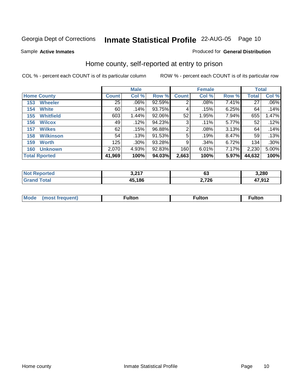Sample **Active Inmates**

### Produced for **General Distribution**

# Home county, self-reported at entry to prison

|     |                      |              | <b>Male</b> |           |                | <b>Female</b> |       | <b>Total</b> |         |
|-----|----------------------|--------------|-------------|-----------|----------------|---------------|-------|--------------|---------|
|     | <b>Home County</b>   | <b>Count</b> | Col %       | Row %     | <b>Count</b>   | Col %         | Row % | <b>Total</b> | Col %   |
| 153 | <b>Wheeler</b>       | 25           | $.06\%$     | 92.59%    | $\overline{2}$ | .08%          | 7.41% | 27           | $.06\%$ |
| 154 | <b>White</b>         | 60           | .14%        | 93.75%    | 4              | .15%          | 6.25% | 64           | .14%    |
| 155 | <b>Whitfield</b>     | 603          | 1.44%       | 92.06%    | 52             | 1.95%         | 7.94% | 655          | 1.47%   |
| 156 | <b>Wilcox</b>        | 49           | .12%        | 94.23%    | 3              | .11%          | 5.77% | 52           | .12%    |
| 157 | <b>Wilkes</b>        | 62           | .15%        | 96.88%    | 2              | .08%          | 3.13% | 64           | .14%    |
| 158 | <b>Wilkinson</b>     | 54           | .13%        | $91.53\%$ | 5              | .19%          | 8.47% | 59           | .13%    |
| 159 | <b>Worth</b>         | 125          | .30%        | 93.28%    | 9              | .34%          | 6.72% | 134          | .30%    |
| 160 | <b>Unknown</b>       | 2,070        | 4.93%       | 92.83%    | 160            | 6.01%         | 7.17% | 2,230        | 5.00%   |
|     | <b>Total Rported</b> | 41,969       | 100%        | 94.03%    | 2,663          | 100%          | 5.97% | 44,632       | 100%    |

| orted         | דומ כ  | ^^    | 3,280                 |
|---------------|--------|-------|-----------------------|
| <b>NOT</b>    | ו ואי  | ບບ    |                       |
| `otal<br>. Gr | 45,186 | 2,726 | $\lambda$ 7 Q1 $\sim$ |

| <b>Moo</b> | . . <b>. .</b><br>τυι<br>. | ulton |  |
|------------|----------------------------|-------|--|
|            |                            |       |  |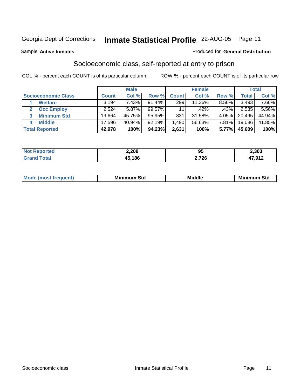Sample **Active Inmates**

### Produced for **General Distribution**

# Socioeconomic class, self-reported at entry to prison

|                            |              | <b>Male</b> |           |                 | <b>Female</b> |       |        | <b>Total</b> |
|----------------------------|--------------|-------------|-----------|-----------------|---------------|-------|--------|--------------|
| <b>Socioeconomic Class</b> | <b>Count</b> | Col %       | Row %     | <b>Count</b>    | Col %         | Row % | Total  | Col %        |
| <b>Welfare</b>             | 3,194        | 7.43%       | 91.44%    | 299             | 11.36%        | 8.56% | 3,493  | $7.66\%$     |
| <b>Occ Employ</b>          | 2,524        | 5.87%       | 99.57%    | 11 <sub>1</sub> | .42%          | .43%  | 2,535  | $5.56\%$     |
| <b>Minimum Std</b>         | 19,664       | 45.75%      | 95.95%    | 831             | 31.58%        | 4.05% | 20,495 | 44.94%       |
| <b>Middle</b><br>4         | 17,596       | 40.94%      | $92.19\%$ | ا 490.          | 56.63%        | 7.81% | 19,086 | 41.85%       |
| <b>Total Reported</b>      | 42,978       | 100%        | 94.23%    | 2,631           | 100%          | 5.77% | 45,609 | 100%         |

| วrteo<br>NO | 2,208        | וח<br>ນບ | .303  |
|-------------|--------------|----------|-------|
| Gra         | 15.186<br>45 | 2,726    | 7,912 |

| <b>Minin</b><br>Std<br>3td<br>aic<br>.<br>____ |
|------------------------------------------------|
|------------------------------------------------|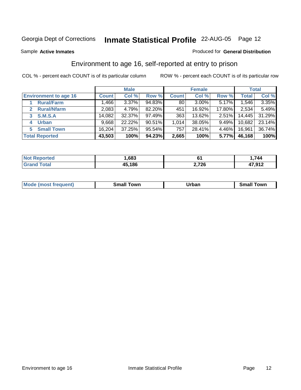Sample **Active Inmates**

### Produced for **General Distribution**

# Environment to age 16, self-reported at entry to prison

|                              |              | <b>Male</b> |           |              | <b>Female</b> |        |        | <b>Total</b> |
|------------------------------|--------------|-------------|-----------|--------------|---------------|--------|--------|--------------|
| <b>Environment to age 16</b> | <b>Count</b> | Col %       | Row %     | <b>Count</b> | Col %         | Row %  | Total  | Col %        |
| <b>Rural/Farm</b>            | 1,466        | 3.37%       | 94.83%    | 80           | $3.00\%$      | 5.17%  | 1,546  | 3.35%        |
| <b>Rural/Nfarm</b>           | 2,083        | 4.79%       | 82.20%    | 451          | 16.92%        | 17.80% | 2,534  | 5.49%        |
| <b>S.M.S.A</b>               | 14,082       | 32.37%      | 97.49%    | 363          | 13.62%        | 2.51%  | 14,445 | 31.29%       |
| <b>Urban</b><br>4            | 9,668        | 22.22%      | $90.51\%$ | 1,014        | 38.05%        | 9.49%  | 10,682 | 23.14%       |
| <b>Small Town</b><br>5       | 16,204       | 37.25%      | 95.54%    | 757          | 28.41%        | 4.46%  | 16,961 | 36.74%       |
| <b>Total Reported</b>        | 43,503       | 100%        | 94.23%    | 2,665        | 100%          | 5.77%  | 46,168 | 100%         |

| <b>Not Reported</b> | .683   | ו ס   | ,744                    |
|---------------------|--------|-------|-------------------------|
| <b>Total</b>        | 45,186 | 2,726 | <b>47 912</b><br>71.JIL |

| <b>Mo</b><br><b>COMMA</b><br>ww | owr<br>. | _____ | 10W <sup>r</sup><br>_______ |
|---------------------------------|----------|-------|-----------------------------|
|                                 |          |       |                             |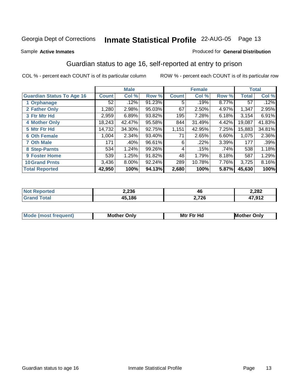#### Sample **Active Inmates**

### Produced for **General Distribution**

# Guardian status to age 16, self-reported at entry to prison

|                                  |              | <b>Male</b> |        |              | <b>Female</b> |       |              | <b>Total</b> |
|----------------------------------|--------------|-------------|--------|--------------|---------------|-------|--------------|--------------|
| <b>Guardian Status To Age 16</b> | <b>Count</b> | Col %       | Row %  | <b>Count</b> | Col %         | Row % | <b>Total</b> | Col %        |
| 1 Orphanage                      | 52           | .12%        | 91.23% | 5            | .19%          | 8.77% | 57           | .12%         |
| 2 Father Only                    | 1,280        | 2.98%       | 95.03% | 67           | 2.50%         | 4.97% | 1,347        | 2.95%        |
| 3 Ftr Mtr Hd                     | 2,959        | 6.89%       | 93.82% | 195          | 7.28%         | 6.18% | 3,154        | 6.91%        |
| <b>4 Mother Only</b>             | 18,243       | 42.47%      | 95.58% | 844          | 31.49%        | 4.42% | 19,087       | 41.83%       |
| 5 Mtr Ftr Hd                     | 14,732       | 34.30%      | 92.75% | 1,151        | 42.95%        | 7.25% | 15,883       | 34.81%       |
| <b>6 Oth Female</b>              | 1,004        | 2.34%       | 93.40% | 71           | 2.65%         | 6.60% | 1,075        | 2.36%        |
| <b>7 Oth Male</b>                | 171          | .40%        | 96.61% | 6            | $.22\%$       | 3.39% | 177          | .39%         |
| 8 Step-Parnts                    | 534          | 1.24%       | 99.26% | 4            | .15%          | .74%  | 538          | 1.18%        |
| <b>9 Foster Home</b>             | 539          | 1.25%       | 91.82% | 48           | 1.79%         | 8.18% | 587          | 1.29%        |
| <b>10 Grand Prnts</b>            | 3,436        | 8.00%       | 92.24% | 289          | 10.78%        | 7.76% | 3,725        | 8.16%        |
| <b>Total Reported</b>            | 42,950       | 100%        | 94.13% | 2,680        | 100%          | 5.87% | 45,630       | 100%         |

|         | 2,236          | 46                            | 2,282         |
|---------|----------------|-------------------------------|---------------|
| _______ | <u>הה ג הו</u> | 726<br>2,720<br>$\sim$ $\sim$ | 17 N1 2<br>__ |

| Mode             | Mother | Mtr Ftr Hd                                                                                                      | Only   |
|------------------|--------|-----------------------------------------------------------------------------------------------------------------|--------|
| most frequent) د | Only   | the contract of the contract of the contract of the contract of the contract of the contract of the contract of | Mother |
|                  |        |                                                                                                                 |        |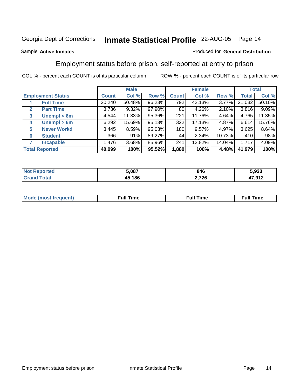### Sample **Active Inmates**

### Produced for **General Distribution**

# Employment status before prison, self-reported at entry to prison

|                                  |              | <b>Male</b> |        |              | <b>Female</b> |        |        | <b>Total</b> |
|----------------------------------|--------------|-------------|--------|--------------|---------------|--------|--------|--------------|
| <b>Employment Status</b>         | <b>Count</b> | Col %       | Row %  | <b>Count</b> | Col %         | Row %  | Total  | Col %        |
| <b>Full Time</b>                 | 20,240       | 50.48%      | 96.23% | 792          | 42.13%        | 3.77%  | 21,032 | 50.10%       |
| <b>Part Time</b><br>$\mathbf{2}$ | 3,736        | $9.32\%$    | 97.90% | 80           | 4.26%         | 2.10%  | 3,816  | 9.09%        |
| Unempl $<$ 6m<br>3               | 4,544        | 11.33%      | 95.36% | 221          | 11.76%        | 4.64%  | 4,765  | 11.35%       |
| Unempl > 6m<br>4                 | 6,292        | 15.69%      | 95.13% | 322          | 17.13%        | 4.87%  | 6,614  | 15.76%       |
| <b>Never Workd</b><br>5          | 3,445        | 8.59%       | 95.03% | 180          | 9.57%         | 4.97%  | 3,625  | 8.64%        |
| <b>Student</b><br>6              | 366          | .91%        | 89.27% | 44           | 2.34%         | 10.73% | 410    | .98%         |
| <b>Incapable</b>                 | 1,476        | 3.68%       | 85.96% | 241          | 12.82%        | 14.04% | 1,717  | 4.09%        |
| <b>Total Reported</b>            | 40,099       | 100%        | 95.52% | 1,880        | 100%          | 4.48%  | 41,979 | 100%         |

| тес<br>W. | 5,087  | 846   | . nnn<br>ว.933 |
|-----------|--------|-------|----------------|
| $\sim$ 40 | 45,186 | 2,726 | 17 012         |
| . Circ    |        |       | ' I A          |

| <b>Moo.</b><br>ner | --<br>me<br>uı. | ™e | ïme |
|--------------------|-----------------|----|-----|
|                    |                 |    |     |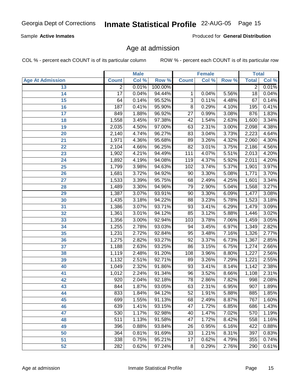### Sample **Active Inmates**

Produced for **General Distribution**

# Age at admission

|                         |                | <b>Male</b> |         |                 | <b>Female</b> |                  | <b>Total</b>   |       |
|-------------------------|----------------|-------------|---------|-----------------|---------------|------------------|----------------|-------|
| <b>Age At Admission</b> | <b>Count</b>   | Col %       | Row %   | <b>Count</b>    | Col %         | Row <sup>%</sup> | <b>Total</b>   | Col % |
| 13                      | $\overline{2}$ | 0.01%       | 100.00% |                 |               |                  | $\overline{2}$ | 0.01% |
| 14                      | 17             | 0.04%       | 94.44%  | 1               | 0.04%         | 5.56%            | 18             | 0.04% |
| 15                      | 64             | 0.14%       | 95.52%  | 3               | 0.11%         | 4.48%            | 67             | 0.14% |
| 16                      | 187            | 0.41%       | 95.90%  | 8               | 0.29%         | 4.10%            | 195            | 0.41% |
| 17                      | 849            | 1.88%       | 96.92%  | $\overline{27}$ | 0.99%         | 3.08%            | 876            | 1.83% |
| 18                      | 1,558          | 3.45%       | 97.38%  | $\overline{42}$ | 1.54%         | 2.63%            | 1,600          | 3.34% |
| 19                      | 2,035          | 4.50%       | 97.00%  | 63              | 2.31%         | 3.00%            | 2,098          | 4.38% |
| 20                      | 2,140          | 4.74%       | 96.27%  | 83              | 3.04%         | 3.73%            | 2,223          | 4.64% |
| 21                      | 1,971          | 4.36%       | 95.68%  | 89              | 3.26%         | 4.32%            | 2,060          | 4.30% |
| 22                      | 2,104          | 4.66%       | 96.25%  | $\overline{82}$ | 3.01%         | 3.75%            | 2,186          | 4.56% |
| 23                      | 1,902          | 4.21%       | 94.49%  | 111             | 4.07%         | 5.51%            | 2,013          | 4.20% |
| 24                      | 1,892          | 4.19%       | 94.08%  | 119             | 4.37%         | 5.92%            | 2,011          | 4.20% |
| 25                      | 1,799          | 3.98%       | 94.63%  | 102             | 3.74%         | 5.37%            | 1,901          | 3.97% |
| 26                      | 1,681          | 3.72%       | 94.92%  | 90              | 3.30%         | 5.08%            | 1,771          | 3.70% |
| 27                      | 1,533          | 3.39%       | 95.75%  | 68              | 2.49%         | 4.25%            | 1,601          | 3.34% |
| 28                      | 1,489          | 3.30%       | 94.96%  | 79              | 2.90%         | 5.04%            | 1,568          | 3.27% |
| 29                      | 1,387          | 3.07%       | 93.91%  | 90              | 3.30%         | 6.09%            | 1,477          | 3.08% |
| 30                      | 1,435          | 3.18%       | 94.22%  | 88              | 3.23%         | 5.78%            | 1,523          | 3.18% |
| 31                      | 1,386          | 3.07%       | 93.71%  | 93              | 3.41%         | 6.29%            | 1,479          | 3.09% |
| 32                      | 1,361          | 3.01%       | 94.12%  | 85              | 3.12%         | 5.88%            | 1,446          | 3.02% |
| 33                      | 1,356          | 3.00%       | 92.94%  | 103             | 3.78%         | 7.06%            | 1,459          | 3.05% |
| 34                      | 1,255          | 2.78%       | 93.03%  | 94              | 3.45%         | 6.97%            | 1,349          | 2.82% |
| 35                      | 1,231          | 2.72%       | 92.84%  | 95              | 3.48%         | 7.16%            | 1,326          | 2.77% |
| 36                      | 1,275          | 2.82%       | 93.27%  | $\overline{92}$ | 3.37%         | 6.73%            | 1,367          | 2.85% |
| 37                      | 1,188          | 2.63%       | 93.25%  | 86              | 3.15%         | 6.75%            | 1,274          | 2.66% |
| 38                      | 1,119          | 2.48%       | 91.20%  | 108             | 3.96%         | 8.80%            | 1,227          | 2.56% |
| 39                      | 1,132          | 2.51%       | 92.71%  | 89              | 3.26%         | 7.29%            | 1,221          | 2.55% |
| 40                      | 1,049          | 2.32%       | 91.86%  | 93              | 3.41%         | 8.14%            | 1,142          | 2.38% |
| 41                      | 1,012          | 2.24%       | 91.34%  | $\overline{96}$ | 3.52%         | 8.66%            | 1,108          | 2.31% |
| 42                      | 920            | 2.04%       | 92.18%  | 78              | 2.86%         | 7.82%            | 998            | 2.08% |
| 43                      | 844            | 1.87%       | 93.05%  | 63              | 2.31%         | 6.95%            | 907            | 1.89% |
| 44                      | 833            | 1.84%       | 94.12%  | $\overline{52}$ | 1.91%         | 5.88%            | 885            | 1.85% |
| 45                      | 699            | 1.55%       | 91.13%  | 68              | 2.49%         | 8.87%            | 767            | 1.60% |
| 46                      | 639            | 1.41%       | 93.15%  | 47              | 1.72%         | 6.85%            | 686            | 1.43% |
| 47                      | 530            | 1.17%       | 92.98%  | 40              | 1.47%         | 7.02%            | 570            | 1.19% |
| 48                      | 511            | 1.13%       | 91.58%  | 47              | 1.72%         | 8.42%            | 558            | 1.16% |
| 49                      | 396            | 0.88%       | 93.84%  | 26              | 0.95%         | 6.16%            | 422            | 0.88% |
| 50                      | 364            | 0.81%       | 91.69%  | 33              | 1.21%         | 8.31%            | 397            | 0.83% |
| 51                      | 338            | 0.75%       | 95.21%  | 17              | 0.62%         | 4.79%            | 355            | 0.74% |
| 52                      | 282            | 0.62%       | 97.24%  | 8               | 0.29%         | 2.76%            | 290            | 0.61% |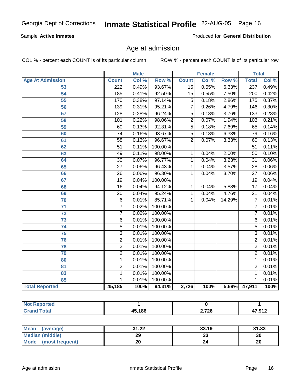### Sample **Active Inmates**

Produced for **General Distribution**

# Age at admission

|                         | <b>Male</b>      |       | <b>Female</b> |                 |       | <b>Total</b> |                  |       |
|-------------------------|------------------|-------|---------------|-----------------|-------|--------------|------------------|-------|
| <b>Age At Admission</b> | <b>Count</b>     | Col % | Row %         | <b>Count</b>    | Col % | Row %        | <b>Total</b>     | Col % |
| 53                      | $\overline{222}$ | 0.49% | 93.67%        | $\overline{15}$ | 0.55% | 6.33%        | 237              | 0.49% |
| $\overline{54}$         | 185              | 0.41% | 92.50%        | $\overline{15}$ | 0.55% | 7.50%        | $\overline{200}$ | 0.42% |
| $\overline{55}$         | 170              | 0.38% | 97.14%        | $\overline{5}$  | 0.18% | 2.86%        | 175              | 0.37% |
| $\overline{56}$         | 139              | 0.31% | 95.21%        | $\overline{7}$  | 0.26% | 4.79%        | 146              | 0.30% |
| $\overline{57}$         | 128              | 0.28% | 96.24%        | $\overline{5}$  | 0.18% | 3.76%        | 133              | 0.28% |
| 58                      | 101              | 0.22% | 98.06%        | $\overline{2}$  | 0.07% | 1.94%        | 103              | 0.21% |
| 59                      | 60               | 0.13% | 92.31%        | $\overline{5}$  | 0.18% | 7.69%        | 65               | 0.14% |
| 60                      | $\overline{74}$  | 0.16% | 93.67%        | $\overline{5}$  | 0.18% | 6.33%        | $\overline{79}$  | 0.16% |
| 61                      | $\overline{58}$  | 0.13% | 96.67%        | $\overline{2}$  | 0.07% | 3.33%        | 60               | 0.13% |
| 62                      | $\overline{51}$  | 0.11% | 100.00%       |                 |       |              | $\overline{51}$  | 0.11% |
| 63                      | 49               | 0.11% | 98.00%        | 1               | 0.04% | 2.00%        | $\overline{50}$  | 0.10% |
| 64                      | $\overline{30}$  | 0.07% | 96.77%        | $\mathbf{1}$    | 0.04% | 3.23%        | $\overline{31}$  | 0.06% |
| 65                      | $\overline{27}$  | 0.06% | 96.43%        | $\mathbf{1}$    | 0.04% | 3.57%        | $\overline{28}$  | 0.06% |
| 66                      | $\overline{26}$  | 0.06% | 96.30%        | 1               | 0.04% | 3.70%        | $\overline{27}$  | 0.06% |
| 67                      | $\overline{19}$  | 0.04% | 100.00%       |                 |       |              | $\overline{19}$  | 0.04% |
| 68                      | $\overline{16}$  | 0.04% | 94.12%        | 1               | 0.04% | 5.88%        | $\overline{17}$  | 0.04% |
| 69                      | $\overline{20}$  | 0.04% | 95.24%        | 1               | 0.04% | 4.76%        | $\overline{21}$  | 0.04% |
| 70                      | $\overline{6}$   | 0.01% | 85.71%        | 1               | 0.04% | 14.29%       | $\overline{7}$   | 0.01% |
| $\overline{71}$         | $\overline{7}$   | 0.02% | 100.00%       |                 |       |              | 7                | 0.01% |
| $\overline{72}$         | $\overline{7}$   | 0.02% | 100.00%       |                 |       |              | $\overline{7}$   | 0.01% |
| 73                      | $\overline{6}$   | 0.01% | 100.00%       |                 |       |              | $\overline{6}$   | 0.01% |
| 74                      | $\overline{5}$   | 0.01% | 100.00%       |                 |       |              | $\overline{5}$   | 0.01% |
| $\overline{75}$         | $\overline{3}$   | 0.01% | 100.00%       |                 |       |              | 3                | 0.01% |
| 76                      | $\overline{2}$   | 0.01% | 100.00%       |                 |       |              | $\overline{2}$   | 0.01% |
| 78                      | $\overline{2}$   | 0.01% | 100.00%       |                 |       |              | $\overline{2}$   | 0.01% |
| 79                      | $\overline{2}$   | 0.01% | 100.00%       |                 |       |              | $\overline{2}$   | 0.01% |
| 80                      | 1                | 0.01% | 100.00%       |                 |       |              | 1                | 0.01% |
| 81                      | 2                | 0.01% | 100.00%       |                 |       |              | $\overline{2}$   | 0.01% |
| 83                      | 1                | 0.01% | 100.00%       |                 |       |              | $\mathbf 1$      | 0.01% |
| 85                      | 1                | 0.01% | 100.00%       |                 |       |              | 1                | 0.01% |
| <b>Total Reported</b>   | 45,185           | 100%  | 94.31%        | 2,726           | 100%  |              | 5.69% 47,911     | 100%  |

| Reported<br>I NOT F<br>$\sim$ |        |                      |        |
|-------------------------------|--------|----------------------|--------|
| <b>Total</b>                  | 45,186 | ארד ר<br>$\sim, 120$ | 47,912 |

| Mean<br>(average)       | 31.22 | 33.19 | 31.33     |
|-------------------------|-------|-------|-----------|
| Median (middle)         | 29    | JJ    | 30        |
| Mode<br>(most frequent) | ົດດ   |       | ົາດ<br>zu |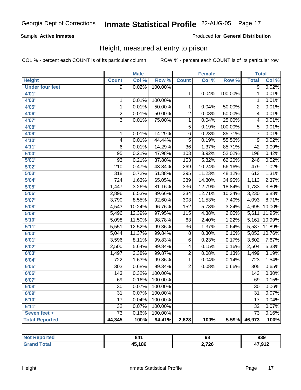### Sample **Active Inmates**

### Produced for **General Distribution**

# Height, measured at entry to prison

|                        |                  | <b>Male</b> |                  |                  | <b>Female</b> |                  | <b>Total</b>     |                            |
|------------------------|------------------|-------------|------------------|------------------|---------------|------------------|------------------|----------------------------|
| <b>Height</b>          | <b>Count</b>     | Col %       | Row <sup>%</sup> | <b>Count</b>     | Col %         | Row <sup>%</sup> | <b>Total</b>     | $\overline{\text{Col }^9}$ |
| <b>Under four feet</b> | $\overline{9}$   | 0.02%       | 100.00%          |                  |               |                  | $\overline{9}$   | 0.02%                      |
| 4'01''                 |                  |             |                  | $\mathbf{1}$     | 0.04%         | 100.00%          | $\mathbf{1}$     | 0.01%                      |
| 4'03"                  | $\mathbf 1$      | 0.01%       | 100.00%          |                  |               |                  | $\mathbf{1}$     | 0.01%                      |
| 4'05"                  | $\overline{1}$   | 0.01%       | 50.00%           | 1                | 0.04%         | 50.00%           | $\overline{2}$   | 0.01%                      |
| 4'06"                  | $\overline{2}$   | 0.01%       | 50.00%           | $\overline{2}$   | 0.08%         | 50.00%           | $\overline{4}$   | 0.01%                      |
| 4'07"                  | $\overline{3}$   | 0.01%       | 75.00%           | $\overline{1}$   | 0.04%         | 25.00%           | $\overline{4}$   | 0.01%                      |
| 4'08"                  |                  |             |                  | $\overline{5}$   | 0.19%         | 100.00%          | $\overline{5}$   | 0.01%                      |
| 4'09"                  | $\mathbf 1$      | 0.01%       | 14.29%           | $\overline{6}$   | 0.23%         | 85.71%           | 7                | 0.01%                      |
| 4'10"                  | $\overline{4}$   | 0.01%       | 44.44%           | $\overline{5}$   | 0.19%         | 55.56%           | $\overline{9}$   | 0.02%                      |
| 4'11''                 | $\overline{6}$   | 0.01%       | 14.29%           | $\overline{36}$  | 1.37%         | 85.71%           | $\overline{42}$  | 0.09%                      |
| 5'00''                 | $\overline{95}$  | 0.21%       | 47.98%           | 103              | 3.92%         | 52.02%           | 198              | 0.42%                      |
| 5'01''                 | 93               | 0.21%       | 37.80%           | 153              | 5.82%         | 62.20%           | $\overline{246}$ | 0.52%                      |
| 5'02"                  | $\overline{210}$ | 0.47%       | 43.84%           | $\overline{269}$ | 10.24%        | 56.16%           | 479              | 1.02%                      |
| 5'03''                 | $\overline{318}$ | 0.72%       | 51.88%           | 295              | 11.23%        | 48.12%           | $\overline{613}$ | 1.31%                      |
| 5'04"                  | $\overline{724}$ | 1.63%       | 65.05%           | 389              | 14.80%        | 34.95%           | 1,113            | 2.37%                      |
| 5'05"                  | 1,447            | 3.26%       | 81.16%           | 336              | 12.79%        | 18.84%           | 1,783            | 3.80%                      |
| 5'06''                 | 2,896            | 6.53%       | 89.66%           | 334              | 12.71%        | 10.34%           | 3,230            | 6.88%                      |
| 5'07''                 | 3,790            | 8.55%       | 92.60%           | $\overline{303}$ | 11.53%        | 7.40%            | 4,093            | 8.71%                      |
| 5'08''                 | 4,543            | 10.24%      | 96.76%           | $\overline{152}$ | 5.78%         | 3.24%            | 4,695            | 10.00%                     |
| 5'09''                 | 5,496            | 12.39%      | 97.95%           | $\overline{115}$ | 4.38%         | 2.05%            | 5,611            | 11.95%                     |
| 5'10''                 | 5,098            | 11.50%      | 98.78%           | $\overline{63}$  | 2.40%         | 1.22%            | 5,161            | 10.99%                     |
| 5'11''                 | 5,551            | 12.52%      | 99.36%           | $\overline{36}$  | 1.37%         | 0.64%            | 5,587            | 11.89%                     |
| 6'00''                 | 5,044            | 11.37%      | 99.84%           | $\overline{8}$   | 0.30%         | 0.16%            | 5,052            | 10.76%                     |
| 6'01''                 | 3,596            | 8.11%       | 99.83%           | $\overline{6}$   | 0.23%         | 0.17%            | 3,602            | 7.67%                      |
| 6'02''                 | 2,500            | 5.64%       | 99.84%           | $\overline{4}$   | 0.15%         | 0.16%            | 2,504            | 5.33%                      |
| 6'03''                 | 1,497            | 3.38%       | 99.87%           | $\overline{2}$   | 0.08%         | 0.13%            | 1,499            | 3.19%                      |
| 6'04''                 | $\overline{722}$ | 1.63%       | 99.86%           | $\overline{1}$   | 0.04%         | 0.14%            | $\overline{723}$ | 1.54%                      |
| 6'05''                 | $\overline{303}$ | 0.68%       | 99.34%           | $\overline{2}$   | 0.08%         | 0.66%            | $\overline{305}$ | 0.65%                      |
| 6'06''                 | 143              | 0.32%       | 100.00%          |                  |               |                  | 143              | 0.30%                      |
| 6'07''                 | 69               | 0.16%       | 100.00%          |                  |               |                  | 69               | 0.15%                      |
| 6'08''                 | $\overline{30}$  | 0.07%       | 100.00%          |                  |               |                  | $\overline{30}$  | 0.06%                      |
| 6'09''                 | $\overline{31}$  | 0.07%       | 100.00%          |                  |               |                  | $\overline{31}$  | 0.07%                      |
| 6'10''                 | $\overline{17}$  | 0.04%       | 100.00%          |                  |               |                  | $\overline{17}$  | 0.04%                      |
| 6'11''                 | $\overline{32}$  | 0.07%       | 100.00%          |                  |               |                  | $\overline{32}$  | 0.07%                      |
| Seven feet +           | $\overline{73}$  | 0.16%       | 100.00%          |                  |               |                  | $\overline{73}$  | 0.16%                      |
| <b>Total Reported</b>  | 44,345           | 100%        | 94.41%           | 2,628            | 100%          | 5.59%            | 46,973           | 100%                       |

| <b>Not</b><br><b>eported</b> | 841    | 98    | 939    |
|------------------------------|--------|-------|--------|
| <b>fotal</b><br>Ciro         | 45,186 | 2,726 | 17.017 |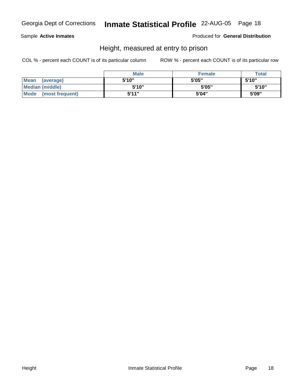Sample **Active Inmates**

Produced for **General Distribution**

# Height, measured at entry to prison

|                        | <b>Male</b> | <b>Female</b> | <b>Total</b> |
|------------------------|-------------|---------------|--------------|
| Mean (average)         | 5'10"       | 5'05"         | 5'10"        |
| <b>Median (middle)</b> | 5'10"       | 5'05"         | 5'10''       |
| Mode (most frequent)   | 5'11"       | 5'04"         | 5'09"        |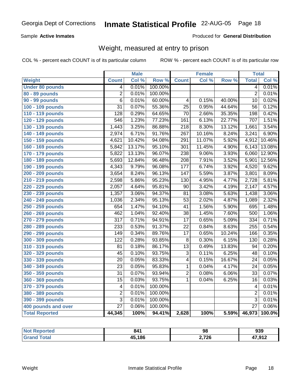### Sample **Active Inmates**

### Produced for **General Distribution**

# Weight, measured at entry to prison

|                        |                         | <b>Male</b> |         |                  | <b>Female</b> |        | <b>Total</b>    |        |
|------------------------|-------------------------|-------------|---------|------------------|---------------|--------|-----------------|--------|
| Weight                 | <b>Count</b>            | Col %       | Row %   | <b>Count</b>     | Col %         | Row %  | <b>Total</b>    | Col %  |
| <b>Under 80 pounds</b> | 4                       | 0.01%       | 100.00% |                  |               |        | $\overline{4}$  | 0.01%  |
| 80 - 89 pounds         | $\overline{2}$          | 0.01%       | 100.00% |                  |               |        | $\overline{2}$  | 0.01%  |
| <b>90 - 99 pounds</b>  | $\overline{6}$          | 0.01%       | 60.00%  | $\overline{4}$   | 0.15%         | 40.00% | $\overline{10}$ | 0.02%  |
| 100 - 109 pounds       | $\overline{31}$         | 0.07%       | 55.36%  | $\overline{25}$  | 0.95%         | 44.64% | $\overline{56}$ | 0.12%  |
| 110 - 119 pounds       | 128                     | 0.29%       | 64.65%  | $\overline{70}$  | 2.66%         | 35.35% | 198             | 0.42%  |
| 120 - 129 pounds       | $\overline{546}$        | 1.23%       | 77.23%  | 161              | 6.13%         | 22.77% | 707             | 1.51%  |
| 130 - 139 pounds       | 1,443                   | 3.25%       | 86.88%  | $\overline{218}$ | 8.30%         | 13.12% | 1,661           | 3.54%  |
| 140 - 149 pounds       | 2,974                   | 6.71%       | 91.76%  | $\overline{267}$ | 10.16%        | 8.24%  | 3,241           | 6.90%  |
| 150 - 159 pounds       | 4,621                   | 10.42%      | 94.08%  | $\overline{291}$ | 11.07%        | 5.92%  | 4,912           | 10.46% |
| 160 - 169 pounds       | 5,842                   | 13.17%      | 95.10%  | $\overline{301}$ | 11.45%        | 4.90%  | 6,143           | 13.08% |
| 170 - 179 pounds       | 5,822                   | 13.13%      | 96.07%  | 238              | 9.06%         | 3.93%  | 6,060           | 12.90% |
| 180 - 189 pounds       | 5,693                   | 12.84%      | 96.48%  | $\overline{208}$ | 7.91%         | 3.52%  | 5,901           | 12.56% |
| 190 - 199 pounds       | 4,343                   | 9.79%       | 96.08%  | 177              | 6.74%         | 3.92%  | 4,520           | 9.62%  |
| 200 - 209 pounds       | 3,654                   | 8.24%       | 96.13%  | 147              | 5.59%         | 3.87%  | 3,801           | 8.09%  |
| 210 - 219 pounds       | 2,598                   | 5.86%       | 95.23%  | 130              | 4.95%         | 4.77%  | 2,728           | 5.81%  |
| 220 - 229 pounds       | 2,057                   | 4.64%       | 95.81%  | $\overline{90}$  | 3.42%         | 4.19%  | 2,147           | 4.57%  |
| 230 - 239 pounds       | 1,357                   | 3.06%       | 94.37%  | $\overline{81}$  | 3.08%         | 5.63%  | 1,438           | 3.06%  |
| 240 - 249 pounds       | 1,036                   | 2.34%       | 95.13%  | $\overline{53}$  | 2.02%         | 4.87%  | 1,089           | 2.32%  |
| 250 - 259 pounds       | 654                     | 1.47%       | 94.10%  | $\overline{41}$  | 1.56%         | 5.90%  | 695             | 1.48%  |
| 260 - 269 pounds       | 462                     | 1.04%       | 92.40%  | $\overline{38}$  | 1.45%         | 7.60%  | 500             | 1.06%  |
| 270 - 279 pounds       | $\overline{317}$        | 0.71%       | 94.91%  | $\overline{17}$  | 0.65%         | 5.09%  | 334             | 0.71%  |
| 280 - 289 pounds       | 233                     | 0.53%       | 91.37%  | $\overline{22}$  | 0.84%         | 8.63%  | 255             | 0.54%  |
| 290 - 299 pounds       | 149                     | 0.34%       | 89.76%  | $\overline{17}$  | 0.65%         | 10.24% | 166             | 0.35%  |
| 300 - 309 pounds       | $\overline{122}$        | 0.28%       | 93.85%  | $\overline{8}$   | 0.30%         | 6.15%  | 130             | 0.28%  |
| 310 - 319 pounds       | $\overline{81}$         | 0.18%       | 86.17%  | $\overline{13}$  | 0.49%         | 13.83% | $\overline{94}$ | 0.20%  |
| 320 - 329 pounds       | 45                      | 0.10%       | 93.75%  | $\overline{3}$   | 0.11%         | 6.25%  | 48              | 0.10%  |
| 330 - 339 pounds       | $\overline{20}$         | 0.05%       | 83.33%  | $\overline{4}$   | 0.15%         | 16.67% | $\overline{24}$ | 0.05%  |
| 340 - 349 pounds       | $\overline{23}$         | 0.05%       | 95.83%  | $\mathbf{1}$     | 0.04%         | 4.17%  | $\overline{24}$ | 0.05%  |
| 350 - 359 pounds       | $\overline{31}$         | 0.07%       | 93.94%  | $\overline{2}$   | 0.08%         | 6.06%  | $\overline{33}$ | 0.07%  |
| 360 - 369 pounds       | $\overline{15}$         | 0.03%       | 93.75%  | $\overline{1}$   | 0.04%         | 6.25%  | $\overline{16}$ | 0.03%  |
| 370 - 379 pounds       | $\overline{\mathbf{4}}$ | 0.01%       | 100.00% |                  |               |        | 4               | 0.01%  |
| 380 - 389 pounds       | $\overline{2}$          | 0.01%       | 100.00% |                  |               |        | $\overline{2}$  | 0.01%  |
| 390 - 399 pounds       | 3                       | 0.01%       | 100.00% |                  |               |        | $\overline{3}$  | 0.01%  |
| 400 pounds and over    | $\overline{27}$         | 0.06%       | 100.00% |                  |               |        | $\overline{27}$ | 0.06%  |
| <b>Total Reported</b>  | 44,345                  | 100%        | 94.41%  | 2,628            | 100%          | 5.59%  | 46,973          | 100.0% |

| <b>Not</b><br>Reported | 841    | 98    | 939    |
|------------------------|--------|-------|--------|
| <b>Total</b>           | 45,186 | 2,726 | 47,912 |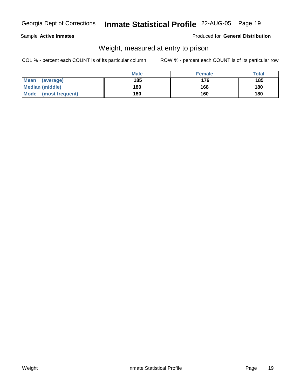Sample **Active Inmates**

Produced for **General Distribution**

# Weight, measured at entry to prison

|                        | <b>Male</b> | <b>Female</b> | <b>Total</b> |
|------------------------|-------------|---------------|--------------|
| Mean<br>(average)      | 185         | 176           | 185          |
| <b>Median (middle)</b> | 180         | 168           | 180          |
| Mode (most frequent)   | 180         | 160           | 180          |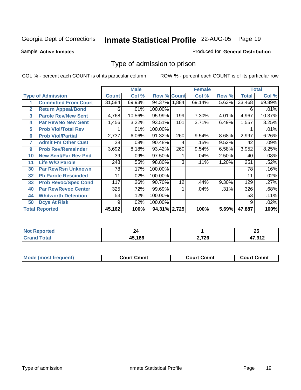Sample **Active Inmates**

### Produced for **General Distribution**

# Type of admission to prison

|                       |                             |              | <b>Male</b> |                    | <b>Female</b> |        |       |              | <b>Total</b> |
|-----------------------|-----------------------------|--------------|-------------|--------------------|---------------|--------|-------|--------------|--------------|
|                       | <b>Type of Admission</b>    | <b>Count</b> | Col %       | <b>Row % Count</b> |               | Col %  | Row % | <b>Total</b> | Col %        |
| 1                     | <b>Committed From Court</b> | 31,584       | 69.93%      | 94.37% 1,884       |               | 69.14% | 5.63% | 33,468       | 69.89%       |
| $\overline{2}$        | <b>Return Appeal/Bond</b>   | 6            | .01%        | 100.00%            |               |        |       | 6            | .01%         |
| 3                     | <b>Parole Rev/New Sent</b>  | 4,768        | 10.56%      | 95.99%             | 199           | 7.30%  | 4.01% | 4,967        | 10.37%       |
| 4                     | <b>Par Rev/No New Sent</b>  | 1,456        | 3.22%       | 93.51%             | 101           | 3.71%  | 6.49% | 1,557        | 3.25%        |
| 5                     | <b>Prob Viol/Total Rev</b>  |              | .01%        | 100.00%            |               |        |       |              | .01%         |
| 6                     | <b>Prob Viol/Partial</b>    | 2,737        | 6.06%       | 91.32%             | 260           | 9.54%  | 8.68% | 2,997        | 6.26%        |
| 7                     | <b>Admit Fm Other Cust</b>  | 38           | .08%        | 90.48%             | 4             | .15%   | 9.52% | 42           | .09%         |
| 9                     | <b>Prob Rev/Remainder</b>   | 3,692        | 8.18%       | 93.42%             | 260           | 9.54%  | 6.58% | 3,952        | 8.25%        |
| 10                    | <b>New Sent/Par Rev Pnd</b> | 39           | .09%        | 97.50%             |               | .04%   | 2.50% | 40           | .08%         |
| 11                    | <b>Life W/O Parole</b>      | 248          | .55%        | 98.80%             | 3             | .11%   | 1.20% | 251          | .52%         |
| 30                    | <b>Par Rev/Rsn Unknown</b>  | 78           | .17%        | 100.00%            |               |        |       | 78           | .16%         |
| 32                    | <b>Pb Parole Rescinded</b>  | 11           | .02%        | 100.00%            |               |        |       | 11           | .02%         |
| 33                    | <b>Prob Revoc/Spec Cond</b> | 117          | .26%        | 90.70%             | 12            | .44%   | 9.30% | 129          | .27%         |
| 40                    | <b>Par Rev/Revoc Center</b> | 325          | .72%        | 99.69%             |               | .04%   | .31%  | 326          | .68%         |
| 44                    | <b>Whitworth Detention</b>  | 53           | .12%        | 100.00%            |               |        |       | 53           | .11%         |
| 50                    | <b>Dcys At Risk</b>         | 9            | .02%        | 100.00%            |               |        |       | 9            | .02%         |
| <b>Total Reported</b> |                             | 45,162       | 100%        | 94.31% 2,725       |               | 100%   | 5.69% | 47,887       | 100%         |

| <b>NOT</b><br>eported |        |           | יפ<br>∠J    |
|-----------------------|--------|-----------|-------------|
| _____                 | 15.186 | 726<br>__ | 17.01c<br>, |

| <b>Mou</b><br>วmmt<br>freauent)<br>.ourtث<br>$\cdots$ | Cmmt<br>Court - | Cmmu<br>∵יווח… |
|-------------------------------------------------------|-----------------|----------------|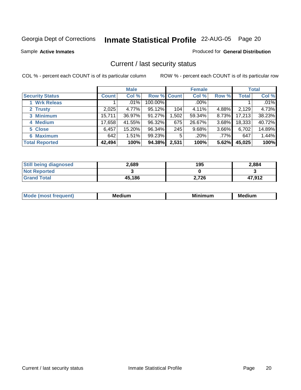Sample **Active Inmates**

### Produced for **General Distribution**

# Current / last security status

|                        | <b>Male</b>  |        |             | <b>Female</b> |         |          | <b>Total</b> |         |
|------------------------|--------------|--------|-------------|---------------|---------|----------|--------------|---------|
| <b>Security Status</b> | <b>Count</b> | Col %  | Row % Count |               | Col %   | Row %    | Total        | Col %   |
| 1 Wrk Releas           |              | .01%   | 100.00%     |               | $.00\%$ |          |              | $.01\%$ |
| 2 Trusty               | 2,025        | 4.77%  | 95.12%      | 104           | 4.11%   | 4.88%    | 2,129        | 4.73%   |
| 3 Minimum              | 15,711       | 36.97% | 91.27%      | .502          | 59.34%  | 8.73%    | 17,213       | 38.23%  |
| 4 Medium               | 17,658       | 41.55% | 96.32%      | 675           | 26.67%  | 3.68%    | 18,333       | 40.72%  |
| 5 Close                | 6,457        | 15.20% | 96.34%      | 245           | 9.68%   | $3.66\%$ | 6,702        | 14.89%  |
| 6 Maximum              | 642          | 1.51%  | 99.23%      | 5             | .20%    | $.77\%$  | 647          | 1.44%   |
| <b>Total Reported</b>  | 42,494       | 100%   | 94.38%      | 2,531         | 100%    | 5.62%    | 45,025       | 100%    |

| <b>Still being diagnosed</b> | 2,689  | 195   | 2,884  |
|------------------------------|--------|-------|--------|
| <b>Not Reported</b>          |        |       |        |
| <b>Grand Total</b>           | 45,186 | 2,726 | 47,912 |

| M | мc | ---<br>M<br>ш | - -<br>---<br>w<br>. |
|---|----|---------------|----------------------|
|   |    |               |                      |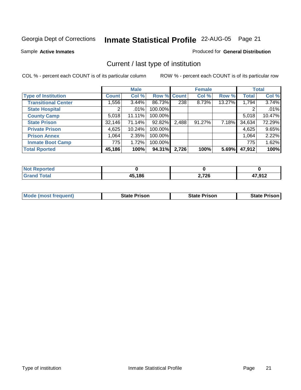Sample **Active Inmates**

### Produced for **General Distribution**

# Current / last type of institution

|                            |              | <b>Male</b> |             |       | <b>Female</b> |        |              | <b>Total</b> |
|----------------------------|--------------|-------------|-------------|-------|---------------|--------|--------------|--------------|
| <b>Type of Institution</b> | <b>Count</b> | Col %       | Row % Count |       | Col %         | Row %  | <b>Total</b> | Col %        |
| <b>Transitional Center</b> | 1,556        | $3.44\%$    | 86.73%      | 238   | 8.73%         | 13.27% | 1,794        | 3.74%        |
| <b>State Hospital</b>      | 2            | $.01\%$     | 100.00%     |       |               |        |              | .01%         |
| <b>County Camp</b>         | 5,018        | 11.11%      | 100.00%     |       |               |        | 5,018        | 10.47%       |
| <b>State Prison</b>        | 32,146       | 71.14%      | 92.82%      | 2,488 | $91.27\%$     | 7.18%  | 34,634       | 72.29%       |
| <b>Private Prison</b>      | 4,625        | 10.24%      | 100.00%     |       |               |        | 4,625        | 9.65%        |
| <b>Prison Annex</b>        | 1,064        | 2.35%       | 100.00%     |       |               |        | 1,064        | 2.22%        |
| <b>Inmate Boot Camp</b>    | 775          | 1.72%       | 100.00%     |       |               |        | 775          | 1.62%        |
| <b>Total Rported</b>       | 45,186       | 100%        | 94.31%      | 2,726 | 100%          | 5.69%  | 47,912       | 100%         |

| orted<br>N0 |        |       |                     |
|-------------|--------|-------|---------------------|
| <b>otal</b> | 45,186 | 2,726 | 17 012<br>ـ 1 J J J |

| <b>Mode (most frequent)</b> | <b>State Prison</b> | <b>State Prison</b> | State Prison |
|-----------------------------|---------------------|---------------------|--------------|
|                             |                     |                     |              |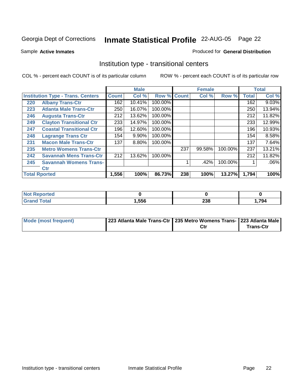Sample **Active Inmates**

### Produced for **General Distribution**

# Institution type - transitional centers

|     |                                          | <b>Male</b>  |        | <b>Female</b>      |     | <b>Total</b> |         |              |          |
|-----|------------------------------------------|--------------|--------|--------------------|-----|--------------|---------|--------------|----------|
|     | <b>Institution Type - Trans. Centers</b> | <b>Count</b> | Col %  | <b>Row % Count</b> |     | Col %        | Row %   | <b>Total</b> | Col %    |
| 220 | <b>Albany Trans-Ctr</b>                  | 162          | 10.41% | 100.00%            |     |              |         | 162          | $9.03\%$ |
| 223 | <b>Atlanta Male Trans-Ctr</b>            | 250          | 16.07% | 100.00%            |     |              |         | 250          | 13.94%   |
| 246 | <b>Augusta Trans-Ctr</b>                 | 212          | 13.62% | 100.00%            |     |              |         | 212          | 11.82%   |
| 249 | <b>Clayton Transitional Ctr</b>          | 233          | 14.97% | 100.00%            |     |              |         | 233          | 12.99%   |
| 247 | <b>Coastal Transitional Ctr</b>          | 196          | 12.60% | 100.00%            |     |              |         | 196          | 10.93%   |
| 248 | <b>Lagrange Trans Ctr</b>                | 154          | 9.90%  | 100.00%            |     |              |         | 154          | 8.58%    |
| 231 | <b>Macon Male Trans-Ctr</b>              | 137          | 8.80%  | 100.00%            |     |              |         | 137          | 7.64%    |
| 235 | <b>Metro Womens Trans-Ctr</b>            |              |        |                    | 237 | 99.58%       | 100.00% | 237          | 13.21%   |
| 242 | <b>Savannah Mens Trans-Ctr</b>           | 212          | 13.62% | 100.00%            |     |              |         | 212          | 11.82%   |
| 245 | <b>Savannah Womens Trans-</b>            |              |        |                    |     | .42%         | 100.00% |              | $.06\%$  |
|     | <b>Ctr</b>                               |              |        |                    |     |              |         |              |          |
|     | <b>Total Rported</b>                     | 1,556        | 100%   | 86.73%             | 238 | 100%         | 13.27%  | 1,794        | 100%     |

| ™otal | <b>1,556</b> | ີ<br>290 | 1,794 |
|-------|--------------|----------|-------|

| Mode (most frequent) | 223 Atlanta Male Trans-Ctr   235 Metro Womens Trans- 223 Atlanta Male |     |           |
|----------------------|-----------------------------------------------------------------------|-----|-----------|
|                      |                                                                       | Ctı | Trans-Ctr |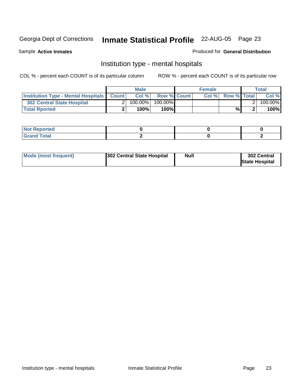Sample **Active Inmates**

### Produced for **General Distribution**

# Institution type - mental hospitals

|                                                      | <b>Male</b> |            |                    | <b>Female</b> |      |                    | <b>Total</b> |         |
|------------------------------------------------------|-------------|------------|--------------------|---------------|------|--------------------|--------------|---------|
| <b>Institution Type - Mental Hospitals   Count  </b> |             | Col%       | <b>Row % Count</b> |               | Col% | <b>Row % Total</b> |              | Col %   |
| 302 Central State Hospital                           |             | $100.00\%$ | 100.00%            |               |      |                    |              | 100.00% |
| <b>Total Rported</b>                                 |             | 100%       | 100%               |               |      | %                  |              | 100%    |

| N<br>ortea<br>wehr.<br>$\sim$            |  |  |
|------------------------------------------|--|--|
| $\mathcal{L}$ and $\mathcal{L}$<br>_____ |  |  |

| Mode (most frequent) | <b>Null</b><br>302 Central State Hospital | 302 Central<br><b>State Hospital</b> |
|----------------------|-------------------------------------------|--------------------------------------|
|----------------------|-------------------------------------------|--------------------------------------|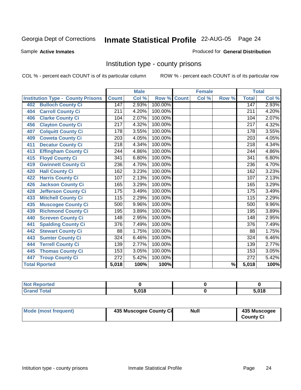Sample **Active Inmates**

### Produced for **General Distribution**

# Institution type - county prisons

|                                          |                  | <b>Male</b> |         |              | <b>Female</b> |                          |                  | <b>Total</b> |
|------------------------------------------|------------------|-------------|---------|--------------|---------------|--------------------------|------------------|--------------|
| <b>Institution Type - County Prisons</b> | <b>Count</b>     | Col %       | Row %   | <b>Count</b> | Col %         | Row %                    | <b>Total</b>     | Col %        |
| <b>Bulloch County Ci</b><br>402          | 147              | 2.93%       | 100.00% |              |               |                          | 147              | 2.93%        |
| <b>Carroll County Ci</b><br>404          | 211              | 4.20%       | 100.00% |              |               |                          | $\overline{211}$ | 4.20%        |
| <b>Clarke County Ci</b><br>406           | 104              | 2.07%       | 100.00% |              |               |                          | 104              | 2.07%        |
| <b>Clayton County Ci</b><br>456          | 217              | 4.32%       | 100.00% |              |               |                          | 217              | 4.32%        |
| <b>Colquitt County Ci</b><br>407         | 178              | 3.55%       | 100.00% |              |               |                          | 178              | 3.55%        |
| <b>Coweta County Ci</b><br>409           | $\overline{203}$ | 4.05%       | 100.00% |              |               |                          | 203              | 4.05%        |
| <b>Decatur County Ci</b><br>411          | $\overline{218}$ | 4.34%       | 100.00% |              |               |                          | $\overline{218}$ | 4.34%        |
| <b>Effingham County Ci</b><br>413        | 244              | 4.86%       | 100.00% |              |               |                          | 244              | 4.86%        |
| <b>Floyd County Ci</b><br>415            | 341              | 6.80%       | 100.00% |              |               |                          | 341              | 6.80%        |
| <b>Gwinnett County Ci</b><br>419         | 236              | 4.70%       | 100.00% |              |               |                          | 236              | 4.70%        |
| <b>Hall County Ci</b><br>420             | 162              | 3.23%       | 100.00% |              |               |                          | 162              | 3.23%        |
| <b>Harris County Ci</b><br>422           | 107              | 2.13%       | 100.00% |              |               |                          | 107              | 2.13%        |
| Jackson County Ci<br>426                 | 165              | 3.29%       | 100.00% |              |               |                          | 165              | 3.29%        |
| <b>Jefferson County Ci</b><br>428        | 175              | 3.49%       | 100.00% |              |               |                          | 175              | 3.49%        |
| <b>Mitchell County Ci</b><br>433         | 115              | 2.29%       | 100.00% |              |               |                          | 115              | 2.29%        |
| <b>Muscogee County Ci</b><br>435         | 500              | 9.96%       | 100.00% |              |               |                          | 500              | 9.96%        |
| <b>Richmond County Ci</b><br>439         | 195              | 3.89%       | 100.00% |              |               |                          | 195              | 3.89%        |
| <b>Screven County Ci</b><br>440          | 148              | 2.95%       | 100.00% |              |               |                          | 148              | 2.95%        |
| <b>Spalding County Ci</b><br>441         | 376              | 7.49%       | 100.00% |              |               |                          | $\overline{376}$ | 7.49%        |
| <b>Stewart County Ci</b><br>442          | 88               | 1.75%       | 100.00% |              |               |                          | 88               | 1.75%        |
| <b>Sumter County Ci</b><br>443           | $\overline{324}$ | 6.46%       | 100.00% |              |               |                          | $\overline{324}$ | 6.46%        |
| <b>Terrell County Ci</b><br>444          | 139              | 2.77%       | 100.00% |              |               |                          | 139              | 2.77%        |
| <b>Thomas County Ci</b><br>445           | 153              | 3.05%       | 100.00% |              |               |                          | 153              | 3.05%        |
| <b>Troup County Ci</b><br>447            | $\overline{272}$ | 5.42%       | 100.00% |              |               |                          | $\overline{272}$ | 5.42%        |
| <b>Total Rported</b>                     | 5,018            | 100%        | 100%    |              |               | $\overline{\frac{9}{6}}$ | 5,018            | 100%         |

| τeα    |        |       |
|--------|--------|-------|
| ______ | = 01 O | 5,018 |

| Mode (most frequent) | 435 Muscogee County Ci | Null | 435 Muscogee     |
|----------------------|------------------------|------|------------------|
|                      |                        |      | <b>County Ci</b> |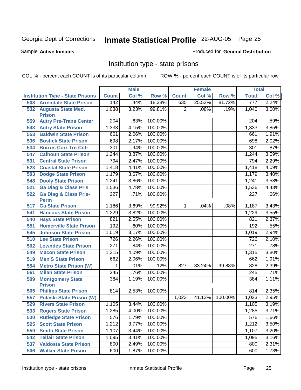Sample **Active Inmates**

### Produced for **General Distribution**

# Institution type - state prisons

|     |                                                 |                  | <b>Male</b> |         |                | <b>Female</b> |         | <b>Total</b>     |       |
|-----|-------------------------------------------------|------------------|-------------|---------|----------------|---------------|---------|------------------|-------|
|     | <b>Institution Type - State Prisons</b>         | <b>Count</b>     | Col %       | Row %   | <b>Count</b>   | Col %         | Row %   | <b>Total</b>     | Col % |
| 508 | <b>Arrendale State Prison</b>                   | 142              | .44%        | 18.28%  | 635            | 25.52%        | 81.72%  | 777              | 2.24% |
| 532 | <b>Augusta State Med.</b><br><b>Prison</b>      | 1,038            | 3.23%       | 99.81%  | $\overline{2}$ | .08%          | .19%    | 1,040            | 3.00% |
| 559 | <b>Autry Pre-Trans Center</b>                   | 204              | .63%        | 100.00% |                |               |         | 204              | .59%  |
| 543 | <b>Autry State Prison</b>                       | 1,333            | 4.15%       | 100.00% |                |               |         | 1,333            | 3.85% |
| 553 | <b>Baldwin State Prison</b>                     | 661              | 2.06%       | 100.00% |                |               |         | 661              | 1.91% |
| 536 | <b>Bostick State Prison</b>                     | 698              | 2.17%       | 100.00% |                |               |         | 698              | 2.02% |
| 534 | <b>Burrus Corr Trn Cntr</b>                     | 301              | .94%        | 100.00% |                |               |         | 301              | .87%  |
| 547 | <b>Calhoun State Prison</b>                     | 1,244            | 3.87%       | 100.00% |                |               |         | 1,244            | 3.59% |
| 531 | <b>Central State Prison</b>                     | 794              | 2.47%       | 100.00% |                |               |         | 794              | 2.29% |
| 523 | <b>Coastal State Prison</b>                     | 1,418            | 4.41%       | 100.00% |                |               |         | 1,418            | 4.09% |
| 503 | <b>Dodge State Prison</b>                       | 1,179            | 3.67%       | 100.00% |                |               |         | 1,179            | 3.40% |
| 548 | <b>Dooly State Prison</b>                       | 1,241            | 3.86%       | 100.00% |                |               |         | 1,241            | 3.58% |
| 521 | <b>Ga Diag &amp; Class Pris</b>                 | 1,536            | 4.78%       | 100.00% |                |               |         | 1,536            | 4.43% |
| 522 | <b>Ga Diag &amp; Class Pris-</b><br><b>Perm</b> | $\overline{227}$ | .71%        | 100.00% |                |               |         | 227              | .66%  |
| 517 | <b>Ga State Prison</b>                          | 1,186            | 3.69%       | 99.92%  | $\mathbf{1}$   | .04%          | .08%    | 1,187            | 3.43% |
| 541 | <b>Hancock State Prison</b>                     | 1,229            | 3.82%       | 100.00% |                |               |         | 1,229            | 3.55% |
| 540 | <b>Hays State Prison</b>                        | 821              | 2.55%       | 100.00% |                |               |         | 821              | 2.37% |
| 551 | <b>Homerville State Prison</b>                  | 192              | .60%        | 100.00% |                |               |         | 192              | .55%  |
| 545 | <b>Johnson State Prison</b>                     | 1,019            | 3.17%       | 100.00% |                |               |         | 1,019            | 2.94% |
| 510 | <b>Lee State Prison</b>                         | 726              | 2.26%       | 100.00% |                |               |         | 726              | 2.10% |
| 502 | <b>Lowndes State Prison</b>                     | $\overline{271}$ | .84%        | 100.00% |                |               |         | $\overline{271}$ | .78%  |
| 549 | <b>Macon State Prison</b>                       | 1,315            | 4.09%       | 100.00% |                |               |         | 1,315            | 3.80% |
| 519 | <b>Men'S State Prison</b>                       | 662              | 2.06%       | 100.00% |                |               |         | 662              | 1.91% |
| 554 | <b>Metro State Prison (W)</b>                   | 1                | .01%        | .12%    | 827            | 33.24%        | 99.88%  | 828              | 2.39% |
| 561 | <b>Milan State Prison</b>                       | 245              | .76%        | 100.00% |                |               |         | 245              | .71%  |
| 509 | <b>Montgomery State</b><br><b>Prison</b>        | 384              | 1.19%       | 100.00% |                |               |         | 384              | 1.11% |
| 505 | <b>Phillips State Prison</b>                    | 814              | 2.53%       | 100.00% |                |               |         | 814              | 2.35% |
| 557 | <b>Pulaski State Prison (W)</b>                 |                  |             |         | 1,023          | 41.12%        | 100.00% | 1,023            | 2.95% |
| 529 | <b>Rivers State Prison</b>                      | 1,105            | 3.44%       | 100.00% |                |               |         | 1,105            | 3.19% |
| 533 | <b>Rogers State Prison</b>                      | 1,285            | 4.00%       | 100.00% |                |               |         | 1,285            | 3.71% |
| 530 | <b>Rutledge State Prison</b>                    | 576              | 1.79%       | 100.00% |                |               |         | 576              | 1.66% |
| 525 | <b>Scott State Prison</b>                       | 1,212            | 3.77%       | 100.00% |                |               |         | 1,212            | 3.50% |
| 550 | <b>Smith State Prison</b>                       | 1,107            | 3.44%       | 100.00% |                |               |         | 1,107            | 3.20% |
| 542 | <b>Telfair State Prison</b>                     | 1,095            | 3.41%       | 100.00% |                |               |         | 1,095            | 3.16% |
| 537 | <b>Valdosta State Prison</b>                    | 800              | 2.49%       | 100.00% |                |               |         | 800              | 2.31% |
| 506 | <b>Walker State Prison</b>                      | 600              | 1.87%       | 100.00% |                |               |         | 600              | 1.73% |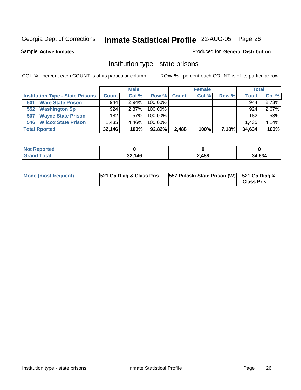Sample **Active Inmates**

### Produced for **General Distribution**

# Institution type - state prisons

|                                         |              | <b>Male</b> |            |              | <b>Female</b> |       | <b>Total</b> |       |
|-----------------------------------------|--------------|-------------|------------|--------------|---------------|-------|--------------|-------|
| <b>Institution Type - State Prisons</b> | <b>Count</b> | Col %       | Row %      | <b>Count</b> | Col %         | Row % | <b>Total</b> | Col % |
| <b>Ware State Prison</b><br>501         | 944          | $2.94\%$    | $100.00\%$ |              |               |       | 944          | 2.73% |
| <b>Washington Sp</b><br>552             | 924          | $2.87\%$    | $100.00\%$ |              |               |       | 924          | 2.67% |
| <b>Wayne State Prison</b><br>507        | 182          | $.57\%$     | $100.00\%$ |              |               |       | 182          | .53%  |
| <b>Wilcox State Prison</b><br>546       | .435         | 4.46%       | 100.00%    |              |               |       | 1,435        | 4.14% |
| <b>Total Rported</b>                    | 32,146       | 100%        | $92.82\%$  | 2,488        | 100%          | 7.18% | 34,634       | 100%  |

| <b>Not</b><br><b>Reported</b> |        |       |        |
|-------------------------------|--------|-------|--------|
| <b>Total</b>                  | 32,146 | 2,488 | 34,634 |

| Mode (most frequent) | 521 Ga Diag & Class Pris | [557 Pulaski State Prison (W)] 521 Ga Diag & | <b>Class Pris</b> |
|----------------------|--------------------------|----------------------------------------------|-------------------|
|----------------------|--------------------------|----------------------------------------------|-------------------|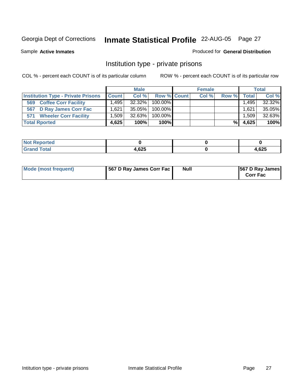Sample **Active Inmates**

### Produced for **General Distribution**

# Institution type - private prisons

|                                           |              | <b>Male</b> |                  | <b>Female</b> |       |                   | <b>Total</b> |
|-------------------------------------------|--------------|-------------|------------------|---------------|-------|-------------------|--------------|
| <b>Institution Type - Private Prisons</b> | <b>Count</b> | Col %       | Row % Count      | Col %         | Row % | <b>Total</b>      | Col %        |
| <b>Coffee Corr Facility</b><br>569        | ا 495.،      |             | 32.32%   100.00% |               |       | 1,495             | 32.32%       |
| 567 D Ray James Corr Fac                  | 1.621        | 35.05%      | $100.00\%$       |               |       | .621              | 35.05%       |
| <b>Wheeler Corr Facility</b><br>571       | ا 509. ا     | 32.63%      | 100.00%          |               |       | .509 <sup>1</sup> | 32.63%       |
| <b>Total Rported</b>                      | 4,625        | 100%        | 100%             |               | %     | 4,625             | 100%         |

| Reported<br><b>NOT</b>          |       |      |
|---------------------------------|-------|------|
| <b>Total</b><br>Gr <sub>c</sub> | 1,625 | ,625 |

| Mode (most frequent) | 567 D Ray James Corr Fac | <b>Null</b> | <b>567 D Ray James</b><br><b>Corr Fac</b> |
|----------------------|--------------------------|-------------|-------------------------------------------|
|----------------------|--------------------------|-------------|-------------------------------------------|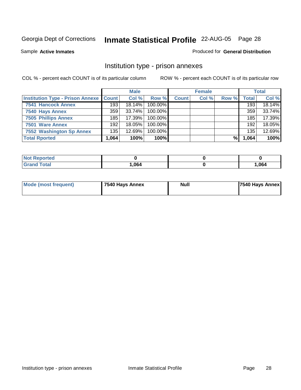Sample **Active Inmates**

Produced for **General Distribution**

### Institution type - prison annexes

|                                                   |        | <b>Male</b> |         |              | <b>Female</b> |       |              | <b>Total</b> |
|---------------------------------------------------|--------|-------------|---------|--------------|---------------|-------|--------------|--------------|
| <b>Institution Type - Prison Annexe   Count  </b> |        | Col %       | Row %   | <b>Count</b> | Col %         | Row % | <b>Total</b> | Col %        |
| <b>7541 Hancock Annex</b>                         | 193    | $18.14\%$   | 100.00% |              |               |       | 193          | 18.14%       |
| 7540 Hays Annex                                   | 359    | $33.74\%$   | 100.00% |              |               |       | 359          | 33.74%       |
| <b>7505 Phillips Annex</b>                        | 185    | $17.39\%$   | 100.00% |              |               |       | 185          | 17.39%       |
| 7501 Ware Annex                                   | 192    | $18.05\%$   | 100.00% |              |               |       | 192          | 18.05%       |
| 7552 Washington Sp Annex                          | 135    | $12.69\%$   | 100.00% |              |               |       | 135          | 12.69%       |
| <b>Total Rported</b>                              | 064. ا | 100%        | 100%    |              |               | %     | 1,064        | 100%         |

| Reported                |      |       |
|-------------------------|------|-------|
| <b>Total</b><br>' Grand | ,064 | 1,064 |

| Mode (most frequent) | 7540 Hays Annex | Null | 7540 Hays Annex |
|----------------------|-----------------|------|-----------------|
|                      |                 |      |                 |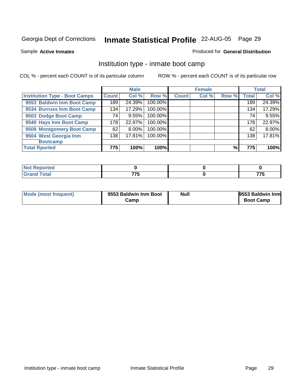Sample **Active Inmates**

### Produced for **General Distribution**

# Institution type - inmate boot camp

|                                      |              | <b>Male</b> |         |              | <b>Female</b> |       |              | <b>Total</b> |
|--------------------------------------|--------------|-------------|---------|--------------|---------------|-------|--------------|--------------|
| <b>Institution Type - Boot Camps</b> | <b>Count</b> | Col %       | Row %   | <b>Count</b> | Col %         | Row % | <b>Total</b> | Col %        |
| 9553 Baldwin Inm Boot Camp           | 189          | 24.39%      | 100.00% |              |               |       | 189          | 24.39%       |
| 9534 Burruss Inm Boot Camp           | 134          | 17.29%      | 100.00% |              |               |       | 134          | 17.29%       |
| 9503 Dodge Boot Camp                 | 74           | 9.55%       | 100.00% |              |               |       | 74           | 9.55%        |
| 9540 Hays Inm Boot Camp              | 178          | 22.97%      | 100.00% |              |               |       | 178          | 22.97%       |
| 9509 Montgomery Boot Camp            | 62           | 8.00%       | 100.00% |              |               |       | 62           | 8.00%        |
| 9504 West Georgia Inm                | 138          | 17.81%      | 100.00% |              |               |       | 138          | 17.81%       |
| <b>Bootcamp</b>                      |              |             |         |              |               |       |              |              |
| <b>Total Rported</b>                 | 775          | 100%        | 100%    |              |               | %     | 775          | 100%         |

| τeα                |                      |                                     |
|--------------------|----------------------|-------------------------------------|
| $\mathbf{u}$ rotar | フフロ<br>. .<br>$\sim$ | ---<br>$\ddot{\phantom{1}}$<br>____ |

| Mode (most frequent) | 9553 Baldwin Inm Boot | Null | 9553 Baldwin Inm |
|----------------------|-----------------------|------|------------------|
|                      | Camp                  |      | <b>Boot Camp</b> |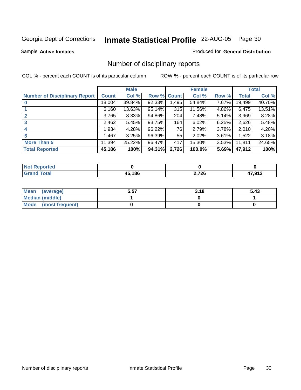Sample **Active Inmates**

### Produced for **General Distribution**

# Number of disciplinary reports

|                                      |              | <b>Male</b> |             |       | <b>Female</b> |          |        | <b>Total</b> |
|--------------------------------------|--------------|-------------|-------------|-------|---------------|----------|--------|--------------|
| <b>Number of Disciplinary Report</b> | <b>Count</b> | Col %       | Row % Count |       | Col %         | Row %    | Total  | Col %        |
|                                      | 18,004       | 39.84%      | 92.33%      | 1,495 | 54.84%        | $7.67\%$ | 19,499 | 40.70%       |
|                                      | 6,160        | 13.63%      | $95.14\%$   | 315   | 11.56%        | $4.86\%$ | 6,475  | 13.51%       |
|                                      | 3,765        | 8.33%       | 94.86%      | 204   | 7.48%         | 5.14%    | 3,969  | 8.28%        |
| 3                                    | 2,462        | 5.45%       | 93.75%      | 164   | 6.02%         | 6.25%    | 2,626  | 5.48%        |
| 4                                    | 1,934        | 4.28%       | 96.22%      | 76    | 2.79%         | 3.78%    | 2,010  | 4.20%        |
| 5                                    | 1,467        | 3.25%       | 96.39%      | 55    | 2.02%         | 3.61%    | 1,522  | 3.18%        |
| <b>More Than 5</b>                   | 11,394       | 25.22%      | 96.47%      | 417   | 15.30%        | $3.53\%$ | 11,811 | 24.65%       |
| <b>Total Reported</b>                | 45,186       | 100%        | 94.31%      | 2,726 | 100.0%        | 5.69%    | 47,912 | 100%         |

| rted<br>N0 |        |       |                  |
|------------|--------|-------|------------------|
| $f$ ntn'   | 45.186 | 2,726 | 17 N1 2<br>, , , |

| Mean (average)       | 5.57 | 3.18 | 5.43 |
|----------------------|------|------|------|
| Median (middle)      |      |      |      |
| Mode (most frequent) |      |      |      |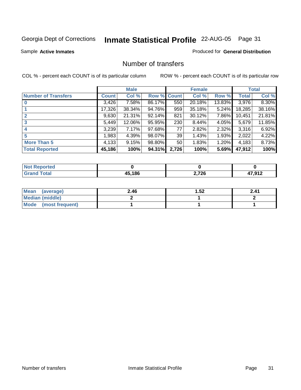Sample **Active Inmates**

### Produced for **General Distribution**

### Number of transfers

|                            |              | <b>Male</b> |        |              | <b>Female</b> |          |              | <b>Total</b> |
|----------------------------|--------------|-------------|--------|--------------|---------------|----------|--------------|--------------|
| <b>Number of Transfers</b> | <b>Count</b> | Col %       | Row %  | <b>Count</b> | Col %         | Row %    | <b>Total</b> | Col %        |
|                            | 3,426        | $7.58\%$    | 86.17% | 550          | 20.18%        | 13.83%   | 3,976        | 8.30%        |
|                            | 17,326       | 38.34%      | 94.76% | 959          | 35.18%        | $5.24\%$ | 18,285       | 38.16%       |
|                            | 9,630        | 21.31%      | 92.14% | 821          | 30.12%        | 7.86%    | 10,451       | 21.81%       |
| 3                          | 5,449        | 12.06%      | 95.95% | 230          | 8.44%         | 4.05%    | 5,679        | 11.85%       |
|                            | 3,239        | 7.17%       | 97.68% | 77           | 2.82%         | $2.32\%$ | 3,316        | 6.92%        |
| 5                          | ,983         | 4.39%       | 98.07% | 39           | 1.43%         | 1.93%    | 2,022        | 4.22%        |
| <b>More Than 5</b>         | 4,133        | 9.15%       | 98.80% | 50           | 1.83%         | $1.20\%$ | 4,183        | 8.73%        |
| <b>Total Reported</b>      | 45,186       | 100%        | 94.31% | 2,726        | 100%          | 5.69%    | 47,912       | 100%         |

| N |          |                  |                 |
|---|----------|------------------|-----------------|
|   | 15 1 Q C | ,726<br>-, . - - | ר וחי<br>70 I Z |

| Mean (average)       | 2.46 | 1.52 | 2.41 |
|----------------------|------|------|------|
| Median (middle)      |      |      |      |
| Mode (most frequent) |      |      |      |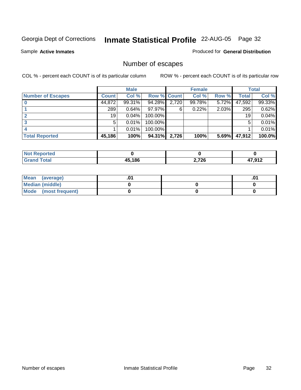Sample **Active Inmates**

### Produced for **General Distribution**

# Number of escapes

|                          |              | <b>Male</b> |                    |       | <b>Female</b> |          |              | <b>Total</b> |
|--------------------------|--------------|-------------|--------------------|-------|---------------|----------|--------------|--------------|
| <b>Number of Escapes</b> | <b>Count</b> | Col %       | <b>Row % Count</b> |       | Col %         | Row %    | <b>Total</b> | Col %        |
|                          | 44,872       | $99.31\%$   | 94.28%             | 2,720 | 99.78%        | $5.72\%$ | 47,592       | 99.33%       |
|                          | 289          | $0.64\%$    | 97.97%             | 6     | 0.22%         | $2.03\%$ | 295          | 0.62%        |
|                          | 19           | 0.04%       | 100.00%            |       |               |          | 19           | 0.04%        |
|                          | 5            | $0.01\%$    | 100.00%            |       |               |          | 5            | 0.01%        |
|                          |              | $0.01\%$    | 100.00%            |       |               |          |              | 0.01%        |
| <b>Total Reported</b>    | 45,186       | 100%        | 94.31%             | 2,726 | 100%          | 5.69%    | 47,912       | 100.0%       |

| тео |        |       |            |
|-----|--------|-------|------------|
|     | 15.186 | 2,726 | 17 012     |
|     | л.     |       | <u>ו נ</u> |

| Mean<br>(average)    |  | .01 |
|----------------------|--|-----|
| Median (middle)      |  |     |
| Mode (most frequent) |  |     |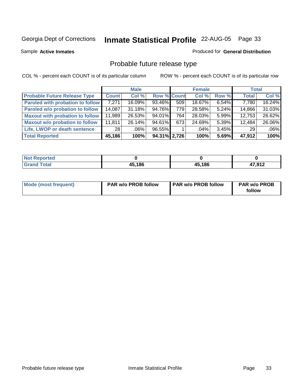Sample **Active Inmates**

### Produced for **General Distribution**

# Probable future release type

|                                         |              | <b>Male</b> |                    |                  | <b>Female</b> |          | <b>Total</b> |        |
|-----------------------------------------|--------------|-------------|--------------------|------------------|---------------|----------|--------------|--------|
| <b>Probable Future Release Type</b>     | <b>Count</b> | Col %       | <b>Row % Count</b> |                  | Col %         | Row %    | <b>Total</b> | Col %  |
| <b>Paroled with probation to follow</b> | 7,271        | 16.09%      | 93.46%             | 509 <sub>1</sub> | 18.67%        | $6.54\%$ | 7,780        | 16.24% |
| Paroled w/o probation to follow         | 14,087       | $31.18\%$   | 94.76%             | 779 l            | 28.58%        | $5.24\%$ | 14,866       | 31.03% |
| <b>Maxout with probation to follow</b>  | 11,989       | 26.53%      | $94.01\%$          | 764              | 28.03%        | 5.99%    | 12,753       | 26.62% |
| <b>Maxout w/o probation to follow</b>   | 11,811       | 26.14%      | $94.61\%$          | 673              | 24.69%        | $5.39\%$ | 12,484       | 26.06% |
| Life, LWOP or death sentence            | 28 I         | .06%        | 96.55%             |                  | .04%          | 3.45%    | 29           | .06%   |
| <b>Total Reported</b>                   | 45,186       | 100%        | 94.31% 2.726       |                  | 100%          | 5.69%    | 47.912       | 100%   |

| Not I<br><b>Reported</b> |        |        |        |
|--------------------------|--------|--------|--------|
| <b>Total</b><br>Gran     | 45,186 | 45,186 | 47,912 |

| <b>Mode (most frequent)</b> | <b>PAR w/o PROB follow</b> | <b>PAR w/o PROB follow</b> | <b>PAR w/o PROB</b> |
|-----------------------------|----------------------------|----------------------------|---------------------|
|                             |                            |                            | follow              |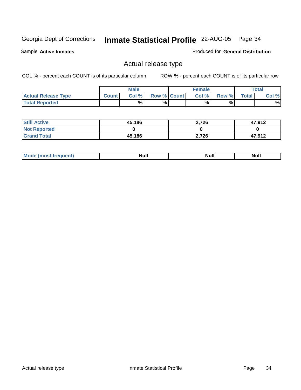Sample **Active Inmates**

Produced for **General Distribution**

## Actual release type

|                            |        | <b>Male</b> |                    | <b>Female</b> |       |              | Total |
|----------------------------|--------|-------------|--------------------|---------------|-------|--------------|-------|
| <b>Actual Release Type</b> | Count. | Col %       | <b>Row % Count</b> | Col %         | Row % | <b>Total</b> | Col % |
| <b>Total Reported</b>      |        | %           | %                  | %             | %     |              | %     |

| <b>Still Active</b> | 45,186 | 2,726 | 47,912 |
|---------------------|--------|-------|--------|
| <b>Not Reported</b> |        |       |        |
| <b>Grand Total</b>  | 45,186 | 2,726 | 47,912 |

| M | <b>Null</b> | <b>IVAII</b> | Null |
|---|-------------|--------------|------|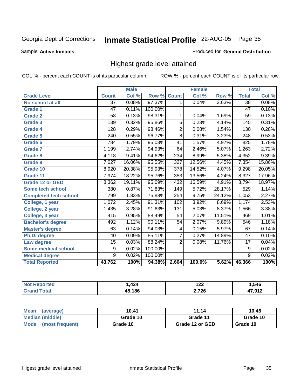Sample **Active Inmates**

### Produced for **General Distribution**

## Highest grade level attained

|                              |                 | <b>Male</b> |         |                  | <b>Female</b> |        |                  | <b>Total</b> |
|------------------------------|-----------------|-------------|---------|------------------|---------------|--------|------------------|--------------|
| <b>Grade Level</b>           | <b>Count</b>    | Col %       | Row %   | <b>Count</b>     | Col %         | Row %  | <b>Total</b>     | Col %        |
| No school at all             | $\overline{37}$ | 0.08%       | 97.37%  | 1                | 0.04%         | 2.63%  | $\overline{38}$  | 0.08%        |
| <b>Grade 1</b>               | 47              | 0.11%       | 100.00% |                  |               |        | 47               | 0.10%        |
| <b>Grade 2</b>               | 58              | 0.13%       | 98.31%  | 1                | 0.04%         | 1.69%  | 59               | 0.13%        |
| <b>Grade 3</b>               | 139             | 0.32%       | 95.86%  | 6                | 0.23%         | 4.14%  | 145              | 0.31%        |
| Grade 4                      | 128             | 0.29%       | 98.46%  | $\overline{2}$   | 0.08%         | 1.54%  | 130              | 0.28%        |
| Grade 5                      | 240             | 0.55%       | 96.77%  | $\overline{8}$   | 0.31%         | 3.23%  | $\overline{248}$ | 0.53%        |
| Grade 6                      | 784             | 1.79%       | 95.03%  | 41               | 1.57%         | 4.97%  | 825              | 1.78%        |
| <b>Grade 7</b>               | 1,199           | 2.74%       | 94.93%  | 64               | 2.46%         | 5.07%  | 1,263            | 2.72%        |
| <b>Grade 8</b>               | 4,118           | 9.41%       | 94.62%  | 234              | 8.99%         | 5.38%  | 4,352            | 9.39%        |
| <b>Grade 9</b>               | 7,027           | 16.06%      | 95.55%  | $\overline{327}$ | 12.56%        | 4.45%  | 7,354            | 15.86%       |
| Grade 10                     | 8,920           | 20.38%      | 95.93%  | 378              | 14.52%        | 4.07%  | 9,298            | 20.05%       |
| Grade 11                     | 7,974           | 18.22%      | 95.76%  | 353              | 13.56%        | 4.24%  | 8,327            | 17.96%       |
| <b>Grade 12 or GED</b>       | 8,362           | 19.11%      | 95.09%  | 432              | 16.59%        | 4.91%  | 8,794            | 18.97%       |
| Some tech school             | 380             | 0.87%       | 71.83%  | 149              | 5.72%         | 28.17% | 529              | 1.14%        |
| <b>Completed tech school</b> | 799             | 1.83%       | 75.88%  | 254              | 9.75%         | 24.12% | 1,053            | 2.27%        |
| College, 1 year              | 1,072           | 2.45%       | 91.31%  | 102              | 3.92%         | 8.69%  | 1,174            | 2.53%        |
| College, 2 year              | 1,435           | 3.28%       | 91.63%  | $\overline{131}$ | 5.03%         | 8.37%  | 1,566            | 3.38%        |
| College, 3 year              | 415             | 0.95%       | 88.49%  | 54               | 2.07%         | 11.51% | 469              | 1.01%        |
| <b>Bachelor's degree</b>     | 492             | 1.12%       | 90.11%  | $\overline{54}$  | 2.07%         | 9.89%  | 546              | 1.18%        |
| <b>Master's degree</b>       | 63              | 0.14%       | 94.03%  | 4                | 0.15%         | 5.97%  | 67               | 0.14%        |
| Ph.D. degree                 | 40              | 0.09%       | 85.11%  | $\overline{7}$   | 0.27%         | 14.89% | $\overline{47}$  | 0.10%        |
| Law degree                   | 15              | 0.03%       | 88.24%  | $\overline{2}$   | 0.08%         | 11.76% | $\overline{17}$  | 0.04%        |
| <b>Some medical school</b>   | 9               | 0.02%       | 100.00% |                  |               |        | 9                | 0.02%        |
| <b>Medical degree</b>        | $\overline{9}$  | 0.02%       | 100.00% |                  |               |        | $\overline{9}$   | 0.02%        |
| <b>Total Reported</b>        | 43,762          | 100%        | 94.38%  | 2,604            | 100.0%        | 5.62%  | 46,366           | 100%         |

| $\overline{101}$<br>747 | 100<br>175  | 516    |
|-------------------------|-------------|--------|
| .186                    | ארד ר<br>Zv | 7 01 2 |

| Mean<br>(average)       | 10.41    | 11.14           | 10.45    |
|-------------------------|----------|-----------------|----------|
| Median (middle)         | Grade 10 | Grade 11        | Grade 10 |
| Mode<br>(most frequent) | Grade 10 | Grade 12 or GED | Grade 10 |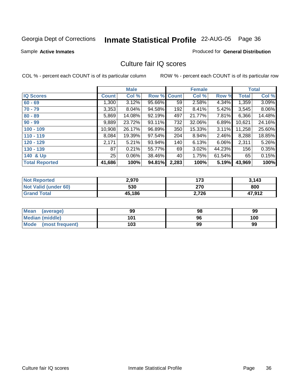Sample **Active Inmates**

### Produced for **General Distribution**

## Culture fair IQ scores

|                       |              | <b>Male</b> |        |              | <b>Female</b> |          |        | <b>Total</b> |
|-----------------------|--------------|-------------|--------|--------------|---------------|----------|--------|--------------|
| <b>IQ Scores</b>      | <b>Count</b> | Col %       | Row %  | <b>Count</b> | Col %         | Row %    | Total  | Col %        |
| $60 - 69$             | 1,300        | 3.12%       | 95.66% | 59           | 2.58%         | 4.34%    | 1,359  | 3.09%        |
| $70 - 79$             | 3,353        | $8.04\%$    | 94.58% | 192          | 8.41%         | 5.42%    | 3,545  | 8.06%        |
| $80 - 89$             | 5,869        | 14.08%      | 92.19% | 497          | 21.77%        | 7.81%    | 6,366  | 14.48%       |
| $90 - 99$             | 9,889        | 23.72%      | 93.11% | 732          | 32.06%        | 6.89%    | 10,621 | 24.16%       |
| $100 - 109$           | 10,908       | 26.17%      | 96.89% | 350          | 15.33%        | $3.11\%$ | 11,258 | 25.60%       |
| $110 - 119$           | 8,084        | 19.39%      | 97.54% | 204          | 8.94%         | 2.46%    | 8,288  | 18.85%       |
| $120 - 129$           | 2,171        | 5.21%       | 93.94% | 140          | 6.13%         | $6.06\%$ | 2,311  | 5.26%        |
| $130 - 139$           | 87           | 0.21%       | 55.77% | 69           | 3.02%         | 44.23%   | 156    | 0.35%        |
| 140 & Up              | 25           | $0.06\%$    | 38.46% | 40           | 1.75%         | 61.54%   | 65     | 0.15%        |
| <b>Total Reported</b> | 41,686       | 100%        | 94.81% | 2,283        | 100%          | 5.19%    | 43,969 | 100%         |

| <b>Not Reported</b>  | 2,970  | 173   | 3,143  |
|----------------------|--------|-------|--------|
| Not Valid (under 60) | 530    | 270   | 800    |
| <b>Grand Total</b>   | 45,186 | 2,726 | 47,912 |

| Mean<br>(average)       | 99  | 98 | 99  |
|-------------------------|-----|----|-----|
| Median (middle)         | 101 | 96 | 100 |
| Mode<br>(most frequent) | 103 | 99 | 99  |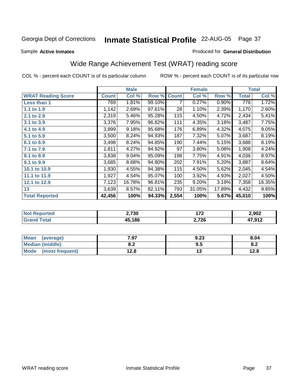Sample **Active Inmates**

### Produced for **General Distribution**

# Wide Range Achievement Test (WRAT) reading score

|                           |              | <b>Male</b> |        |              | <b>Female</b> |        |                    | <b>Total</b> |
|---------------------------|--------------|-------------|--------|--------------|---------------|--------|--------------------|--------------|
| <b>WRAT Reading Score</b> | <b>Count</b> | Col %       | Row %  | <b>Count</b> | Col %         | Row %  | <b>Total</b>       | Col %        |
| Less than 1               | 769          | 1.81%       | 99.10% | 7            | 0.27%         | 0.90%  | 776                | 1.72%        |
| 1.1 to 1.9                | 1,142        | 2.69%       | 97.61% | 28           | 1.10%         | 2.39%  | 1,170              | 2.60%        |
| 2.1 to 2.9                | 2,319        | 5.46%       | 95.28% | 115          | 4.50%         | 4.72%  | 2,434              | 5.41%        |
| 3.1 to 3.9                | 3,376        | 7.95%       | 96.82% | 111          | 4.35%         | 3.18%  | 3,487              | 7.75%        |
| 4.1 to 4.9                | 3,899        | 9.18%       | 95.68% | 176          | 6.89%         | 4.32%  | 4,075              | 9.05%        |
| 5.1 to 5.9                | 3,500        | 8.24%       | 94.93% | 187          | 7.32%         | 5.07%  | 3,687              | 8.19%        |
| 6.1 to 6.9                | 3,498        | 8.24%       | 94.85% | 190          | 7.44%         | 5.15%  | 3,688              | 8.19%        |
| 7.1 to 7.9                | 1,811        | 4.27%       | 94.92% | 97           | 3.80%         | 5.08%  | 1,908              | 4.24%        |
| 8.1 to 8.9                | 3,838        | 9.04%       | 95.09% | 198          | 7.75%         | 4.91%  | 4,036              | 8.97%        |
| 9.1 to 9.9                | 3,685        | 8.68%       | 94.80% | 202          | 7.91%         | 5.20%  | 3,887              | 8.64%        |
| 10.1 to 10.9              | 1,930        | 4.55%       | 94.38% | 115          | 4.50%         | 5.62%  | $\overline{2,045}$ | 4.54%        |
| 11.1 to 11.9              | 1,927        | 4.54%       | 95.07% | 100          | 3.92%         | 4.93%  | 2,027              | 4.50%        |
| 12.1 to 12.9              | 7,123        | 16.78%      | 96.81% | 235          | 9.20%         | 3.19%  | 7,358              | 16.35%       |
| 13                        | 3,639        | 8.57%       | 82.11% | 793          | 31.05%        | 17.89% | 4,432              | 9.85%        |
| <b>Total Reported</b>     | 42,456       | 100%        | 94.33% | 2,554        | 100%          | 5.67%  | 45,010             | 100%         |

| ported<br>NO.   | 2,730  | ィラヘ   | 2,902  |
|-----------------|--------|-------|--------|
| <b>Total</b>    | 15,186 | 2,726 | 17 012 |
| . Gr $\epsilon$ | 4∙     |       | ⊾ו כוי |

| <b>Mean</b><br>(average) | 7.97       | 9.23 | 8.04        |
|--------------------------|------------|------|-------------|
| <b>Median (middle)</b>   | י ה<br>0.Z | 9.5  | ິດ _<br>o.z |
| Mode<br>(most frequent)  | 12.8       | 'V   | 12.8        |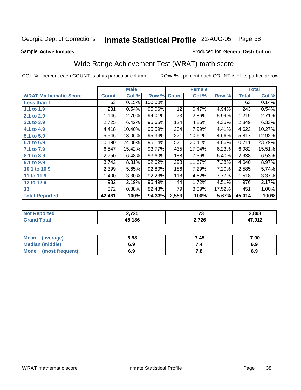Sample **Active Inmates**

### Produced for **General Distribution**

# Wide Range Achievement Test (WRAT) math score

|                              |              | <b>Male</b> |         |              | <b>Female</b> |        |              | <b>Total</b> |
|------------------------------|--------------|-------------|---------|--------------|---------------|--------|--------------|--------------|
| <b>WRAT Mathematic Score</b> | <b>Count</b> | Col %       | Row %   | <b>Count</b> | Col %         | Row %  | <b>Total</b> | Col %        |
| Less than 1                  | 63           | 0.15%       | 100.00% |              |               |        | 63           | 0.14%        |
| 1.1 to 1.9                   | 231          | 0.54%       | 95.06%  | 12           | 0.47%         | 4.94%  | 243          | 0.54%        |
| 2.1 to 2.9                   | 1,146        | 2.70%       | 94.01%  | 73           | 2.86%         | 5.99%  | 1,219        | 2.71%        |
| 3.1 to 3.9                   | 2,725        | 6.42%       | 95.65%  | 124          | 4.86%         | 4.35%  | 2,849        | 6.33%        |
| 4.1 to 4.9                   | 4,418        | 10.40%      | 95.59%  | 204          | 7.99%         | 4.41%  | 4,622        | 10.27%       |
| 5.1 to 5.9                   | 5,546        | 13.06%      | 95.34%  | 271          | 10.61%        | 4.66%  | 5,817        | 12.92%       |
| 6.1 to 6.9                   | 10,190       | 24.00%      | 95.14%  | 521          | 20.41%        | 4.86%  | 10,711       | 23.79%       |
| 7.1 to 7.9                   | 6,547        | 15.42%      | 93.77%  | 435          | 17.04%        | 6.23%  | 6,982        | 15.51%       |
| 8.1 to 8.9                   | 2,750        | 6.48%       | 93.60%  | 188          | 7.36%         | 6.40%  | 2,938        | 6.53%        |
| 9.1 to 9.9                   | 3,742        | 8.81%       | 92.62%  | 298          | 11.67%        | 7.38%  | 4,040        | 8.97%        |
| 10.1 to 10.9                 | 2,399        | 5.65%       | 92.80%  | 186          | 7.29%         | 7.20%  | 2,585        | 5.74%        |
| 11 to 11.9                   | 1,400        | 3.30%       | 92.23%  | 118          | 4.62%         | 7.77%  | 1,518        | 3.37%        |
| 12 to 12.9                   | 932          | 2.19%       | 95.49%  | 44           | 1.72%         | 4.51%  | 976          | 2.17%        |
| 13                           | 372          | 0.88%       | 82.48%  | 79           | 3.09%         | 17.52% | 451          | 1.00%        |
| <b>Total Reported</b>        | 42,461       | 100%        | 94.33%  | 2,553        | 100%          | 5.67%  | 45,014       | 100%         |

| orted | 2,725        | יי    | 2,898           |
|-------|--------------|-------|-----------------|
| NΩ    | .            | .     |                 |
| $-1$  | 15.186<br>л. | 2,726 | 17 012<br>⊾ו כו |

| <b>Mean</b><br>(average) | 6.98 | 7.45 | 7.00 |
|--------------------------|------|------|------|
| <b>Median (middle)</b>   | 6.9  |      | 6.9  |
| Mode<br>(most frequent)  | 6.9  | 7.O  | 6.9  |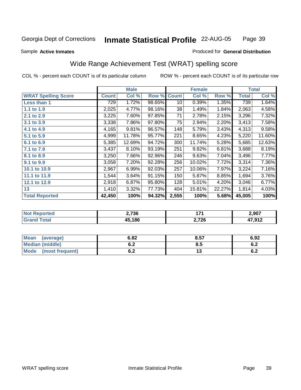Sample **Active Inmates**

### Produced for **General Distribution**

# Wide Range Achievement Test (WRAT) spelling score

|                            |              | <b>Male</b> |        |              | <b>Female</b> |        |              | <b>Total</b> |
|----------------------------|--------------|-------------|--------|--------------|---------------|--------|--------------|--------------|
| <b>WRAT Spelling Score</b> | <b>Count</b> | Col %       | Row %  | <b>Count</b> | Col %         | Row %  | <b>Total</b> | Col %        |
| Less than 1                | 729          | 1.72%       | 98.65% | 10           | 0.39%         | 1.35%  | 739          | 1.64%        |
| 1.1 to 1.9                 | 2,025        | 4.77%       | 98.16% | 38           | 1.49%         | 1.84%  | 2,063        | 4.58%        |
| 2.1 to 2.9                 | 3,225        | 7.60%       | 97.85% | 71           | 2.78%         | 2.15%  | 3,296        | 7.32%        |
| 3.1 to 3.9                 | 3,338        | 7.86%       | 97.80% | 75           | 2.94%         | 2.20%  | 3,413        | 7.58%        |
| 4.1 to 4.9                 | 4,165        | 9.81%       | 96.57% | 148          | 5.79%         | 3.43%  | 4,313        | 9.58%        |
| 5.1 to 5.9                 | 4,999        | 11.78%      | 95.77% | 221          | 8.65%         | 4.23%  | 5,220        | 11.60%       |
| 6.1 to 6.9                 | 5,385        | 12.69%      | 94.72% | 300          | 11.74%        | 5.28%  | 5,685        | 12.63%       |
| 7.1 to 7.9                 | 3,437        | 8.10%       | 93.19% | 251          | 9.82%         | 6.81%  | 3,688        | 8.19%        |
| 8.1 to 8.9                 | 3,250        | 7.66%       | 92.96% | 246          | 9.63%         | 7.04%  | 3,496        | 7.77%        |
| 9.1 to 9.9                 | 3,058        | 7.20%       | 92.28% | 256          | 10.02%        | 7.72%  | 3,314        | 7.36%        |
| 10.1 to 10.9               | 2,967        | 6.99%       | 92.03% | 257          | 10.06%        | 7.97%  | 3,224        | 7.16%        |
| 11.1 to 11.9               | 1,544        | 3.64%       | 91.15% | 150          | 5.87%         | 8.85%  | 1,694        | 3.76%        |
| 12.1 to 12.9               | 2,918        | 6.87%       | 95.80% | 128          | 5.01%         | 4.20%  | 3,046        | 6.77%        |
| 13                         | 1,410        | 3.32%       | 77.73% | 404          | 15.81%        | 22.27% | 1,814        | 4.03%        |
| <b>Total Reported</b>      | 42,450       | 100%        | 94.32% | 2,555        | 100%          | 5.68%  | 45,005       | 100%         |

| orted<br>NO.  | 2,736        | $1 - A$ | 2,907            |
|---------------|--------------|---------|------------------|
| <b>c</b> otal | 15.186<br>дь | 2,726   | 17 012<br>⊾ויטרי |

| Mean<br>(average)      | 6.82 | 8.57 | 6.92       |
|------------------------|------|------|------------|
| <b>Median (middle)</b> | U.Z  | 8.5  | e o<br>0.Z |
| Mode (most frequent)   | υ.Ζ  | ט ו  | r n<br>0.Z |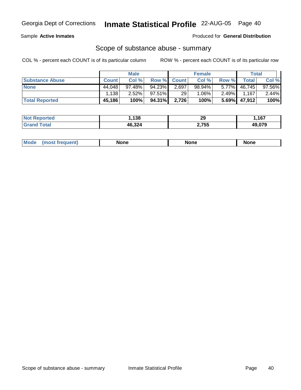Sample **Active Inmates**

Produced for **General Distribution**

### Scope of substance abuse - summary

|                        |              | <b>Male</b> |                 |             | <b>Female</b> |          | <b>Total</b> |          |
|------------------------|--------------|-------------|-----------------|-------------|---------------|----------|--------------|----------|
| <b>Substance Abuse</b> | <b>Count</b> | Col %       |                 | Row % Count | Col %         | Row %    | Total        | Col %    |
| <b>None</b>            | 44.048       | 97.48%      | 94.23%          | 2,697       | 98.94%        |          | 5.77% 46,745 | 97.56%   |
|                        | .138         | $2.52\%$    | 97.51% <b>I</b> | 29          | $1.06\%$      | $2.49\%$ | 1.167        | $2.44\%$ |
| <b>Total Reported</b>  | 45,186       | 100%        | 94.31%          | 2,726       | 100%          |          | 5.69% 47,912 | 100%     |

| <b>Not</b><br>Reported | ,138   | 29    | .167   |
|------------------------|--------|-------|--------|
| Total<br><b>Grand</b>  | 46,324 | 2,755 | 49,079 |

|  | Mode | lone | None | <b>None</b> |
|--|------|------|------|-------------|
|--|------|------|------|-------------|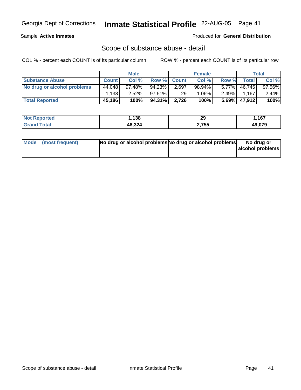Sample **Active Inmates**

Produced for **General Distribution**

### Scope of substance abuse - detail

|                             | <b>Male</b>  |        | <b>Female</b> |             |          | <b>Total</b> |                 |        |
|-----------------------------|--------------|--------|---------------|-------------|----------|--------------|-----------------|--------|
| <b>Substance Abuse</b>      | <b>Count</b> | Col %  |               | Row % Count | Col %    | Row %        | <b>Total</b>    | Col %  |
| No drug or alcohol problems | 44.048       | 97.48% | 94.23%        | 2,697       | 98.94%   | $5.77\%$     | 46,745          | 97.56% |
|                             | 1.138        | 2.52%  | 97.51%        | 29          | $1.06\%$ | $2.49\%$     | 1.167           | 2.44%  |
| <b>Total Reported</b>       | 45,186       | 100%   | 94.31%        | 2,726       | 100%     |              | $5.69\%$ 47,912 | 100%   |

| <b>Not Reported</b> | .138   | 29    | ,167   |
|---------------------|--------|-------|--------|
| <b>Grand Total</b>  | 46,324 | 2,755 | 49.079 |

| Mode (most frequent) | No drug or alcohol problems No drug or alcohol problems | No drug or       |
|----------------------|---------------------------------------------------------|------------------|
|                      |                                                         | alcohol problems |
|                      |                                                         |                  |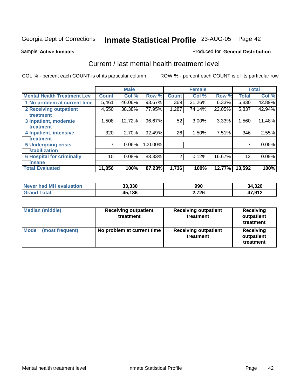Sample **Active Inmates**

### Produced for **General Distribution**

## Current / last mental health treatment level

|                                    |              | <b>Male</b> |         |              | <b>Female</b> |          |              | <b>Total</b> |
|------------------------------------|--------------|-------------|---------|--------------|---------------|----------|--------------|--------------|
| <b>Mental Health Treatment Lev</b> | <b>Count</b> | Col%        | Row %   | <b>Count</b> | Col %         | Row %    | <b>Total</b> | Col %        |
| 1 No problem at current time       | 5,461        | 46.06%      | 93.67%  | 369          | 21.26%        | $6.33\%$ | 5,830        | 42.89%       |
| <b>2 Receiving outpatient</b>      | 4,550        | 38.38%      | 77.95%  | 1,287        | 74.14%        | 22.05%   | 5,837        | 42.94%       |
| treatment                          |              |             |         |              |               |          |              |              |
| 3 Inpatient, moderate              | 1,508        | 12.72%      | 96.67%  | 52           | 3.00%         | 3.33%    | 1,560        | 11.48%       |
| treatment                          |              |             |         |              |               |          |              |              |
| 4 Inpatient, intensive             | 320          | 2.70%       | 92.49%  | 26           | 1.50%         | 7.51%    | 346          | 2.55%        |
| treatment                          |              |             |         |              |               |          |              |              |
| <b>5 Undergoing crisis</b>         | 7            | 0.06%       | 100.00% |              |               |          |              | 0.05%        |
| stabilization                      |              |             |         |              |               |          |              |              |
| <b>6 Hospital for criminally</b>   | 10           | 0.08%       | 83.33%  | 2            | 0.12%         | 16.67%   | 12           | 0.09%        |
| insane                             |              |             |         |              |               |          |              |              |
| <b>Total Evaluated</b>             | 11,856       | 100%        | 87.23%  | 1,736        | 100%          | 12.77%   | 13,592       | 100%         |

| Never had MH evaluation | 33,330 | 990   | 34,320 |
|-------------------------|--------|-------|--------|
| Total                   | 45,186 | 2,726 | 17,912 |

| Median (middle)         | <b>Receiving outpatient</b><br>treatment | <b>Receiving outpatient</b><br>treatment | Receiving<br>outpatient<br>treatment |
|-------------------------|------------------------------------------|------------------------------------------|--------------------------------------|
| Mode<br>(most frequent) | No problem at current time               | <b>Receiving outpatient</b><br>treatment | Receiving<br>outpatient<br>treatment |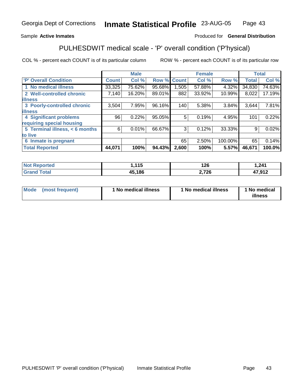### Sample **Active Inmates**

### Produced for **General Distribution**

# PULHESDWIT medical scale - 'P' overall condition ('P'hysical)

|                                |              | <b>Male</b> |             |       | <b>Female</b> |          |              | <b>Total</b> |
|--------------------------------|--------------|-------------|-------------|-------|---------------|----------|--------------|--------------|
| 'P' Overall Condition          | <b>Count</b> | Col %       | Row % Count |       | Col %         | Row %    | <b>Total</b> | Col %        |
| 1 No medical illness           | 33,325       | 75.62%      | 95.68%      | ,505  | 57.88%        | 4.32%    | 34,830       | 74.63%       |
| 2 Well-controlled chronic      | 7,140        | 16.20%      | 89.01%      | 882   | 33.92%        | 10.99%   | 8,022        | 17.19%       |
| <b>illness</b>                 |              |             |             |       |               |          |              |              |
| 3 Poorly-controlled chronic    | 3,504        | 7.95%       | 96.16%      | 140   | 5.38%         | $3.84\%$ | 3,644        | 7.81%        |
| <b>illness</b>                 |              |             |             |       |               |          |              |              |
| 4 Significant problems         | 96           | 0.22%       | 95.05%      | 5     | 0.19%         | 4.95%    | 101          | 0.22%        |
| requiring special housing      |              |             |             |       |               |          |              |              |
| 5 Terminal illness, < 6 months | 6            | $0.01\%$    | 66.67%      | 3     | 0.12%         | 33.33%   | 9            | 0.02%        |
| to live                        |              |             |             |       |               |          |              |              |
| 6 Inmate is pregnant           |              |             |             | 65    | 2.50%         | 100.00%  | 65           | 0.14%        |
| <b>Total Reported</b>          | 44,071       | 100%        | 94.43%      | 2,600 | 100%          | 5.57%    | 46,671       | 100.0%       |

| $N$ nt<br>?enorted   | 115<br>1 J | 126   | 1,241  |
|----------------------|------------|-------|--------|
| <b>Total</b><br>Grar | 45,186     | 2,726 | 17,912 |

| <b>Mode</b> | (most frequent) | 1 No medical illness | 1 No medical illness | 1 No medical<br>illness |
|-------------|-----------------|----------------------|----------------------|-------------------------|
|-------------|-----------------|----------------------|----------------------|-------------------------|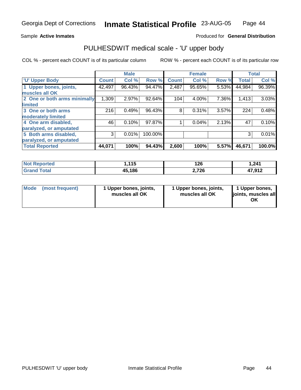Sample **Active Inmates**

### Produced for **General Distribution**

## PULHESDWIT medical scale - 'U' upper body

|                              |              | <b>Male</b> |         |              | <b>Female</b> |       |              | <b>Total</b> |
|------------------------------|--------------|-------------|---------|--------------|---------------|-------|--------------|--------------|
| <b>U' Upper Body</b>         | <b>Count</b> | Col %       | Row %   | <b>Count</b> | Col %         | Row % | <b>Total</b> | Col %        |
| 1 Upper bones, joints,       | 42,497       | 96.43%      | 94.47%  | 2,487        | 95.65%        | 5.53% | 44,984       | 96.39%       |
| muscles all OK               |              |             |         |              |               |       |              |              |
| 2 One or both arms minimally | 1,309        | 2.97%       | 92.64%  | 104          | 4.00%         | 7.36% | 1,413        | 3.03%        |
| <b>limited</b>               |              |             |         |              |               |       |              |              |
| 3 One or both arms           | 216          | 0.49%       | 96.43%  | 8            | 0.31%         | 3.57% | 224          | 0.48%        |
| moderately limited           |              |             |         |              |               |       |              |              |
| 4 One arm disabled,          | 46           | 0.10%       | 97.87%  |              | 0.04%         | 2.13% | 47           | 0.10%        |
| paralyzed, or amputated      |              |             |         |              |               |       |              |              |
| 5 Both arms disabled,        | 3            | 0.01%       | 100.00% |              |               |       | 3            | 0.01%        |
| paralyzed, or amputated      |              |             |         |              |               |       |              |              |
| <b>Total Reported</b>        | 44,071       | 100%        | 94.43%  | 2,600        | 100%          | 5.57% | 46,671       | 100.0%       |

| <b>Not Reported</b>   | 445<br>,,J | 126   | 241.ا  |
|-----------------------|------------|-------|--------|
| <b>Total</b><br>Grand | 45,186     | 2,726 | 47,912 |

| <b>Mode</b> | (most frequent) | 1 Upper bones, joints,<br>muscles all OK | 1 Upper bones, joints,<br>muscles all OK | 1 Upper bones,<br>joints, muscles all<br>OK |
|-------------|-----------------|------------------------------------------|------------------------------------------|---------------------------------------------|
|-------------|-----------------|------------------------------------------|------------------------------------------|---------------------------------------------|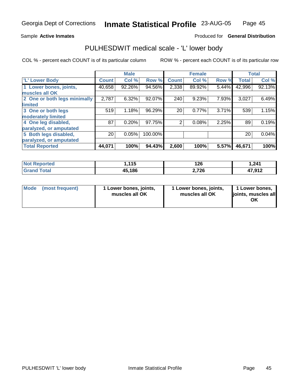Sample **Active Inmates**

### Produced for **General Distribution**

## PULHESDWIT medical scale - 'L' lower body

|                              |              | <b>Male</b> |         |                | <b>Female</b> |       |              | <b>Total</b> |
|------------------------------|--------------|-------------|---------|----------------|---------------|-------|--------------|--------------|
| 'L' Lower Body               | <b>Count</b> | Col %       | Row %   | <b>Count</b>   | Col %         | Row % | <b>Total</b> | Col %        |
| 1 Lower bones, joints,       | 40,658       | 92.26%      | 94.56%  | 2,338          | 89.92%        | 5.44% | 42,996       | 92.13%       |
| muscles all OK               |              |             |         |                |               |       |              |              |
| 2 One or both legs minimally | 2,787        | 6.32%       | 92.07%  | 240            | 9.23%         | 7.93% | 3,027        | 6.49%        |
| limited                      |              |             |         |                |               |       |              |              |
| 3 One or both legs           | 519          | 1.18%       | 96.29%  | 20             | 0.77%         | 3.71% | 539          | 1.15%        |
| moderately limited           |              |             |         |                |               |       |              |              |
| 4 One leg disabled,          | 87           | 0.20%       | 97.75%  | $\overline{2}$ | 0.08%         | 2.25% | 89           | 0.19%        |
| paralyzed, or amputated      |              |             |         |                |               |       |              |              |
| 5 Both legs disabled,        | 20           | 0.05%       | 100.00% |                |               |       | 20           | 0.04%        |
| paralyzed, or amputated      |              |             |         |                |               |       |              |              |
| <b>Total Reported</b>        | 44,071       | 100%        | 94.43%  | 2,600          | 100%          | 5.57% | 46,671       | 100%         |

| <b>Not Reported</b>   | 445<br>,,J | 126   | 241.ا  |
|-----------------------|------------|-------|--------|
| <b>Total</b><br>Grand | 45,186     | 2,726 | 47,912 |

| Mode | (most frequent) | 1 Lower bones, joints,<br>muscles all OK | 1 Lower bones, joints,<br>muscles all OK | 1 Lower bones,<br>ljoints, muscles all<br>OK |
|------|-----------------|------------------------------------------|------------------------------------------|----------------------------------------------|
|------|-----------------|------------------------------------------|------------------------------------------|----------------------------------------------|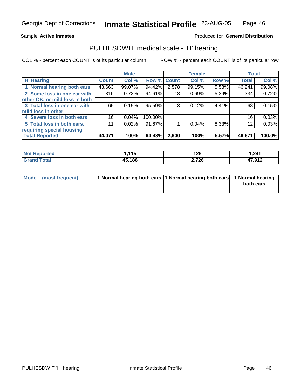Sample **Active Inmates**

### Produced for **General Distribution**

## PULHESDWIT medical scale - 'H' hearing

|                                |              | <b>Male</b> |             |                 | <b>Female</b> |       | <b>Total</b> |        |
|--------------------------------|--------------|-------------|-------------|-----------------|---------------|-------|--------------|--------|
| <b>H'</b> Hearing              | <b>Count</b> | Col %       | Row % Count |                 | Col %         | Row % | <b>Total</b> | Col %  |
| 1 Normal hearing both ears     | 43,663       | 99.07%      | 94.42%      | 2,578           | 99.15%        | 5.58% | 46,241       | 99.08% |
| 2 Some loss in one ear with    | 316          | 0.72%       | 94.61%      | 18 <sup>1</sup> | 0.69%         | 5.39% | 334          | 0.72%  |
| other OK, or mild loss in both |              |             |             |                 |               |       |              |        |
| 3 Total loss in one ear with   | 65           | 0.15%       | 95.59%      | 3               | 0.12%         | 4.41% | 68           | 0.15%  |
| mild loss in other             |              |             |             |                 |               |       |              |        |
| 4 Severe loss in both ears     | 16           | 0.04%       | 100.00%     |                 |               |       | 16           | 0.03%  |
| 5 Total loss in both ears,     | 11           | 0.02%       | 91.67%      |                 | 0.04%         | 8.33% | 12           | 0.03%  |
| requiring special housing      |              |             |             |                 |               |       |              |        |
| <b>Total Reported</b>          | 44,071       | 100%        | 94.43%      | 2,600           | 100%          | 5.57% | 46,671       | 100.0% |

| .<br>, , , , | 126<br>170 | 241,ا  |
|--------------|------------|--------|
| 45.186       | 2,726      | 47,912 |

| Mode (most frequent) | 1 Normal hearing both ears 1 Normal hearing both ears 1 Normal hearing |           |
|----------------------|------------------------------------------------------------------------|-----------|
|                      |                                                                        | both ears |
|                      |                                                                        |           |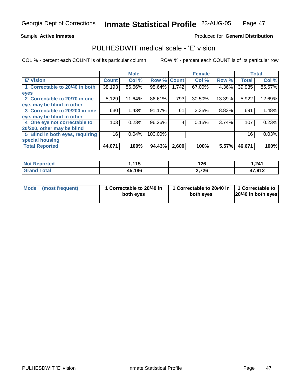Sample **Active Inmates**

### Produced for **General Distribution**

## PULHESDWIT medical scale - 'E' vision

|                                 |              | <b>Male</b> |                    |       | <b>Female</b> |        |              | <b>Total</b> |
|---------------------------------|--------------|-------------|--------------------|-------|---------------|--------|--------------|--------------|
| <b>E' Vision</b>                | <b>Count</b> | Col %       | <b>Row % Count</b> |       | Col %         | Row %  | <b>Total</b> | Col %        |
| 1 Correctable to 20/40 in both  | 38,193       | 86.66%      | 95.64%             | 1,742 | 67.00%        | 4.36%  | 39,935       | 85.57%       |
| eyes                            |              |             |                    |       |               |        |              |              |
| 2 Correctable to 20/70 in one   | 5,129        | 11.64%      | 86.61%             | 793   | 30.50%        | 13.39% | 5,922        | 12.69%       |
| eye, may be blind in other      |              |             |                    |       |               |        |              |              |
| 3 Correctable to 20/200 in one  | 630          | 1.43%       | 91.17%             | 61    | 2.35%         | 8.83%  | 691          | 1.48%        |
| eye, may be blind in other      |              |             |                    |       |               |        |              |              |
| 4 One eye not correctable to    | 103          | 0.23%       | 96.26%             | 4     | 0.15%         | 3.74%  | 107          | 0.23%        |
| 20/200, other may be blind      |              |             |                    |       |               |        |              |              |
| 5 Blind in both eyes, requiring | 16           | 0.04%       | 100.00%            |       |               |        | 16           | 0.03%        |
| special housing                 |              |             |                    |       |               |        |              |              |
| <b>Total Reported</b>           | 44,071       | 100%        | 94.43%             | 2,600 | 100%          | 5.57%  | 46,671       | 100%         |

| <b>Not Reported</b>   | <b>115</b><br>. | 126   | 1,241  |
|-----------------------|-----------------|-------|--------|
| $\tau$ otal<br>'Grand | 45,186          | 2,726 | 17,912 |

| Mode (most frequent) | 1 Correctable to 20/40 in<br>both eyes | 1 Correctable to 20/40 in   1 Correctable to<br>both eves | 20/40 in both eyes |
|----------------------|----------------------------------------|-----------------------------------------------------------|--------------------|
|----------------------|----------------------------------------|-----------------------------------------------------------|--------------------|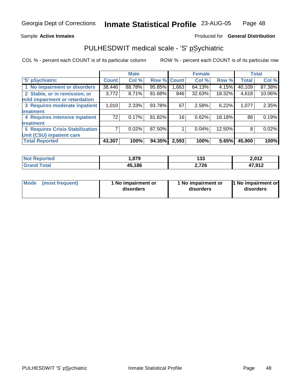Sample **Active Inmates**

### Produced for **General Distribution**

## PULHESDWIT medical scale - 'S' pSychiatric

|                                        |              | <b>Male</b> |        |              | <b>Female</b> |        |              | <b>Total</b> |
|----------------------------------------|--------------|-------------|--------|--------------|---------------|--------|--------------|--------------|
| 'S' pSychiatric                        | <b>Count</b> | Col %       | Row %  | <b>Count</b> | Col %         | Row %  | <b>Total</b> | Col %        |
| 1 No impairment or disorders           | 38,446       | 88.78%      | 95.85% | .663         | 64.13%        | 4.15%  | 40,109       | 87.38%       |
| 2 Stable, or in remission, or          | 3,772        | 8.71%       | 81.68% | 846          | 32.63%        | 18.32% | 4,618        | 10.06%       |
| mild impairment or retardation         |              |             |        |              |               |        |              |              |
| 3 Requires moderate inpatient          | 1,010        | $2.33\%$    | 93.78% | 67           | 2.58%         | 6.22%  | 1,077        | 2.35%        |
| treatment                              |              |             |        |              |               |        |              |              |
| 4 Requires intensive inpatient         | 72           | 0.17%       | 81.82% | 16           | 0.62%         | 18.18% | 88           | 0.19%        |
| treatment                              |              |             |        |              |               |        |              |              |
| <b>5 Requires Crisis Stabilization</b> |              | 0.02%       | 87.50% |              | 0.04%         | 12.50% | 8            | 0.02%        |
| Unit (CSU) inpatient care              |              |             |        |              |               |        |              |              |
| <b>Total Reported</b>                  | 43,307       | 100%        | 94.35% | 2,593        | 100%          | 5.65%  | 45,900       | 100%         |

| Not R<br><b>Anorted</b> | ,879   | 133   | 2,012             |
|-------------------------|--------|-------|-------------------|
| Гоtal<br>Cror           | 45,186 | 2,726 | 17 Q1 2<br>.J I 4 |

| Mode            | 1 No impairment or | 1 No impairment or | 1 No impairment or |
|-----------------|--------------------|--------------------|--------------------|
| (most frequent) | disorders          | disorders          | disorders          |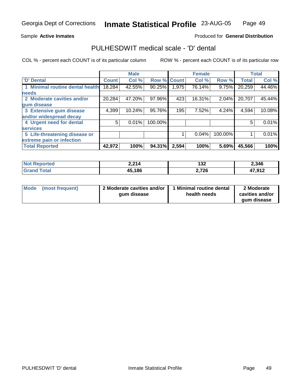Sample **Active Inmates**

### Produced for **General Distribution**

## PULHESDWIT medical scale - 'D' dental

|                                 |              | <b>Male</b> |                    |       | <b>Female</b> |         |              | <b>Total</b> |
|---------------------------------|--------------|-------------|--------------------|-------|---------------|---------|--------------|--------------|
| <b>D' Dental</b>                | <b>Count</b> | Col %       | <b>Row % Count</b> |       | Col %         | Row %   | <b>Total</b> | Col %        |
| 1 Minimal routine dental health | 18,284       | 42.55%      | 90.25%             | 1,975 | 76.14%        | 9.75%   | 20,259       | 44.46%       |
| <b>needs</b>                    |              |             |                    |       |               |         |              |              |
| 2 Moderate cavities and/or      | 20,284       | 47.20%      | 97.96%             | 423   | 16.31%        | 2.04%   | 20,707       | 45.44%       |
| gum disease                     |              |             |                    |       |               |         |              |              |
| 3 Extensive gum disease         | 4,399        | 10.24%      | 95.76%             | 195   | 7.52%         | 4.24%   | 4,594        | 10.08%       |
| and/or widespread decay         |              |             |                    |       |               |         |              |              |
| 4 Urgent need for dental        | 5            | 0.01%       | 100.00%            |       |               |         | 5            | 0.01%        |
| <b>services</b>                 |              |             |                    |       |               |         |              |              |
| 5 Life-threatening disease or   |              |             |                    |       | 0.04%         | 100.00% |              | 0.01%        |
| extreme pain or infection       |              |             |                    |       |               |         |              |              |
| <b>Total Reported</b>           | 42,972       | 100%        | 94.31%             | 2,594 | 100%          | 5.69%   | 45,566       | 100%         |

| <b>No</b>       | ⊿ רפי  | 129   | 2,346            |
|-----------------|--------|-------|------------------|
| <b>eported</b>  | 2.214  | 1JZ   |                  |
| Total<br>'Grano | 45,186 | 2,726 | 17 012<br>∡ו כ.י |

| Mode | (most frequent) | 2 Moderate cavities and/or  <br>gum disease | 1 Minimal routine dental<br>health needs | 2 Moderate<br>cavities and/or |
|------|-----------------|---------------------------------------------|------------------------------------------|-------------------------------|
|      |                 |                                             |                                          | gum disease                   |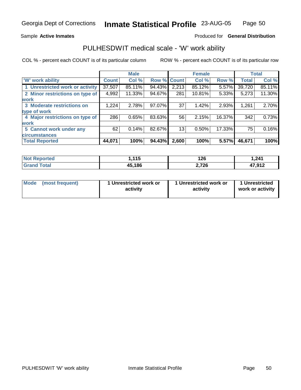Sample **Active Inmates**

### Produced for **General Distribution**

## PULHESDWIT medical scale - 'W' work ability

|                                 |              | <b>Male</b> |             |       | <b>Female</b> |        |              | <b>Total</b> |
|---------------------------------|--------------|-------------|-------------|-------|---------------|--------|--------------|--------------|
| <b>W' work ability</b>          | <b>Count</b> | Col %       | Row % Count |       | Col %         | Row %  | <b>Total</b> | Col %        |
| 1 Unrestricted work or activity | 37,507       | 85.11%      | 94.43%      | 2,213 | 85.12%        | 5.57%  | 39,720       | 85.11%       |
| 2 Minor restrictions on type of | 4,992        | 11.33%      | 94.67%      | 281   | 10.81%        | 5.33%  | 5,273        | 11.30%       |
| <b>work</b>                     |              |             |             |       |               |        |              |              |
| 3 Moderate restrictions on      | 1,224        | 2.78%       | 97.07%      | 37    | 1.42%         | 2.93%  | 1,261        | 2.70%        |
| type of work                    |              |             |             |       |               |        |              |              |
| 4 Major restrictions on type of | 286          | 0.65%       | 83.63%      | 56    | 2.15%         | 16.37% | 342          | 0.73%        |
| work                            |              |             |             |       |               |        |              |              |
| 5 Cannot work under any         | 62           | 0.14%       | 82.67%      | 13    | 0.50%         | 17.33% | 75           | 0.16%        |
| <b>circumstances</b>            |              |             |             |       |               |        |              |              |
| <b>Total Reported</b>           | 44,071       | 100%        | 94.43%      | 2,600 | 100%          | 5.57%  | 46,671       | 100%         |

| <b>Not Reported</b>            | 1.115  | 126   | 1,241  |
|--------------------------------|--------|-------|--------|
| <b>Total</b><br><b>Grand</b> i | 45,186 | 2,726 | 47,912 |

| Mode | (most frequent) | 1 Unrestricted work or<br>activity | 1 Unrestricted work or<br>activity | 1 Unrestricted<br>work or activity |
|------|-----------------|------------------------------------|------------------------------------|------------------------------------|
|------|-----------------|------------------------------------|------------------------------------|------------------------------------|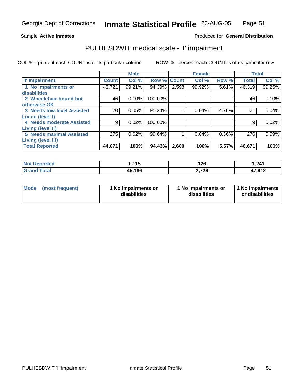Sample **Active Inmates**

### Produced for **General Distribution**

## PULHESDWIT medical scale - 'I' impairment

|                                   |              | <b>Male</b> |             |       | <b>Female</b> |          |              | <b>Total</b> |
|-----------------------------------|--------------|-------------|-------------|-------|---------------|----------|--------------|--------------|
| <b>T</b> Impairment               | <b>Count</b> | Col %       | Row % Count |       | Col %         | Row %    | <b>Total</b> | Col %        |
| 1 No impairments or               | 43,721       | 99.21%      | 94.39%      | 2,598 | 99.92%        | 5.61%    | 46,319       | 99.25%       |
| disabilities                      |              |             |             |       |               |          |              |              |
| 2 Wheelchair-bound but            | 46           | 0.10%       | 100.00%     |       |               |          | 46           | 0.10%        |
| <b>otherwise OK</b>               |              |             |             |       |               |          |              |              |
| <b>3 Needs low-level Assisted</b> | 20           | 0.05%       | 95.24%      |       | 0.04%         | 4.76%    | 21           | 0.04%        |
| Living (level I)                  |              |             |             |       |               |          |              |              |
| 4 Needs moderate Assisted         | 9            | 0.02%       | 100.00%     |       |               |          |              | 0.02%        |
| <b>Living (level II)</b>          |              |             |             |       |               |          |              |              |
| <b>5 Needs maximal Assisted</b>   | 275          | 0.62%       | 99.64%      |       | 0.04%         | $0.36\%$ | 276          | 0.59%        |
| <b>Living (level III)</b>         |              |             |             |       |               |          |              |              |
| <b>Total Reported</b>             | 44,071       | 100%        | 94.43%      | 2,600 | 100%          | 5.57%    | 46,671       | 100%         |

| <b>Not</b>            | <b>115</b> | 126    | 241,ا  |
|-----------------------|------------|--------|--------|
| <b>Reported</b>       |            | $\sim$ |        |
| <b>Total</b><br>Grand | 45,186     | 2,726  | 17,912 |

|  | Mode (most frequent) | 1 No impairments or<br>disabilities | 1 No impairments or<br>disabilities | 1 No impairments  <br>or disabilities |
|--|----------------------|-------------------------------------|-------------------------------------|---------------------------------------|
|--|----------------------|-------------------------------------|-------------------------------------|---------------------------------------|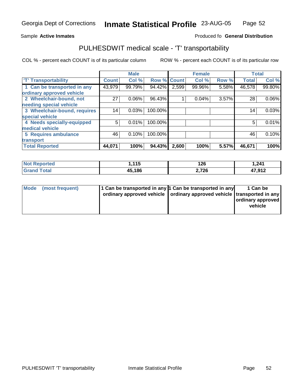#### **Inmate Statistical Profile** 23-AUG-05 Page Page 52

### Sample Active Inmates **Active Inmates Produced fo General Distribution**

## PULHESDWIT medical scale - 'T' transportability

|                              |              | <b>Male</b> |         |              | <b>Female</b> |       | <b>Total</b> |          |
|------------------------------|--------------|-------------|---------|--------------|---------------|-------|--------------|----------|
| <b>T' Transportability</b>   | <b>Count</b> | Col %       | Row %   | <b>Count</b> | Col %         | Row % | <b>Total</b> | Col %    |
| 1 Can be transported in any  | 43,979       | 99.79%      | 94.42%  | 2,599        | 99.96%        | 5.58% | 46,578       | 99.80%   |
| ordinary approved vehicle    |              |             |         |              |               |       |              |          |
| 2 Wheelchair-bound, not      | 27           | 0.06%       | 96.43%  |              | 0.04%         | 3.57% | 28           | $0.06\%$ |
| needing special vehicle      |              |             |         |              |               |       |              |          |
| 3 Wheelchair-bound, requires | 14           | 0.03%       | 100.00% |              |               |       | 14           | 0.03%    |
| special vehicle              |              |             |         |              |               |       |              |          |
| 4 Needs specially-equipped   | 5            | 0.01%       | 100.00% |              |               |       | 5            | 0.01%    |
| medical vehicle              |              |             |         |              |               |       |              |          |
| 5 Requires ambulance         | 46           | 0.10%       | 100.00% |              |               |       | 46           | 0.10%    |
| transport                    |              |             |         |              |               |       |              |          |
| <b>Total Reported</b>        | 44,071       | 100%        | 94.43%  | 2,600        | 100%          | 5.57% | 46,671       | 100%     |

| <b>Not Reported</b>   | 115،،  | 126<br>__ | 1,241  |
|-----------------------|--------|-----------|--------|
| Total<br><b>Grand</b> | 45,186 | 2,726     | 47,912 |

| Mode (most frequent) | 1 Can be transported in any 1 Can be transported in any<br>ordinary approved vehicle   ordinary approved vehicle   transported in any | 1 Can be<br>ordinary approved<br>vehicle |
|----------------------|---------------------------------------------------------------------------------------------------------------------------------------|------------------------------------------|
|                      |                                                                                                                                       |                                          |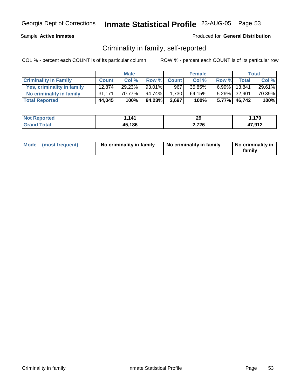Sample **Active Inmates**

Produced for **General Distribution**

## Criminality in family, self-reported

|                              |              | <b>Male</b> |         |             | <b>Female</b> |       |              | Total  |
|------------------------------|--------------|-------------|---------|-------------|---------------|-------|--------------|--------|
| <b>Criminality In Family</b> | <b>Count</b> | Col %       |         | Row % Count | Col %         | Row % | Total        | Col %  |
| Yes, criminality in family   | 12.874       | 29.23%      | 93.01%  | 967         | 35.85%        |       | 6.99% 13,841 | 29.61% |
| No criminality in family     | 31.171       | 70.77%      | 94.74%I | 1,730       | 64.15%        |       | 5.26% 32,901 | 70.39% |
| <b>Total Reported</b>        | 44,045       | 100%        | 94.23%  | 2,697       | 100%          |       | 5.77% 46,742 | 100%   |

|        | $\Lambda$ <sup>4</sup><br>. | 20<br>29 | 170    |
|--------|-----------------------------|----------|--------|
| ______ | .186                        | 726      | 17 012 |
|        | 15.                         | . .      | . .    |
|        | то,                         |          |        |

| Mode (most frequent) | No criminality in family | No criminality in family | No criminality in<br>family |
|----------------------|--------------------------|--------------------------|-----------------------------|
|----------------------|--------------------------|--------------------------|-----------------------------|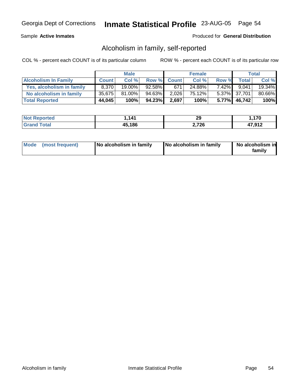### Sample **Active Inmates**

### Produced for **General Distribution**

## Alcoholism in family, self-reported

|                             | <b>Male</b>  |           | <b>Female</b> |             |        | Total    |              |        |
|-----------------------------|--------------|-----------|---------------|-------------|--------|----------|--------------|--------|
| <b>Alcoholism In Family</b> | <b>Count</b> | Col %     |               | Row % Count | Col %  | Row %    | <b>Total</b> | Col %  |
| Yes, alcoholism in family   | 8,370        | $19.00\%$ | $92.58\%$     | 671         | 24.88% | $7.42\%$ | 9.041        | 19.34% |
| No alcoholism in family     | 35,675       | $81.00\%$ | 94.63%        | 2,026       | 75.12% |          | 5.37% 37,701 | 80.66% |
| <b>Total Reported</b>       | 44,045       | 100%      | 94.23%        | 2,697       | 100%   |          | 5.77% 46,742 | 100%   |

| <b>Not Reported</b> | 141.ا  | 29    | .170  |
|---------------------|--------|-------|-------|
| <b>Grand Total</b>  | 45,186 | 2,726 | 17012 |

| Mode (most frequent)<br>No alcoholism in family | <b>No alcoholism in family</b> | No alcoholism in<br>familv |
|-------------------------------------------------|--------------------------------|----------------------------|
|-------------------------------------------------|--------------------------------|----------------------------|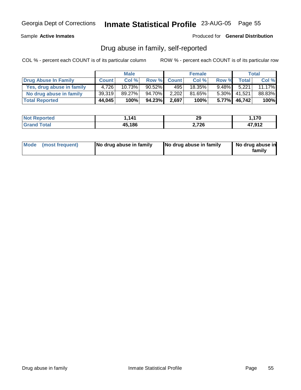Sample **Active Inmates**

Produced for **General Distribution**

## Drug abuse in family, self-reported

|                           |              | <b>Male</b> |           |             | <b>Female</b> |          |                    | Total  |
|---------------------------|--------------|-------------|-----------|-------------|---------------|----------|--------------------|--------|
| Drug Abuse In Family      | <b>Count</b> | Col %       |           | Row % Count | Col %         | Row %    | Total <sub>1</sub> | Col %  |
| Yes, drug abuse in family | 4.726        | 10.73%      | $90.52\%$ | 495'        | 18.35%        | $9.48\%$ | 5,221              | 11.17% |
| No drug abuse in family   | 39,319       | $89.27\%$   | 94.70%    | 2,202       | 81.65%        | $5.30\%$ | 41,521             | 88.83% |
| <b>Total Reported</b>     | 44,045       | 100%        | 94.23%    | 2,697       | 100%          | $5.77\%$ | 46,742             | 100%   |

|        | $\Lambda$ <sup>4</sup><br>. | 20<br>29 | 170    |
|--------|-----------------------------|----------|--------|
| ______ | .186                        | 726      | 17 012 |
|        | 15.                         | . .      | . .    |
|        | то,                         |          |        |

|  | Mode (most frequent) | No drug abuse in family | No drug abuse in family | No drug abuse in<br>family |
|--|----------------------|-------------------------|-------------------------|----------------------------|
|--|----------------------|-------------------------|-------------------------|----------------------------|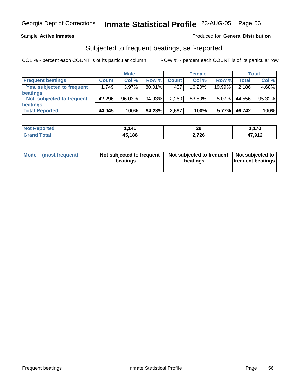### Sample **Active Inmates**

### Produced for **General Distribution**

## Subjected to frequent beatings, self-reported

|                            |              | <b>Male</b> |        |              | <b>Female</b> |          |        | Total  |
|----------------------------|--------------|-------------|--------|--------------|---------------|----------|--------|--------|
| <b>Frequent beatings</b>   | <b>Count</b> | Col%        | Row %  | <b>Count</b> | Col%          | Row %    | Total  | Col %  |
| Yes, subjected to frequent | 1.749        | $3.97\%$    | 80.01% | 437          | 16.20%        | 19.99%   | 2,186  | 4.68%  |
| beatings                   |              |             |        |              |               |          |        |        |
| Not subjected to frequent  | 42,296       | 96.03%      | 94.93% | 2,260        | 83.80%        | $5.07\%$ | 44,556 | 95.32% |
| beatings                   |              |             |        |              |               |          |        |        |
| <b>Total Reported</b>      | 44,045       | 100%        | 94.23% | 2,697        | 100%          | 5.77%    | 46,742 | 100%   |

| <b>Not Reported</b> | 1,141  | 29    | .170،  |
|---------------------|--------|-------|--------|
| <b>Grand Total</b>  | 45,186 | 2,726 | 47,912 |

| Mode            | Not subjected to frequent | Not subjected to frequent | Not subjected to         |
|-----------------|---------------------------|---------------------------|--------------------------|
| (most frequent) | beatings                  | beatings                  | <b>frequent beatings</b> |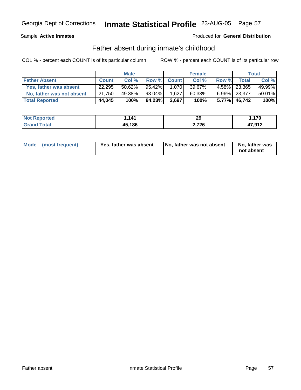Sample **Active Inmates**

### Produced for **General Distribution**

## Father absent during inmate's childhood

|                           |              | <b>Male</b> |        |             | <b>Female</b> |       |              | Total  |
|---------------------------|--------------|-------------|--------|-------------|---------------|-------|--------------|--------|
| <b>Father Absent</b>      | <b>Count</b> | Col %       |        | Row % Count | Col %         | Row % | <b>Total</b> | Col %  |
| Yes, father was absent    | 22,295       | $50.62\%$   | 95.42% | 1.070       | 39.67%        |       | 4.58% 23,365 | 49.99% |
| No, father was not absent | 21,750       | 49.38%      | 93.04% | 1,627       | 60.33%        |       | 6.96% 23,377 | 50.01% |
| <b>Total Reported</b>     | 44,045       | 100%        | 94.23% | 2,697       | 100%          |       | 5.77% 46,742 | 100%   |

| <b>Not</b><br>Reported | 1,141  | 29    | $\rightarrow$<br>. <i>I</i> V |
|------------------------|--------|-------|-------------------------------|
| $f$ oto $'$            | 45,186 | 2,726 | 17 012<br>1,J I 4.            |

| Mode (most frequent)<br>Yes, father was absent | No, father was not absent | No, father was<br>not absent |
|------------------------------------------------|---------------------------|------------------------------|
|------------------------------------------------|---------------------------|------------------------------|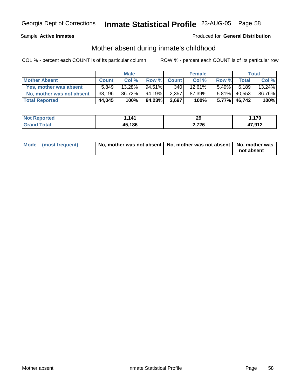Sample **Active Inmates**

### Produced for **General Distribution**

# Mother absent during inmate's childhood

|                           |              | <b>Male</b> |           |             | <b>Female</b> |          |              | <b>Total</b> |
|---------------------------|--------------|-------------|-----------|-------------|---------------|----------|--------------|--------------|
| <b>Mother Absent</b>      | <b>Count</b> | Col %       |           | Row % Count | Col %         | Row %    | <b>Total</b> | Col %        |
| Yes, mother was absent    | 5.849        | $13.28\%$   | $94.51\%$ | 340         | 12.61%        | $5.49\%$ | 6.189        | 13.24%       |
| No, mother was not absent | 38,196       | 86.72%      | 94.19%    | 2,357       | 87.39%        | $5.81\%$ | 40,553       | 86.76%       |
| <b>Total Reported</b>     | 44,045       | 100%        | 94.23%    | 2,697       | 100%          | $5.77\%$ | 46.742       | 100%         |

| Not F<br>Reported | <b>11</b> | 29    | .170   |
|-------------------|-----------|-------|--------|
| <b>Cotal</b>      | 45,186    | 2,726 | 17,912 |

| Mode (most frequent) | No, mother was not absent   No, mother was not absent   No, mother was |            |
|----------------------|------------------------------------------------------------------------|------------|
|                      |                                                                        | not absent |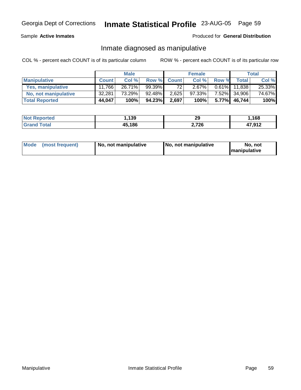### Sample **Active Inmates**

### Produced for **General Distribution**

### Inmate diagnosed as manipulative

|                       |              | <b>Male</b> |        |              | <b>Female</b> |          |         | Total  |
|-----------------------|--------------|-------------|--------|--------------|---------------|----------|---------|--------|
| <b>Manipulative</b>   | <b>Count</b> | Col %       | Row %  | <b>Count</b> | Col %         | Row %    | Total i | Col %  |
| Yes, manipulative     | 11.766       | 26.71%      | 99.39% | 72           | 2.67%         | $0.61\%$ | 11.838  | 25.33% |
| No, not manipulative  | 32,281       | 73.29%      | 92.48% | 2,625        | 97.33%        | $7.52\%$ | 34,906  | 74.67% |
| <b>Total Reported</b> | 44,047       | 100%        | 94.23% | 2,697        | 100%          | 5.77%    | 46,744  | 100%   |

| <b>Not Reported</b>   | 1,139  | ה ה<br>- 2 | ,168   |
|-----------------------|--------|------------|--------|
| <b>fotal</b><br>Grand | 45,186 | つ フつに      | 47,912 |

| Mode (most frequent) | 1 No. not manipulative | <b>No. not manipulative</b> | No. not              |
|----------------------|------------------------|-----------------------------|----------------------|
|                      |                        |                             | <b>Imanipulative</b> |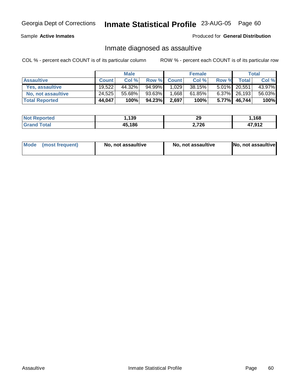Sample **Active Inmates**

Produced for **General Distribution**

## Inmate diagnosed as assaultive

|                       |              | <b>Male</b> |        |             | <b>Female</b> |          |                 | Total  |
|-----------------------|--------------|-------------|--------|-------------|---------------|----------|-----------------|--------|
| <b>Assaultive</b>     | <b>Count</b> | Col %       |        | Row % Count | Col %         | Row %    | Total           | Col %  |
| Yes, assaultive       | 19.522       | 44.32%      | 94.99% | 1,029       | 38.15%        |          | 5.01% 20,551    | 43.97% |
| No, not assaultive    | 24,525       | 55.68%      | 93.63% | 1,668       | 61.85%        |          | $6.37\%$ 26,193 | 56.03% |
| <b>Total Reported</b> | 44,047       | 100%        | 94.23% | 2,697       | 100%          | $5.77\%$ | 46,744          | 100%   |

| <b>Not Reported</b>     | 1,139  | 29    | ,168   |
|-------------------------|--------|-------|--------|
| <b>Total</b><br>l Grand | 45,186 | 2,726 | 17,912 |

| Mode (most frequent) |  | No, not assaultive | No, not assaultive | No, not assaultive |
|----------------------|--|--------------------|--------------------|--------------------|
|----------------------|--|--------------------|--------------------|--------------------|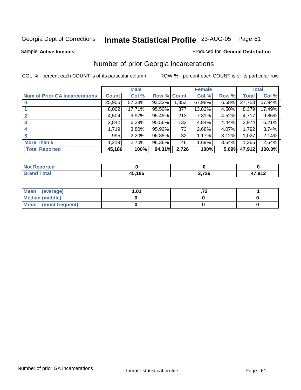Sample **Active Inmates**

### Produced for **General Distribution**

## Number of prior Georgia incarcerations

|                                       |              | <b>Male</b> |        |             | <b>Female</b> |       |              | <b>Total</b> |
|---------------------------------------|--------------|-------------|--------|-------------|---------------|-------|--------------|--------------|
| <b>Num of Prior GA Incarcerations</b> | <b>Count</b> | Col %       |        | Row % Count | Col %         | Row % | <b>Total</b> | Col %        |
|                                       | 25,905       | 57.33%      | 93.32% | ,853        | 67.98%        | 6.68% | 27,758       | 57.94%       |
|                                       | 8,002        | 17.71%      | 95.50% | 377         | 13.83%        | 4.50% | 8,379        | 17.49%       |
|                                       | 4,504        | 9.97%       | 95.48% | 213         | 7.81%         | 4.52% | 4,717        | $9.85\%$     |
| 3                                     | 2,842        | 6.29%       | 95.56% | 132         | 4.84%         | 4.44% | 2,974        | 6.21%        |
|                                       | 1,719        | 3.80%       | 95.93% | 73          | 2.68%         | 4.07% | 1,792        | 3.74%        |
| 5                                     | 995          | 2.20%       | 96.88% | 32          | 1.17%         | 3.12% | 1,027        | 2.14%        |
| <b>More Than 5</b>                    | 1,219        | 2.70%       | 96.36% | 46          | 1.69%         | 3.64% | 1,265        | 2.64%        |
| <b>Total Reported</b>                 | 45,186       | 100%        | 94.31% | 2,726       | 100%          | 5.69% | 47,912       | 100.0%       |

| N <sub>O</sub><br>orted |        |     |           |
|-------------------------|--------|-----|-----------|
| <b>otal</b>             | IE 10C | 72F | 17.017    |
| _____                   | л.     | __  | $\sim$ 12 |

| Mean (average)       | .01 |  |
|----------------------|-----|--|
| Median (middle)      |     |  |
| Mode (most frequent) |     |  |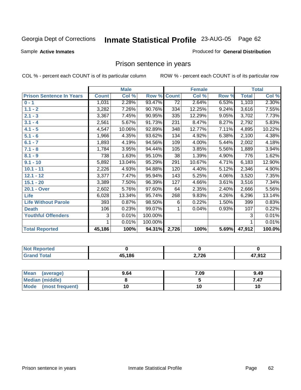Sample **Active Inmates**

### Produced for **General Distribution**

## Prison sentence in years

|                                 |              | <b>Male</b> |         |                 | <b>Female</b> |          |              | <b>Total</b> |
|---------------------------------|--------------|-------------|---------|-----------------|---------------|----------|--------------|--------------|
| <b>Prison Sentence In Years</b> | <b>Count</b> | Col %       | Row %   | <b>Count</b>    | Col %         | Row %    | <b>Total</b> | Col %        |
| $0 - 1$                         | 1,031        | 2.28%       | 93.47%  | $\overline{72}$ | 2.64%         | 6.53%    | 1,103        | 2.30%        |
| $1.1 - 2$                       | 3,282        | 7.26%       | 90.76%  | 334             | 12.25%        | $9.24\%$ | 3,616        | 7.55%        |
| $2.1 - 3$                       | 3,367        | 7.45%       | 90.95%  | 335             | 12.29%        | 9.05%    | 3,702        | 7.73%        |
| $3.1 - 4$                       | 2,561        | 5.67%       | 91.73%  | 231             | 8.47%         | 8.27%    | 2,792        | 5.83%        |
| $4.1 - 5$                       | 4,547        | 10.06%      | 92.89%  | 348             | 12.77%        | 7.11%    | 4,895        | 10.22%       |
| $5.1 - 6$                       | 1,966        | 4.35%       | 93.62%  | 134             | 4.92%         | 6.38%    | 2,100        | 4.38%        |
| $6.1 - 7$                       | 1,893        | 4.19%       | 94.56%  | 109             | 4.00%         | 5.44%    | 2,002        | 4.18%        |
| $7.1 - 8$                       | 1,784        | 3.95%       | 94.44%  | 105             | 3.85%         | 5.56%    | 1,889        | 3.94%        |
| $8.1 - 9$                       | 738          | 1.63%       | 95.10%  | $\overline{38}$ | 1.39%         | 4.90%    | 776          | 1.62%        |
| $9.1 - 10$                      | 5,892        | 13.04%      | 95.29%  | 291             | 10.67%        | 4.71%    | 6,183        | 12.90%       |
| $10.1 - 11$                     | 2,226        | 4.93%       | 94.88%  | 120             | 4.40%         | 5.12%    | 2,346        | 4.90%        |
| $12.1 - 12$                     | 3,377        | 7.47%       | 95.94%  | 143             | 5.25%         | 4.06%    | 3,520        | 7.35%        |
| $15.1 - 20$                     | 3,389        | 7.50%       | 96.39%  | 127             | 4.66%         | 3.61%    | 3,516        | 7.34%        |
| 20.1 - Over                     | 2,602        | 5.76%       | 97.60%  | 64              | 2.35%         | 2.40%    | 2,666        | 5.56%        |
| <b>Life</b>                     | 6,028        | 13.34%      | 95.74%  | 268             | 9.83%         | 4.26%    | 6,296        | 13.14%       |
| <b>Life Without Parole</b>      | 393          | 0.87%       | 98.50%  | 6               | 0.22%         | 1.50%    | 399          | 0.83%        |
| <b>Death</b>                    | 106          | 0.23%       | 99.07%  |                 | 0.04%         | 0.93%    | 107          | 0.22%        |
| <b>Youthful Offenders</b>       | 3            | 0.01%       | 100.00% |                 |               |          | 3            | 0.01%        |
|                                 |              | 0.01%       | 100.00% |                 |               |          | 1            | 0.01%        |
| <b>Total Reported</b>           | 45,186       | 100%        | 94.31%  | 2,726           | 100%          | 5.69%    | 47,912       | 100.0%       |

| <b>Reported</b><br><b>NOT</b> |        |       |                       |
|-------------------------------|--------|-------|-----------------------|
| <b>Total</b>                  | 45,186 | 2,726 | 17012<br>.J I 4<br>т. |

| Mean<br>(average)       | 9.64 | 7.09 | 9.49 |
|-------------------------|------|------|------|
| <b>Median (middle)</b>  |      |      | 7.47 |
| Mode<br>(most frequent) |      |      |      |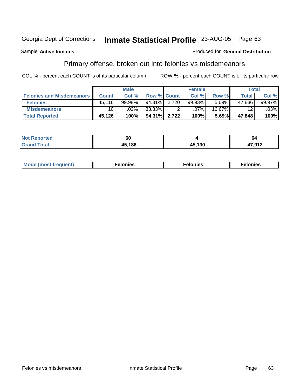Sample **Active Inmates**

### Produced for **General Distribution**

# Primary offense, broken out into felonies vs misdemeanors

|                                  |              | <b>Male</b> |             |       | <b>Female</b> |        | <b>Total</b> |        |
|----------------------------------|--------------|-------------|-------------|-------|---------------|--------|--------------|--------|
| <b>Felonies and Misdemeanors</b> | <b>Count</b> | Col %       | Row % Count |       | Col %         | Row %  | Total        | Col %  |
| <b>Felonies</b>                  | 45,116       | 99.98%      | 94.31%      | 2.720 | 99.93%        | 5.69%  | 47,836       | 99.97% |
| <b>Misdemeanors</b>              | 10           | .02%        | 83.33%      |       | .07%          | 16.67% | 12           | .03%   |
| <b>Total Reported</b>            | 45,126       | 100%        | 94.31%      | 2.722 | 100%          | 5.69%  | 47.848       | 100%   |

| <b>Not Reported</b> | 60     |              | 64     |
|---------------------|--------|--------------|--------|
| `otal               | 15.186 | <b>15130</b> | 17 Q12 |
| Grar                |        | טט ו         |        |

| Mode (most frequent) | าทเคร | lonies | elonies |
|----------------------|-------|--------|---------|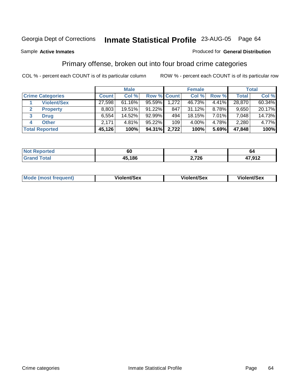Sample **Active Inmates**

### Produced for **General Distribution**

## Primary offense, broken out into four broad crime categories

|                         | <b>Male</b>  |           | <b>Female</b>      |       |           | <b>Total</b> |        |        |
|-------------------------|--------------|-----------|--------------------|-------|-----------|--------------|--------|--------|
| <b>Crime Categories</b> | <b>Count</b> | Col %     | <b>Row % Count</b> |       | Col %     | Row %        | Total  | Col %  |
| <b>Violent/Sex</b>      | 27,598       | $61.16\%$ | $95.59\%$          | 1,272 | 46.73%    | $4.41\%$     | 28,870 | 60.34% |
| <b>Property</b>         | 8,803        | 19.51%    | 91.22%             | 847   | $31.12\%$ | 8.78%        | 9,650  | 20.17% |
| 3<br><b>Drug</b>        | 6,554        | 14.52%    | 92.99%             | 494   | 18.15%    | 7.01%        | 7,048  | 14.73% |
| <b>Other</b><br>4       | 2,171        | 4.81%     | 95.22%             | 109   | 4.00%     | 4.78%        | 2,280  | 4.77%  |
| <b>Total Reported</b>   | 45,126       | 100%      | 94.31%             | 2,722 | 100%      | 5.69%        | 47,848 | 100%   |

| <b>Not</b><br>rteo | υυ           |                | 04   |
|--------------------|--------------|----------------|------|
| $f$ otal           | 45.186<br>т. | ארד ר<br>2,720 | ,912 |

|  | <b>Mode</b><br>≀ (most frequent) | Violent/Sex | iolent/Sex | <b>Violent/Sex</b> |
|--|----------------------------------|-------------|------------|--------------------|
|--|----------------------------------|-------------|------------|--------------------|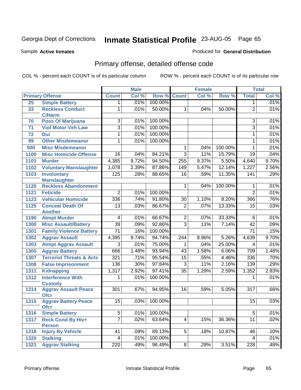Sample **Active Inmates**

### Produced for **General Distribution**

# Primary offense, detailed offense code

|                 |                                            |                  | <b>Male</b> |         |                 | <b>Female</b> |         |                  | <b>Total</b> |
|-----------------|--------------------------------------------|------------------|-------------|---------|-----------------|---------------|---------|------------------|--------------|
|                 | <b>Primary Offense</b>                     | <b>Count</b>     | Col %       | Row %   | <b>Count</b>    | Col %         | Row %   | <b>Total</b>     | Col %        |
| 25              | <b>Simple Battery</b>                      | 1.               | .01%        | 100.00% |                 |               |         | 1                | .01%         |
| 33              | <b>Reckless Conduct</b><br><b>C/Harm</b>   | 1                | .01%        | 50.00%  | 1               | .04%          | 50.00%  | $\overline{2}$   | .01%         |
| 70              | <b>Poss Of Marijuana</b>                   | $\overline{3}$   | .01%        | 100.00% |                 |               |         | $\overline{3}$   | .01%         |
| 71              | <b>Viol Motor Veh Law</b>                  | $\overline{3}$   | .01%        | 100.00% |                 |               |         | $\overline{3}$   | .01%         |
| $\overline{72}$ | <b>Dui</b>                                 | 1                | .01%        | 100.00% |                 |               |         | $\mathbf{1}$     | .01%         |
| 99              | <b>Other Misdemeanor</b>                   | 1                | .01%        | 100.00% |                 |               |         | $\mathbf{1}$     | .01%         |
| 500             | <b>Misc Misdemeanor</b>                    |                  |             |         | 1               | .04%          | 100.00% | $\mathbf{1}$     | .01%         |
| 1100            | <b>Misc Homicide Offense</b>               | $\overline{16}$  | .04%        | 84.21%  | $\overline{3}$  | .11%          | 15.79%  | $\overline{19}$  | .04%         |
| 1101            | <b>Murder</b>                              | 4,385            | 9.72%       | 94.50%  | 255             | 9.37%         | 5.50%   | 4,640            | 9.70%        |
| 1102            | <b>Voluntary Manslaughter</b>              | 1,078            | 2.39%       | 87.86%  | 149             | 5.47%         | 12.14%  | 1,227            | 2.56%        |
| 1103            | <b>Involuntary</b>                         | 125              | .28%        | 88.65%  | 16              | .59%          | 11.35%  | 141              | .29%         |
|                 | <b>Manslaughter</b>                        |                  |             |         |                 |               |         |                  |              |
| 1120            | <b>Reckless Abandonment</b>                |                  |             |         | 1               | .04%          | 100.00% | 1                | .01%         |
| 1121            | <b>Feticide</b>                            | $\overline{2}$   | .01%        | 100.00% |                 |               |         | $\overline{2}$   | .01%         |
| 1123            | <b>Vehicular Homicide</b>                  | 336              | .74%        | 91.80%  | $\overline{30}$ | 1.10%         | 8.20%   | 366              | .76%         |
| 1125            | <b>Conceal Death Of</b>                    | $\overline{13}$  | .03%        | 86.67%  | $\overline{2}$  | .07%          | 13.33%  | $\overline{15}$  | .03%         |
|                 | <b>Another</b>                             |                  |             |         |                 |               |         |                  |              |
| 1190            | <b>Atmpt Murder</b>                        | 4                | .01%        | 66.67%  | $\overline{2}$  | .07%          | 33.33%  | $\overline{6}$   | .01%         |
| 1300            | <b>Misc Assault/Battery</b>                | $\overline{39}$  | .09%        | 92.86%  | $\overline{3}$  | .11%          | 7.14%   | $\overline{42}$  | .09%         |
| 1301            | <b>Family Violence Battery</b>             | $\overline{71}$  | .16%        | 100.00% |                 |               |         | $\overline{71}$  | .15%         |
| 1302            | <b>Aggrav Assault</b>                      | 4,395            | 9.74%       | 94.74%  | 244             | 8.96%         | 5.26%   | 4,639            | 9.70%        |
| 1303            | <b>Atmpt Aggrav Assault</b>                | $\overline{3}$   | .01%        | 75.00%  | 1               | .04%          | 25.00%  | 4                | .01%         |
| 1305            | <b>Aggrav Battery</b>                      | 666              | 1.48%       | 93.94%  | 43              | 1.58%         | 6.06%   | 709              | 1.48%        |
| 1307            | <b>Terrorist Threats &amp; Acts</b>        | 321              | .71%        | 95.54%  | $\overline{15}$ | .55%          | 4.46%   | 336              | .70%         |
| 1308            | <b>False Imprisonment</b>                  | 136              | .30%        | 97.84%  | $\overline{3}$  | .11%          | 2.16%   | 139              | .29%         |
| 1311            | Kidnapping                                 | 1,317            | 2.92%       | 97.41%  | $\overline{35}$ | 1.29%         | 2.59%   | 1,352            | 2.83%        |
| 1312            | <b>Interference With</b>                   | 1                | .01%        | 100.00% |                 |               |         | 1                | .01%         |
|                 | <b>Custody</b>                             |                  |             |         |                 |               |         |                  |              |
| 1314            | <b>Aggrav Assault Peace</b><br><b>Ofcr</b> | $\overline{301}$ | .67%        | 94.95%  | $\overline{16}$ | .59%          | 5.05%   | $\overline{317}$ | .66%         |
| 1315            | <b>Aggrav Battery Peace</b><br><b>Ofcr</b> | 15               | .03%        | 100.00% |                 |               |         | 15               | .03%         |
| 1316            | <b>Simple Battery</b>                      | $\overline{5}$   | .01%        | 100.00% |                 |               |         | $\overline{5}$   | .01%         |
| 1317            | <b>Reck Cond By Hiv+</b>                   | $\overline{7}$   | .02%        | 63.64%  | 4               | .15%          | 36.36%  | 11               | .02%         |
|                 | <b>Person</b>                              |                  |             |         |                 |               |         |                  |              |
| 1318            | <b>Injury By Vehicle</b>                   | 41               | .09%        | 89.13%  | 5               | .18%          | 10.87%  | 46               | .10%         |
| 1320            | <b>Stalking</b>                            | $\overline{4}$   | .01%        | 100.00% |                 |               |         | $\overline{4}$   | .01%         |
| 1321            | <b>Aggrav Stalking</b>                     | 220              | .49%        | 96.49%  | $\overline{8}$  | .29%          | 3.51%   | 228              | .48%         |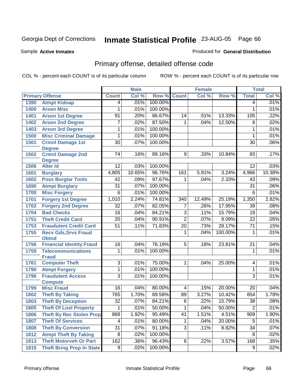Sample **Active Inmates**

### Produced for **General Distribution**

# Primary offense, detailed offense code

|      |                                             |                 | <b>Male</b> |         |                | <b>Female</b>      |         |                 | <b>Total</b> |
|------|---------------------------------------------|-----------------|-------------|---------|----------------|--------------------|---------|-----------------|--------------|
|      | <b>Primary Offense</b>                      | <b>Count</b>    | Col %       | Row %   | <b>Count</b>   | Col %              | Row %   | <b>Total</b>    | CoI%         |
| 1390 | <b>Atmpt Kidnap</b>                         | 4               | .01%        | 100.00% |                |                    |         | $\overline{4}$  | .01%         |
| 1400 | <b>Arson Misc</b>                           | 1               | .01%        | 100.00% |                |                    |         | 1               | .01%         |
| 1401 | <b>Arson 1st Degree</b>                     | $\overline{91}$ | .20%        | 86.67%  | 14             | .51%               | 13.33%  | 105             | .22%         |
| 1402 | <b>Arson 2nd Degree</b>                     | 7               | .02%        | 87.50%  | 1              | .04%               | 12.50%  | 8               | .02%         |
| 1403 | <b>Arson 3rd Degree</b>                     | 1               | .01%        | 100.00% |                |                    |         | $\mathbf{1}$    | .01%         |
| 1500 | <b>Misc Criminal Damage</b>                 | 1               | .01%        | 100.00% |                |                    |         | 1               | .01%         |
| 1501 | <b>Crmnl Damage 1st</b><br><b>Degree</b>    | $\overline{30}$ | .07%        | 100.00% |                |                    |         | 30              | .06%         |
| 1502 | <b>Crmnl Damage 2nd</b><br><b>Degree</b>    | 74              | .16%        | 89.16%  | 9              | .33%               | 10.84%  | 83              | .17%         |
| 1506 | <b>Alter Id</b>                             | 12              | .03%        | 100.00% |                |                    |         | 12              | .03%         |
| 1601 | <b>Burglary</b>                             | 4,805           | 10.65%      | 96.76%  | 161            | 5.91%              | 3.24%   | 4,966           | 10.38%       |
| 1602 | <b>Poss Burglar Tools</b>                   | 42              | .09%        | 97.67%  | 1              | .04%               | 2.33%   | 43              | .09%         |
| 1690 | <b>Atmpt Burglary</b>                       | $\overline{31}$ | .07%        | 100.00% |                |                    |         | $\overline{31}$ | .06%         |
| 1700 | <b>Misc Forgery</b>                         | 6               | .01%        | 100.00% |                |                    |         | $\overline{6}$  | .01%         |
| 1701 | <b>Forgery 1st Degree</b>                   | 1,010           | 2.24%       | 74.81%  | 340            | 12.49%             | 25.19%  | 1,350           | 2.82%        |
| 1702 | <b>Forgery 2nd Degree</b>                   | $\overline{32}$ | .07%        | 82.05%  | $\overline{7}$ | .26%               | 17.95%  | $\overline{39}$ | .08%         |
| 1704 | <b>Bad Checks</b>                           | $\overline{16}$ | .04%        | 84.21%  | $\overline{3}$ | .11%               | 15.79%  | 19              | .04%         |
| 1751 | <b>Theft Credit Card</b>                    | $\overline{20}$ | .04%        | 90.91%  | $\overline{2}$ | .07%               | 9.09%   | $\overline{22}$ | .05%         |
| 1753 | <b>Fraudulent Credit Card</b>               | $\overline{51}$ | .11%        | 71.83%  | 20             | .73%               | 28.17%  | $\overline{71}$ | .15%         |
| 1755 | <b>Recv Gds, Srvs Fraud</b><br><b>Obtnd</b> |                 |             |         | 1              | .04%               | 100.00% | $\mathbf{1}$    | .01%         |
| 1756 | <b>Financial Identity Fraud</b>             | 16              | .04%        | 76.19%  | $\overline{5}$ | .18%               | 23.81%  | $\overline{21}$ | .04%         |
| 1759 | <b>Telecommunications</b><br><b>Fraud</b>   | 1               | .01%        | 100.00% |                |                    |         | 1               | .01%         |
| 1761 | <b>Computer Theft</b>                       | $\overline{3}$  | .01%        | 75.00%  | 1.             | .04%               | 25.00%  | 4               | .01%         |
| 1790 | <b>Atmpt Forgery</b>                        | 1               | .01%        | 100.00% |                |                    |         | $\mathbf{1}$    | .01%         |
| 1796 | <b>Fraudulent Access</b><br><b>Compute</b>  | $\overline{3}$  | .01%        | 100.00% |                |                    |         | $\overline{3}$  | .01%         |
| 1799 | <b>Misc Fraud</b>                           | 16              | .04%        | 80.00%  | 4              | .15%               | 20.00%  | 20              | .04%         |
| 1802 | <b>Theft By Taking</b>                      | 765             | 1.70%       | 89.58%  | 89             | 3.27%              | 10.42%  | 854             | 1.78%        |
| 1803 | <b>Theft By Deception</b>                   | $\overline{32}$ | .07%        | 84.21%  | $\overline{6}$ | $\overline{.22\%}$ | 15.79%  | 38              | .08%         |
| 1805 | <b>Theft Of Lost Property</b>               | 1               | .01%        | 50.00%  | 1              | .04%               | 50.00%  | $\overline{2}$  | .01%         |
| 1806 | <b>Theft By Rec Stolen Prop</b>             | 868             | 1.92%       | 95.49%  | 41             | 1.51%              | 4.51%   | 909             | 1.90%        |
| 1807 | <b>Theft Of Services</b>                    | 4               | .01%        | 80.00%  | $\mathbf 1$    | .04%               | 20.00%  | 5               | .01%         |
| 1808 | <b>Theft By Conversion</b>                  | $\overline{31}$ | .07%        | 91.18%  | $\overline{3}$ | .11%               | 8.82%   | $\overline{34}$ | .07%         |
| 1812 | <b>Atmpt Theft By Taking</b>                | 8               | .02%        | 100.00% |                |                    |         | 8               | .02%         |
| 1813 | <b>Theft Motorveh Or Part</b>               | 162             | .36%        | 96.43%  | 6              | .22%               | 3.57%   | 168             | .35%         |
| 1815 | <b>Theft Bring Prop In State</b>            | $\overline{9}$  | .02%        | 100.00% |                |                    |         | $\overline{9}$  | .02%         |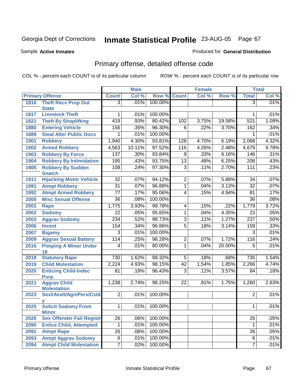Sample **Active Inmates**

#### Produced for **General Distribution**

# Primary offense, detailed offense code

|      |                                  |                 | <b>Male</b> |         |                 | <b>Female</b> |        |                  | <b>Total</b> |
|------|----------------------------------|-----------------|-------------|---------|-----------------|---------------|--------|------------------|--------------|
|      | <b>Primary Offense</b>           | <b>Count</b>    | Col %       |         | Row % Count     | Col %         | Row %  | <b>Total</b>     | Col %        |
| 1816 | <b>Theft Recv Prop Out</b>       | $\overline{3}$  | .01%        | 100.00% |                 |               |        | $\overline{3}$   | .01%         |
|      | <b>State</b>                     |                 |             |         |                 |               |        |                  |              |
| 1817 | <b>Livestock Theft</b>           | 1               | .01%        | 100.00% |                 |               |        | 1                | .01%         |
| 1821 | <b>Theft By Shoplifting</b>      | 419             | .93%        | 80.42%  | 102             | 3.75%         | 19.58% | 521              | 1.09%        |
| 1880 | <b>Entering Vehicle</b>          | 156             | .35%        | 96.30%  | $\overline{6}$  | .22%          | 3.70%  | 162              | .34%         |
| 1889 | <b>Steal Alter Public Docs</b>   | 1               | .01%        | 100.00% |                 |               |        | 1                | .01%         |
| 1901 | <b>Robbery</b>                   | 1,940           | 4.30%       | 93.81%  | 128             | 4.70%         | 6.19%  | 2,068            | 4.32%        |
| 1902 | <b>Armed Robbery</b>             | 4,563           | 10.11%      | 97.52%  | 116             | 4.26%         | 2.48%  | 4,679            | 9.78%        |
| 1903 | <b>Robbery By Force</b>          | 137             | .30%        | 93.84%  | 9               | .33%          | 6.16%  | 146              | .31%         |
| 1904 | <b>Robbery By Intimidation</b>   | 195             | .43%        | 93.75%  | $\overline{13}$ | .48%          | 6.25%  | $\overline{208}$ | .43%         |
| 1905 | <b>Robbery By Sudden</b>         | 108             | .24%        | 97.30%  | $\overline{3}$  | .11%          | 2.70%  | 111              | .23%         |
|      | <b>Snatch</b>                    |                 |             |         |                 |               |        |                  |              |
| 1911 | <b>Hijacking Motor Vehicle</b>   | $\overline{32}$ | .07%        | 94.12%  | $\overline{2}$  | .07%          | 5.88%  | 34               | .07%         |
| 1991 | <b>Atmpt Robbery</b>             | $\overline{31}$ | .07%        | 96.88%  | $\overline{1}$  | .04%          | 3.13%  | $\overline{32}$  | .07%         |
| 1992 | <b>Atmpt Armed Robbery</b>       | $\overline{77}$ | .17%        | 95.06%  | $\overline{4}$  | .15%          | 4.94%  | 81               | .17%         |
| 2000 | <b>Misc Sexual Offense</b>       | $\overline{36}$ | .08%        | 100.00% |                 |               |        | 36               | .08%         |
| 2001 | <b>Rape</b>                      | 1,775           | 3.93%       | 99.78%  | $\overline{4}$  | .15%          | .22%   | 1,779            | 3.72%        |
| 2002 | <b>Sodomy</b>                    | $\overline{22}$ | .05%        | 95.65%  | $\overline{1}$  | .04%          | 4.35%  | $\overline{23}$  | .05%         |
| 2003 | <b>Aggrav Sodomy</b>             | 234             | .52%        | 98.73%  | $\overline{3}$  | .11%          | 1.27%  | 237              | .50%         |
| 2006 | <b>Incest</b>                    | 154             | .34%        | 96.86%  | $\overline{5}$  | .18%          | 3.14%  | 159              | .33%         |
| 2007 | <b>Bigamy</b>                    | $\overline{3}$  | .01%        | 100.00% |                 |               |        | $\overline{3}$   | .01%         |
| 2009 | <b>Aggrav Sexual Battery</b>     | 114             | .25%        | 98.28%  | $\overline{2}$  | .07%          | 1.72%  | 116              | .24%         |
| 2016 | <b>Pimping A Minor Under</b>     | 4               | .01%        | 80.00%  | $\overline{1}$  | .04%          | 20.00% | $\overline{5}$   | .01%         |
|      | 18                               |                 |             |         |                 |               |        |                  |              |
| 2018 | <b>Statutory Rape</b>            | 730             | 1.62%       | 99.32%  | 5               | .18%          | .68%   | 735              | 1.54%        |
| 2019 | <b>Child Molestation</b>         | 2,224           | 4.93%       | 98.15%  | 42              | 1.54%         | 1.85%  | 2,266            | 4.74%        |
| 2020 | <b>Enticing Child-Indec</b>      | $\overline{81}$ | .18%        | 96.43%  | $\overline{3}$  | .11%          | 3.57%  | 84               | .18%         |
|      | <b>Purp</b>                      |                 |             |         |                 |               |        |                  |              |
| 2021 | <b>Aggrav Child</b>              | 1,238           | 2.74%       | 98.25%  | 22              | .81%          | 1.75%  | 1,260            | 2.63%        |
|      | <b>Molestation</b>               | $\overline{2}$  |             | 100.00% |                 |               |        | $\overline{2}$   | .01%         |
| 2023 | Sexl/Asslt/Agn/Pers/Cstd         |                 | .01%        |         |                 |               |        |                  |              |
| 2025 | <b>Solicit Sodomy From</b>       | $\overline{1}$  | .01%        | 100.00% |                 |               |        | $\overline{1}$   | .01%         |
|      | <b>Minor</b>                     |                 |             |         |                 |               |        |                  |              |
| 2026 | <b>Sex Offender Fail Registr</b> | 26              | .06%        | 100.00% |                 |               |        | 26               | .05%         |
| 2090 | <b>Entice Child, Attempted</b>   | 1               | .01%        | 100.00% |                 |               |        | $\mathbf 1$      | .01%         |
| 2091 | <b>Atmpt Rape</b>                | $\overline{26}$ | .06%        | 100.00% |                 |               |        | 26               | .05%         |
| 2093 | <b>Atmpt Aggrav Sodomy</b>       | 6               | .01%        | 100.00% |                 |               |        | 6                | .01%         |
| 2094 | <b>Atmpt Child Molestation</b>   | $\overline{7}$  | .02%        | 100.00% |                 |               |        | $\overline{7}$   | .01%         |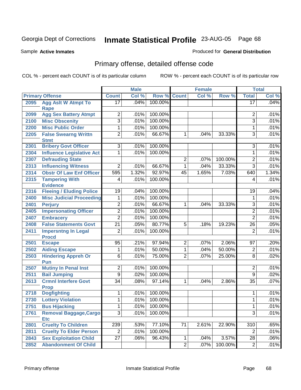Sample **Active Inmates**

#### Produced for **General Distribution**

# Primary offense, detailed offense code

|      |                                             |                         | <b>Male</b> |         |                | <b>Female</b> |         |                 | <b>Total</b> |
|------|---------------------------------------------|-------------------------|-------------|---------|----------------|---------------|---------|-----------------|--------------|
|      | <b>Primary Offense</b>                      | <b>Count</b>            | Col %       | Row %   | <b>Count</b>   | Col %         | Row %   | <b>Total</b>    | Col %        |
| 2095 | <b>Agg Aslt W Atmpt To</b><br><b>Rape</b>   | $\overline{17}$         | .04%        | 100.00% |                |               |         | $\overline{17}$ | .04%         |
| 2099 | <b>Agg Sex Battery Atmpt</b>                | 2                       | .01%        | 100.00% |                |               |         | 2               | .01%         |
| 2100 | <b>Misc Obscenity</b>                       | 3                       | .01%        | 100.00% |                |               |         | $\overline{3}$  | .01%         |
| 2200 | <b>Misc Public Order</b>                    | 1                       | .01%        | 100.00% |                |               |         | $\mathbf{1}$    | .01%         |
| 2205 | <b>False Swearng Writtn</b>                 | $\overline{2}$          | .01%        | 66.67%  | 1              | .04%          | 33.33%  | $\overline{3}$  | .01%         |
|      | <b>Stmt</b>                                 |                         |             |         |                |               |         |                 |              |
| 2301 | <b>Bribery Govt Officer</b>                 | $\overline{3}$          | .01%        | 100.00% |                |               |         | $\overline{3}$  | .01%         |
| 2304 | <b>Influence Legislative Act</b>            | $\mathbf{1}$            | .01%        | 100.00% |                |               |         | $\mathbf{1}$    | .01%         |
| 2307 | <b>Defrauding State</b>                     |                         |             |         | $\overline{2}$ | .07%          | 100.00% | $\overline{2}$  | .01%         |
| 2313 | <b>Influencing Witness</b>                  | $\overline{2}$          | .01%        | 66.67%  | 1              | .04%          | 33.33%  | $\overline{3}$  | .01%         |
| 2314 | <b>Obstr Of Law Enf Officer</b>             | 595                     | 1.32%       | 92.97%  | 45             | 1.65%         | 7.03%   | 640             | 1.34%        |
| 2315 | <b>Tampering With</b><br><b>Evidence</b>    | 4                       | .01%        | 100.00% |                |               |         | $\overline{4}$  | .01%         |
| 2316 | <b>Fleeing / Eluding Police</b>             | 19                      | .04%        | 100.00% |                |               |         | 19              | .04%         |
| 2400 | <b>Misc Judicial Proceeding</b>             | 1                       | .01%        | 100.00% |                |               |         | 1               | .01%         |
| 2401 | <b>Perjury</b>                              | 2                       | .01%        | 66.67%  | 1              | .04%          | 33.33%  | $\overline{3}$  | .01%         |
| 2405 | <b>Impersonating Officer</b>                | $\overline{2}$          | .01%        | 100.00% |                |               |         | $\overline{2}$  | .01%         |
| 2407 | <b>Embracery</b>                            | $\overline{2}$          | .01%        | 100.00% |                |               |         | $\overline{2}$  | .01%         |
| 2408 | <b>False Statements Govt</b>                | $\overline{21}$         | .05%        | 80.77%  | 5              | .18%          | 19.23%  | $\overline{26}$ | .05%         |
| 2411 | <b>Impersntng In Legal</b><br><b>Procd</b>  | 2                       | .01%        | 100.00% |                |               |         | $\overline{2}$  | .01%         |
| 2501 | <b>Escape</b>                               | 95                      | .21%        | 97.94%  | 2              | .07%          | 2.06%   | $\overline{97}$ | .20%         |
| 2502 | <b>Aiding Escape</b>                        | 1                       | .01%        | 50.00%  | 1              | .04%          | 50.00%  | $\overline{2}$  | .01%         |
| 2503 | <b>Hindering Appreh Or</b><br>Pun           | $\overline{6}$          | .01%        | 75.00%  | $\overline{2}$ | .07%          | 25.00%  | $\overline{8}$  | .02%         |
| 2507 | <b>Mutiny In Penal Inst</b>                 | 2                       | .01%        | 100.00% |                |               |         | $\overline{2}$  | .01%         |
| 2511 | <b>Bail Jumping</b>                         | $\overline{9}$          | .02%        | 100.00% |                |               |         | $\overline{9}$  | .02%         |
| 2613 | <b>Crmnl Interfere Govt</b><br><b>Prop</b>  | $\overline{34}$         | .08%        | 97.14%  | 1              | .04%          | 2.86%   | $\overline{35}$ | .07%         |
| 2718 | <b>Dogfighting</b>                          | 1                       | .01%        | 100.00% |                |               |         | 1               | .01%         |
| 2730 | <b>Lottery Violation</b>                    | 1                       | .01%        | 100.00% |                |               |         | $\mathbf{1}$    | .01%         |
| 2751 | <b>Bus Hijacking</b>                        | $\overline{1}$          | .01%        | 100.00% |                |               |         | $\overline{1}$  | .01%         |
| 2761 | <b>Removal Baggage, Cargo</b><br><b>Etc</b> | $\overline{3}$          | .01%        | 100.00% |                |               |         | $\overline{3}$  | .01%         |
| 2801 | <b>Cruelty To Children</b>                  | 239                     | .53%        | 77.10%  | 71             | 2.61%         | 22.90%  | 310             | .65%         |
| 2811 | <b>Cruelty To Elder Person</b>              | $\overline{\mathbf{c}}$ | .01%        | 100.00% |                |               |         | $\overline{2}$  | .01%         |
| 2843 | <b>Sex Exploitation Child</b>               | $\overline{27}$         | .06%        | 96.43%  | 1              | .04%          | 3.57%   | 28              | .06%         |
| 2852 | <b>Abandonment Of Child</b>                 |                         |             |         | $\overline{2}$ | .07%          | 100.00% | $\overline{2}$  | .01%         |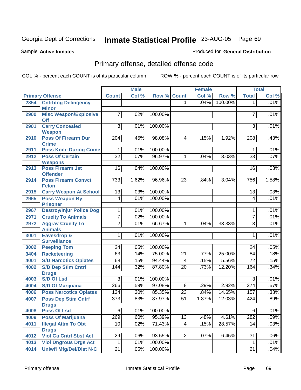Sample **Active Inmates**

#### Produced for **General Distribution**

# Primary offense, detailed offense code

|      |                                               |                  | <b>Male</b> |                    |                         | <b>Female</b> |         |                 | <b>Total</b> |
|------|-----------------------------------------------|------------------|-------------|--------------------|-------------------------|---------------|---------|-----------------|--------------|
|      | <b>Primary Offense</b>                        | <b>Count</b>     | Col %       | <b>Row % Count</b> |                         | Col %         | Row %   | <b>Total</b>    | Col %        |
| 2854 | <b>Cntrbtng Delingency</b>                    |                  |             |                    | 1                       | .04%          | 100.00% | 1               | .01%         |
|      | <b>Minor</b>                                  |                  |             |                    |                         |               |         |                 |              |
| 2900 | <b>Misc Weapon/Explosive</b><br>Off           | 7                | .02%        | 100.00%            |                         |               |         | 7               | .01%         |
| 2901 | <b>Carry Concealed</b><br><b>Weapon</b>       | $\overline{3}$   | .01%        | 100.00%            |                         |               |         | $\overline{3}$  | .01%         |
| 2910 | <b>Poss Of Firearm Dur</b><br><b>Crime</b>    | $\overline{204}$ | .45%        | 98.08%             | 4                       | .15%          | 1.92%   | 208             | .43%         |
| 2911 | <b>Poss Knife During Crime</b>                | 1                | .01%        | 100.00%            |                         |               |         | 1               | .01%         |
| 2912 | <b>Poss Of Certain</b><br><b>Weapons</b>      | $\overline{32}$  | .07%        | 96.97%             | 1                       | .04%          | 3.03%   | $\overline{33}$ | .07%         |
| 2913 | <b>Poss Firearm 1st</b><br><b>Offender</b>    | 16               | .04%        | 100.00%            |                         |               |         | 16              | .03%         |
| 2914 | <b>Poss Firearm Convct</b><br><b>Felon</b>    | 733              | 1.62%       | 96.96%             | 23                      | .84%          | 3.04%   | 756             | 1.58%        |
| 2915 | <b>Carry Weapon At School</b>                 | 13               | .03%        | 100.00%            |                         |               |         | 13              | .03%         |
| 2965 | <b>Poss Weapon By</b>                         | 4                | .01%        | 100.00%            |                         |               |         | $\overline{4}$  | .01%         |
|      | <b>Prisoner</b>                               |                  |             |                    |                         |               |         |                 |              |
| 2967 | <b>Destroy/Injur Police Dog</b>               | 1                | .01%        | 100.00%            |                         |               |         | 1               | .01%         |
| 2971 | <b>Cruelty To Animals</b>                     | 7                | .02%        | 100.00%            |                         |               |         | $\overline{7}$  | .01%         |
| 2972 | <b>Aggrav Cruelty To</b><br><b>Animals</b>    | $\overline{2}$   | .01%        | 66.67%             | 1                       | .04%          | 33.33%  | 3               | .01%         |
| 3001 | Eavesdrop &<br><b>Surveillance</b>            | 1                | .01%        | 100.00%            |                         |               |         | $\mathbf{1}$    | .01%         |
| 3002 | <b>Peeping Tom</b>                            | 24               | .05%        | 100.00%            |                         |               |         | 24              | .05%         |
| 3404 | <b>Racketeering</b>                           | 63               | .14%        | 75.00%             | $\overline{21}$         | .77%          | 25.00%  | 84              | .18%         |
| 4001 | <b>S/D Narcotics Opiates</b>                  | 68               | .15%        | 94.44%             | 4                       | .15%          | 5.56%   | 72              | .15%         |
| 4002 | <b>S/D Dep Stim Cntrf</b><br><b>Drugs</b>     | 144              | .32%        | 87.80%             | 20                      | .73%          | 12.20%  | 164             | .34%         |
| 4003 | <b>S/D Of Lsd</b>                             | 3                | .01%        | 100.00%            |                         |               |         | 3               | .01%         |
| 4004 | <b>S/D Of Marijuana</b>                       | 266              | .59%        | 97.08%             | 8                       | .29%          | 2.92%   | 274             | .57%         |
| 4006 | <b>Poss Narcotics Opiates</b>                 | 134              | .30%        | 85.35%             | 23                      | .84%          | 14.65%  | 157             | .33%         |
| 4007 | <b>Poss Dep Stim Cntrf</b><br><b>Drugs</b>    | 373              | .83%        | 87.97%             | 51                      | 1.87%         | 12.03%  | 424             | .89%         |
| 4008 | <b>Poss Of Lsd</b>                            | 6                | .01%        | 100.00%            |                         |               |         | 6               | .01%         |
| 4009 | <b>Poss Of Marijuana</b>                      | 269              | .60%        | 95.39%             | 13                      | .48%          | 4.61%   | 282             | .59%         |
| 4011 | <b>Illegal Attm To Obt</b>                    | 10               | .02%        | 71.43%             | $\overline{\mathbf{4}}$ | .15%          | 28.57%  | 14              | .03%         |
| 4012 | <b>Drugs</b><br><b>Viol Ga Cntrl Sbst Act</b> | 29               | .06%        | 93.55%             | $\overline{2}$          | .07%          | 6.45%   | 31              | .06%         |
| 4013 | <b>Viol Dngrous Drgs Act</b>                  | 1                | .01%        | 100.00%            |                         |               |         | $\mathbf 1$     | .01%         |
| 4014 | <b>Uniwfl Mfg/Del/Dist N-C</b>                | 21               | .05%        | 100.00%            |                         |               |         | 21              | .04%         |
|      |                                               |                  |             |                    |                         |               |         |                 |              |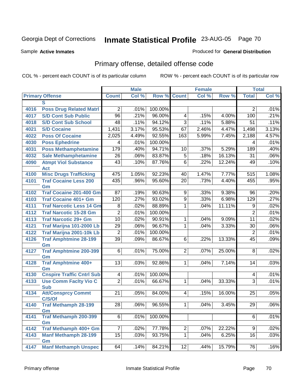Sample **Active Inmates**

#### Produced for **General Distribution**

# Primary offense, detailed offense code

|      |                                     |                 | <b>Male</b> |         |                         | <b>Female</b> |        |                 | <b>Total</b> |
|------|-------------------------------------|-----------------|-------------|---------|-------------------------|---------------|--------|-----------------|--------------|
|      | <b>Primary Offense</b>              | <b>Count</b>    | Col %       | Row %   | <b>Count</b>            | Col %         | Row %  | <b>Total</b>    | Col %        |
|      | S                                   |                 |             |         |                         |               |        |                 |              |
| 4016 | <b>Poss Drug Related Matri</b>      | $\overline{2}$  | .01%        | 100.00% |                         |               |        | $\overline{2}$  | .01%         |
| 4017 | <b>S/D Cont Sub Public</b>          | $\overline{96}$ | .21%        | 96.00%  | $\overline{\mathbf{4}}$ | .15%          | 4.00%  | 100             | .21%         |
| 4018 | <b>S/D Cont Sub School</b>          | 48              | .11%        | 94.12%  | $\overline{3}$          | .11%          | 5.88%  | 51              | .11%         |
| 4021 | <b>S/D Cocaine</b>                  | 1,431           | 3.17%       | 95.53%  | 67                      | 2.46%         | 4.47%  | 1,498           | 3.13%        |
| 4022 | <b>Poss Of Cocaine</b>              | 2,025           | 4.49%       | 92.55%  | 163                     | 5.99%         | 7.45%  | 2,188           | 4.57%        |
| 4030 | <b>Poss Ephedrine</b>               | 4               | .01%        | 100.00% |                         |               |        | 4               | .01%         |
| 4031 | <b>Poss Methamphetamine</b>         | 179             | .40%        | 94.71%  | 10                      | .37%          | 5.29%  | 189             | .40%         |
| 4032 | <b>Sale Methamphetamine</b>         | $\overline{26}$ | .06%        | 83.87%  | $\overline{5}$          | .18%          | 16.13% | $\overline{31}$ | .06%         |
| 4090 | <b>Atmpt Viol Substance</b>         | $\overline{43}$ | .10%        | 87.76%  | $\overline{6}$          | .22%          | 12.24% | 49              | .10%         |
|      | <b>Act</b>                          |                 |             |         |                         |               |        |                 |              |
| 4100 | <b>Misc Drugs Trafficking</b>       | 475             | 1.05%       | 92.23%  | 40                      | 1.47%         | 7.77%  | 515             | 1.08%        |
| 4101 | <b>Traf Cocaine Less 200</b>        | 435             | .96%        | 95.60%  | $\overline{20}$         | .73%          | 4.40%  | 455             | .95%         |
|      | Gm                                  |                 |             |         |                         |               |        |                 |              |
| 4102 | <b>Traf Cocaine 201-400 Gm</b>      | 87              | .19%        | 90.63%  | 9                       | .33%          | 9.38%  | 96              | .20%         |
| 4103 | <b>Traf Cocaine 401+ Gm</b>         | 120             | .27%        | 93.02%  | $\overline{9}$          | .33%          | 6.98%  | 129             | .27%         |
| 4111 | <b>Traf Narcotic Less 14 Gm</b>     | $\overline{8}$  | .02%        | 88.89%  | $\overline{1}$          | .04%          | 11.11% | 9               | .02%         |
| 4112 | <b>Traf Narcotic 15-28 Gm</b>       | $\overline{2}$  | .01%        | 100.00% |                         |               |        | $\overline{2}$  | .01%         |
| 4113 | <b>Traf Narcotic 29+ Gm</b>         | 10              | .02%        | 90.91%  | 1                       | .04%          | 9.09%  | $\overline{11}$ | .02%         |
| 4121 | Traf Marijna 101-2000 Lb            | 29              | .06%        | 96.67%  | $\mathbf 1$             | .04%          | 3.33%  | 30              | .06%         |
| 4122 | Traf Marijna 2001-10k Lb            | $\overline{2}$  | .01%        | 100.00% |                         |               |        | $\overline{2}$  | .01%         |
| 4126 | <b>Traf Amphtmine 28-199</b>        | $\overline{39}$ | .09%        | 86.67%  | 6                       | .22%          | 13.33% | 45              | .09%         |
| 4127 | Gm<br><b>Traf Amphtmine 200-399</b> | 6               | .01%        | 75.00%  | $\overline{2}$          | .07%          | 25.00% | 8               | .02%         |
|      | Gm                                  |                 |             |         |                         |               |        |                 |              |
| 4128 | <b>Traf Amphtmine 400+</b>          | 13              | .03%        | 92.86%  | $\mathbf{1}$            | .04%          | 7.14%  | 14              | .03%         |
|      | Gm                                  |                 |             |         |                         |               |        |                 |              |
| 4130 | <b>Cnspire Traffic Cntrl Sub</b>    | 4               | .01%        | 100.00% |                         |               |        | 4               | .01%         |
| 4133 | <b>Use Comm Facity Vio C</b>        | $\overline{2}$  | .01%        | 66.67%  | $\mathbf 1$             | .04%          | 33.33% | $\overline{3}$  | .01%         |
|      | <b>Sub</b>                          |                 |             |         |                         |               |        |                 |              |
| 4134 | <b>Att/Consprcy Commt</b>           | 21              | .05%        | 84.00%  | 4 <sup>1</sup>          | .15%          | 16.00% | 25              | .05%         |
|      | C/S/Of                              |                 |             |         |                         |               |        |                 |              |
| 4140 | <b>Traf Methamph 28-199</b><br>Gm   | 28              | .06%        | 96.55%  | 1 <sup>1</sup>          | .04%          | 3.45%  | 29              | .06%         |
| 4141 | <b>Traf Methamph 200-399</b>        | $\overline{6}$  | .01%        | 100.00% |                         |               |        | $6\overline{6}$ | .01%         |
|      | Gm                                  |                 |             |         |                         |               |        |                 |              |
| 4142 | Traf Methamph 400+ Gm               | $\overline{7}$  | .02%        | 77.78%  | $\overline{2}$          | .07%          | 22.22% | 9               | .02%         |
| 4143 | <b>Manf Methamph 28-199</b>         | 15              | .03%        | 93.75%  | $\mathbf{1}$            | .04%          | 6.25%  | 16              | .03%         |
|      | Gm                                  |                 |             |         |                         |               |        |                 |              |
| 4147 | <b>Manf Methamph Unspec</b>         | 64              | .14%        | 84.21%  | 12                      | .44%          | 15.79% | 76              | .16%         |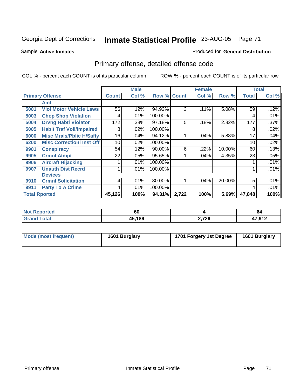Sample **Active Inmates**

#### Produced for **General Distribution**

# Primary offense, detailed offense code

|                      |                                  |              | <b>Male</b> |         | <b>Female</b> |       |        | <b>Total</b> |       |
|----------------------|----------------------------------|--------------|-------------|---------|---------------|-------|--------|--------------|-------|
|                      | <b>Primary Offense</b>           | <b>Count</b> | Col %       | Row %   | <b>Count</b>  | Col % | Row %  | <b>Total</b> | Col % |
|                      | Amt                              |              |             |         |               |       |        |              |       |
| 5001                 | <b>Viol Motor Vehicle Laws</b>   | 56           | .12%        | 94.92%  | 3             | .11%  | 5.08%  | 59           | .12%  |
| 5003                 | <b>Chop Shop Violation</b>       | 4            | .01%        | 100.00% |               |       |        | 4            | .01%  |
| 5004                 | <b>Drvng Habtl Violator</b>      | 172          | .38%        | 97.18%  | 5             | .18%  | 2.82%  | 177          | .37%  |
| 5005                 | <b>Habit Traf Voil/Impaired</b>  | 8            | .02%        | 100.00% |               |       |        | 8            | .02%  |
| 6000                 | <b>Misc Mrals/Pblic H/Safty</b>  | 16           | .04%        | 94.12%  |               | .04%  | 5.88%  | 17           | .04%  |
| 6200                 | <b>Misc Correctionl Inst Off</b> | 10           | .02%        | 100.00% |               |       |        | 10           | .02%  |
| 9901                 | <b>Conspiracy</b>                | 54           | .12%        | 90.00%  | 6             | .22%  | 10.00% | 60           | .13%  |
| 9905                 | <b>Crmnl Atmpt</b>               | 22           | .05%        | 95.65%  |               | .04%  | 4.35%  | 23           | .05%  |
| 9906                 | <b>Aircraft Hijacking</b>        |              | .01%        | 100.00% |               |       |        |              | .01%  |
| 9907                 | <b>Unauth Dist Recrd</b>         |              | .01%        | 100.00% |               |       |        |              | .01%  |
|                      | <b>Devices</b>                   |              |             |         |               |       |        |              |       |
| 9910                 | <b>Crmnl Solicitation</b>        | 4            | .01%        | 80.00%  |               | .04%  | 20.00% | 5            | .01%  |
| 9911                 | <b>Party To A Crime</b>          | 4            | .01%        | 100.00% |               |       |        | 4            | .01%  |
| <b>Total Rported</b> |                                  | 45,126       | 100%        | 94.31%  | 2,722         | 100%  | 5.69%  | 47,848       | 100%  |

| prted | rr<br>ου |       | O4               |
|-------|----------|-------|------------------|
| 'otar | 45,186   | 2,726 | 17 012<br>10 I Z |

| Mode (most frequent) | 1601 Burglary | 1701 Forgery 1st Degree | 1601 Burglary |
|----------------------|---------------|-------------------------|---------------|
|----------------------|---------------|-------------------------|---------------|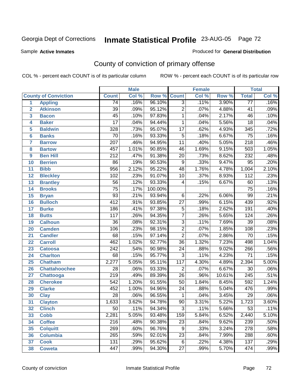Sample **Active Inmates**

#### Produced for **General Distribution**

# County of conviction of primary offense

|                 |                             |                  | <b>Male</b> |         |                  | <b>Female</b> |        |                   | <b>Total</b> |
|-----------------|-----------------------------|------------------|-------------|---------|------------------|---------------|--------|-------------------|--------------|
|                 | <b>County of Conviction</b> | <b>Count</b>     | Col %       | Row %   | <b>Count</b>     | Col %         | Row %  | <b>Total</b>      | Col %        |
| 1               | <b>Appling</b>              | $\overline{74}$  | .16%        | 96.10%  | $\overline{3}$   | .11%          | 3.90%  | $\overline{77}$   | .16%         |
| $\overline{2}$  | <b>Atkinson</b>             | $\overline{39}$  | .09%        | 95.12%  | $\overline{2}$   | .07%          | 4.88%  | 41                | .09%         |
| 3               | <b>Bacon</b>                | $\overline{45}$  | .10%        | 97.83%  | 1                | .04%          | 2.17%  | 46                | .10%         |
| 4               | <b>Baker</b>                | $\overline{17}$  | .04%        | 94.44%  | 1                | .04%          | 5.56%  | $\overline{18}$   | .04%         |
| 5               | <b>Baldwin</b>              | 328              | .73%        | 95.07%  | $\overline{17}$  | .62%          | 4.93%  | 345               | .72%         |
| 6               | <b>Banks</b>                | $\overline{70}$  | .16%        | 93.33%  | $\overline{5}$   | .18%          | 6.67%  | $\overline{75}$   | .16%         |
| $\overline{7}$  | <b>Barrow</b>               | $\overline{207}$ | .46%        | 94.95%  | $\overline{11}$  | .40%          | 5.05%  | $\overline{218}$  | .46%         |
| 8               | <b>Bartow</b>               | 457              | 1.01%       | 90.85%  | 46               | 1.69%         | 9.15%  | $\overline{503}$  | 1.05%        |
| 9               | <b>Ben Hill</b>             | $\overline{212}$ | .47%        | 91.38%  | $\overline{20}$  | .73%          | 8.62%  | 232               | .48%         |
| 10              | <b>Berrien</b>              | 86               | .19%        | 90.53%  | $\overline{9}$   | .33%          | 9.47%  | $\overline{95}$   | .20%         |
| 11              | <b>Bibb</b>                 | 956              | 2.12%       | 95.22%  | $\overline{48}$  | 1.76%         | 4.78%  | 1,004             | 2.10%        |
| 12              | <b>Bleckley</b>             | 102              | .23%        | 91.07%  | 10               | .37%          | 8.93%  | $\overline{112}$  | .23%         |
| $\overline{13}$ | <b>Brantley</b>             | $\overline{56}$  | .12%        | 93.33%  | 4                | .15%          | 6.67%  | 60                | .13%         |
| 14              | <b>Brooks</b>               | $\overline{75}$  | .17%        | 100.00% |                  |               |        | $\overline{75}$   | .16%         |
| 15              | <b>Bryan</b>                | $\overline{93}$  | .21%        | 93.94%  | 6                | .22%          | 6.06%  | $\overline{99}$   | .21%         |
| 16              | <b>Bulloch</b>              | $\overline{412}$ | .91%        | 93.85%  | $\overline{27}$  | .99%          | 6.15%  | 439               | .92%         |
| $\overline{17}$ | <b>Burke</b>                | 186              | .41%        | 97.38%  | $\overline{5}$   | .18%          | 2.62%  | 191               | .40%         |
| 18              | <b>Butts</b>                | $\overline{117}$ | .26%        | 94.35%  | $\overline{7}$   | .26%          | 5.65%  | 124               | .26%         |
| 19              | <b>Calhoun</b>              | $\overline{36}$  | .08%        | 92.31%  | $\overline{3}$   | .11%          | 7.69%  | $\overline{39}$   | .08%         |
| 20              | <b>Camden</b>               | 106              | .23%        | 98.15%  | $\overline{2}$   | .07%          | 1.85%  | 108               | .23%         |
| 21              | <b>Candler</b>              | $\overline{68}$  | .15%        | 97.14%  | $\overline{2}$   | .07%          | 2.86%  | $\overline{70}$   | .15%         |
| 22              | <b>Carroll</b>              | 462              | 1.02%       | 92.77%  | $\overline{36}$  | 1.32%         | 7.23%  | 498               | 1.04%        |
| 23              | <b>Catoosa</b>              | $\overline{242}$ | .54%        | 90.98%  | $\overline{24}$  | .88%          | 9.02%  | 266               | .56%         |
| 24              | <b>Charlton</b>             | 68               | .15%        | 95.77%  | $\overline{3}$   | .11%          | 4.23%  | $\overline{71}$   | .15%         |
| 25              | <b>Chatham</b>              | 2,277            | 5.05%       | 95.11%  | $\overline{117}$ | 4.30%         | 4.89%  | 2,394             | 5.00%        |
| 26              | <b>Chattahoochee</b>        | 28               | .06%        | 93.33%  | $\overline{2}$   | .07%          | 6.67%  | $\overline{30}$   | .06%         |
| 27              | Chattooga                   | $\overline{219}$ | .49%        | 89.39%  | $\overline{26}$  | .96%          | 10.61% | $\overline{245}$  | .51%         |
| 28              | <b>Cherokee</b>             | 542              | 1.20%       | 91.55%  | $\overline{50}$  | 1.84%         | 8.45%  | 592               | 1.24%        |
| 29              | <b>Clarke</b>               | 452              | 1.00%       | 94.96%  | $\overline{24}$  | .88%          | 5.04%  | 476               | .99%         |
| 30              | <b>Clay</b>                 | $\overline{28}$  | .06%        | 96.55%  | 1                | .04%          | 3.45%  | $\overline{29}$   | .06%         |
| $\overline{31}$ | <b>Clayton</b>              | 1,633            | 3.62%       | 94.78%  | $\overline{90}$  | 3.31%         | 5.22%  | 1,723             | 3.60%        |
| 32              | <b>Clinch</b>               | 50               | .11%        | 94.34%  | 3                | .11%          | 5.66%  | 53                | .11%         |
| 33              | <b>Cobb</b>                 | 2,281            | 5.05%       | 93.48%  | 159              | 5.84%         | 6.52%  | 2,440             | 5.10%        |
| 34              | <b>Coffee</b>               | 216              | .48%        | 90.38%  | 23               | .84%          | 9.62%  | 239               | .50%         |
| 35              | <b>Colquitt</b>             | $\overline{269}$ | .60%        | 96.76%  | 9                | .33%          | 3.24%  | $\overline{278}$  | .58%         |
| 36              | <b>Columbia</b>             | 265              | .59%        | 92.01%  | 23               | .84%          | 7.99%  | 288               | .60%         |
| 37              | <b>Cook</b>                 | 131              | .29%        | 95.62%  | $\overline{6}$   | .22%          | 4.38%  | 137               | .29%         |
| 38              | <b>Coweta</b>               | 447              | .99%        | 94.30%  | $\overline{27}$  | .99%          | 5.70%  | $\overline{47}$ 4 | .99%         |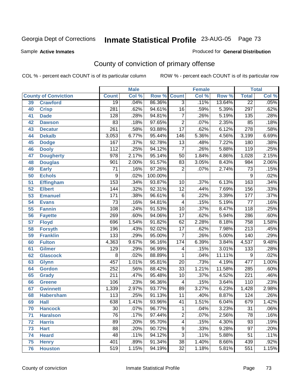Sample **Active Inmates**

#### Produced for **General Distribution**

# County of conviction of primary offense

|    |                             |                  | <b>Male</b> |         |                         | <b>Female</b> |        |                  | <b>Total</b> |
|----|-----------------------------|------------------|-------------|---------|-------------------------|---------------|--------|------------------|--------------|
|    | <b>County of Conviction</b> | <b>Count</b>     | Col %       | Row %   | <b>Count</b>            | Col %         | Row %  | <b>Total</b>     | Col %        |
| 39 | <b>Crawford</b>             | $\overline{19}$  | .04%        | 86.36%  | $\overline{3}$          | .11%          | 13.64% | $\overline{22}$  | .05%         |
| 40 | <b>Crisp</b>                | 281              | .62%        | 94.61%  | 16                      | .59%          | 5.39%  | 297              | .62%         |
| 41 | <b>Dade</b>                 | 128              | .28%        | 94.81%  | $\overline{7}$          | .26%          | 5.19%  | 135              | .28%         |
| 42 | <b>Dawson</b>               | 83               | .18%        | 97.65%  | $\overline{2}$          | .07%          | 2.35%  | 85               | .18%         |
| 43 | <b>Decatur</b>              | 261              | .58%        | 93.88%  | $\overline{17}$         | .62%          | 6.12%  | $\overline{278}$ | .58%         |
| 44 | <b>Dekalb</b>               | 3,053            | 6.77%       | 95.44%  | 146                     | 5.36%         | 4.56%  | 3,199            | 6.69%        |
| 45 | <b>Dodge</b>                | 167              | .37%        | 92.78%  | $\overline{13}$         | .48%          | 7.22%  | 180              | .38%         |
| 46 | <b>Dooly</b>                | $\overline{112}$ | .25%        | 94.12%  | $\overline{7}$          | .26%          | 5.88%  | 119              | .25%         |
| 47 | <b>Dougherty</b>            | $\overline{978}$ | 2.17%       | 95.14%  | $\overline{50}$         | 1.84%         | 4.86%  | 1,028            | 2.15%        |
| 48 | <b>Douglas</b>              | 901              | 2.00%       | 91.57%  | 83                      | 3.05%         | 8.43%  | 984              | 2.06%        |
| 49 | <b>Early</b>                | $\overline{71}$  | .16%        | 97.26%  | $\overline{2}$          | .07%          | 2.74%  | $\overline{73}$  | .15%         |
| 50 | <b>Echols</b>               | 9                | .02%        | 100.00% |                         |               |        | 9                | .02%         |
| 51 | <b>Effingham</b>            | 153              | .34%        | 93.87%  | 10                      | .37%          | 6.13%  | 163              | .34%         |
| 52 | <b>Elbert</b>               | 144              | .32%        | 92.31%  | $\overline{12}$         | .44%          | 7.69%  | 156              | .33%         |
| 53 | <b>Emanuel</b>              | 171              | .38%        | 96.61%  | $\overline{6}$          | .22%          | 3.39%  | 177              | .37%         |
| 54 | <b>Evans</b>                | $\overline{73}$  | .16%        | 94.81%  | 4                       | .15%          | 5.19%  | 77               | .16%         |
| 55 | <b>Fannin</b>               | 108              | .24%        | 91.53%  | 10                      | .37%          | 8.47%  | 118              | .25%         |
| 56 | <b>Fayette</b>              | 269              | .60%        | 94.06%  | $\overline{17}$         | .62%          | 5.94%  | 286              | .60%         |
| 57 | <b>Floyd</b>                | 696              | 1.54%       | 91.82%  | 62                      | 2.28%         | 8.18%  | 758              | 1.58%        |
| 58 | <b>Forsyth</b>              | 196              | .43%        | 92.02%  | $\overline{17}$         | .62%          | 7.98%  | $\overline{213}$ | .45%         |
| 59 | <b>Franklin</b>             | 133              | .29%        | 95.00%  | $\overline{7}$          | .26%          | 5.00%  | 140              | .29%         |
| 60 | <b>Fulton</b>               | 4,363            | 9.67%       | 96.16%  | 174                     | 6.39%         | 3.84%  | 4,537            | 9.48%        |
| 61 | Gilmer                      | 129              | .29%        | 96.99%  | 4                       | .15%          | 3.01%  | $\overline{133}$ | .28%         |
| 62 | <b>Glascock</b>             | 8                | .02%        | 88.89%  | 1                       | .04%          | 11.11% | 9                | .02%         |
| 63 | <b>Glynn</b>                | 457              | 1.01%       | 95.81%  | $\overline{20}$         | .73%          | 4.19%  | 477              | 1.00%        |
| 64 | <b>Gordon</b>               | 252              | .56%        | 88.42%  | $\overline{33}$         | 1.21%         | 11.58% | 285              | .60%         |
| 65 | <b>Grady</b>                | $\overline{211}$ | .47%        | 95.48%  | 10                      | .37%          | 4.52%  | $\overline{221}$ | .46%         |
| 66 | <b>Greene</b>               | 106              | .23%        | 96.36%  | 4                       | .15%          | 3.64%  | 110              | .23%         |
| 67 | <b>Gwinnett</b>             | 1,339            | 2.97%       | 93.77%  | 89                      | 3.27%         | 6.23%  | 1,428            | 2.98%        |
| 68 | <b>Habersham</b>            | 113              | .25%        | 91.13%  | 11                      | .40%          | 8.87%  | 124              | .26%         |
| 69 | <b>Hall</b>                 | 638              | 1.41%       | 93.96%  | 41                      | 1.51%         | 6.04%  | 679              | 1.42%        |
| 70 | <b>Hancock</b>              | 30               | .07%        | 96.77%  | 1                       | .04%          | 3.23%  | 31               | $.06\%$      |
| 71 | <b>Haralson</b>             | $\overline{76}$  | .17%        | 97.44%  | $\overline{2}$          | .07%          | 2.56%  | $\overline{78}$  | .16%         |
| 72 | <b>Harris</b>               | 89               | .20%        | 95.70%  | $\overline{\mathbf{4}}$ | .15%          | 4.30%  | $\overline{93}$  | .19%         |
| 73 | <b>Hart</b>                 | $\overline{88}$  | .20%        | 90.72%  | 9                       | .33%          | 9.28%  | $\overline{97}$  | .20%         |
| 74 | <b>Heard</b>                | $\overline{48}$  | .11%        | 94.12%  | $\overline{3}$          | .11%          | 5.88%  | 51               | .11%         |
| 75 | <b>Henry</b>                | 401              | .89%        | 91.34%  | $\overline{38}$         | 1.40%         | 8.66%  | 439              | .92%         |
| 76 | <b>Houston</b>              | 519              | 1.15%       | 94.19%  | 32                      | 1.18%         | 5.81%  | 551              | 1.15%        |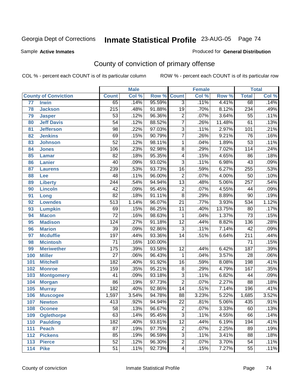Sample **Active Inmates**

#### Produced for **General Distribution**

# County of conviction of primary offense

|                 |                             |                  | <b>Male</b> |         |                         | <b>Female</b> |        |                  | <b>Total</b> |
|-----------------|-----------------------------|------------------|-------------|---------|-------------------------|---------------|--------|------------------|--------------|
|                 | <b>County of Conviction</b> | <b>Count</b>     | Col %       | Row %   | <b>Count</b>            | Col %         | Row %  | <b>Total</b>     | Col %        |
| $\overline{77}$ | <b>Irwin</b>                | 65               | .14%        | 95.59%  | $\overline{3}$          | .11%          | 4.41%  | 68               | .14%         |
| 78              | <b>Jackson</b>              | $\overline{215}$ | .48%        | 91.88%  | $\overline{19}$         | .70%          | 8.12%  | 234              | .49%         |
| 79              | <b>Jasper</b>               | $\overline{53}$  | .12%        | 96.36%  | $\overline{2}$          | .07%          | 3.64%  | $\overline{55}$  | .11%         |
| 80              | <b>Jeff Davis</b>           | $\overline{54}$  | .12%        | 88.52%  | $\overline{7}$          | .26%          | 11.48% | 61               | .13%         |
| 81              | <b>Jefferson</b>            | $\overline{98}$  | .22%        | 97.03%  | $\overline{3}$          | .11%          | 2.97%  | 101              | .21%         |
| 82              | <b>Jenkins</b>              | 69               | .15%        | 90.79%  | $\overline{7}$          | .26%          | 9.21%  | 76               | .16%         |
| 83              | <b>Johnson</b>              | $\overline{52}$  | .12%        | 98.11%  | 1                       | .04%          | 1.89%  | $\overline{53}$  | .11%         |
| 84              | <b>Jones</b>                | 106              | .23%        | 92.98%  | 8                       | .29%          | 7.02%  | 114              | .24%         |
| 85              | <b>Lamar</b>                | $\overline{82}$  | .18%        | 95.35%  | 4                       | .15%          | 4.65%  | 86               | .18%         |
| 86              | <b>Lanier</b>               | 40               | .09%        | 93.02%  | $\overline{3}$          | .11%          | 6.98%  | 43               | .09%         |
| 87              | <b>Laurens</b>              | 239              | .53%        | 93.73%  | $\overline{16}$         | .59%          | 6.27%  | 255              | .53%         |
| 88              | Lee                         | 48               | .11%        | 96.00%  | $\overline{2}$          | .07%          | 4.00%  | 50               | .10%         |
| 89              | <b>Liberty</b>              | $\overline{244}$ | .54%        | 94.94%  | $\overline{13}$         | .48%          | 5.06%  | 257              | .54%         |
| 90              | <b>Lincoln</b>              | 42               | .09%        | 95.45%  | $\overline{2}$          | .07%          | 4.55%  | 44               | .09%         |
| 91              | Long                        | $\overline{82}$  | .18%        | 91.11%  | $\overline{8}$          | .29%          | 8.89%  | $\overline{90}$  | .19%         |
| 92              | <b>Lowndes</b>              | $\overline{513}$ | 1.14%       | 96.07%  | $\overline{21}$         | .77%          | 3.93%  | 534              | 1.12%        |
| 93              | <b>Lumpkin</b>              | 69               | .15%        | 86.25%  | 11                      | .40%          | 13.75% | $\overline{80}$  | .17%         |
| 94              | <b>Macon</b>                | $\overline{72}$  | .16%        | 98.63%  | 1                       | .04%          | 1.37%  | $\overline{73}$  | .15%         |
| 95              | <b>Madison</b>              | 124              | .27%        | 91.18%  | $\overline{12}$         | .44%          | 8.82%  | 136              | .28%         |
| 96              | <b>Marion</b>               | $\overline{39}$  | .09%        | 92.86%  | $\overline{3}$          | .11%          | 7.14%  | 42               | .09%         |
| 97              | <b>Mcduffie</b>             | 197              | .44%        | 93.36%  | $\overline{14}$         | .51%          | 6.64%  | $\overline{211}$ | .44%         |
| 98              | <b>Mcintosh</b>             | $\overline{71}$  | .16%        | 100.00% |                         |               |        | $\overline{71}$  | .15%         |
| 99              | <b>Meriwether</b>           | 175              | .39%        | 93.58%  | $\overline{12}$         | .44%          | 6.42%  | 187              | .39%         |
| 100             | <b>Miller</b>               | $\overline{27}$  | .06%        | 96.43%  | 1                       | .04%          | 3.57%  | 28               | .06%         |
| 101             | <b>Mitchell</b>             | $\overline{182}$ | .40%        | 91.92%  | $\overline{16}$         | .59%          | 8.08%  | 198              | .41%         |
| 102             | <b>Monroe</b>               | 159              | .35%        | 95.21%  | 8                       | .29%          | 4.79%  | 167              | .35%         |
| 103             | <b>Montgomery</b>           | $\overline{41}$  | .09%        | 93.18%  | $\overline{3}$          | .11%          | 6.82%  | 44               | .09%         |
| 104             | <b>Morgan</b>               | $\overline{86}$  | .19%        | 97.73%  | $\overline{2}$          | .07%          | 2.27%  | $\overline{88}$  | .18%         |
| 105             | <b>Murray</b>               | 182              | .40%        | 92.86%  | $\overline{14}$         | .51%          | 7.14%  | 196              | .41%         |
| 106             | <b>Muscogee</b>             | 1,597            | 3.54%       | 94.78%  | 88                      | 3.23%         | 5.22%  | 1,685            | 3.52%        |
| 107             | <b>Newton</b>               | $\overline{413}$ | .92%        | 94.94%  | $\overline{22}$         | .81%          | 5.06%  | 435              | .91%         |
| 108             | <b>Oconee</b>               | 58               | .13%        | 96.67%  | 2                       | $.07\%$       | 3.33%  | 60               | .13%         |
| 109             | <b>Oglethorpe</b>           | 63               | .14%        | 95.45%  | $\overline{3}$          | .11%          | 4.55%  | 66               | .14%         |
| 110             | <b>Paulding</b>             | 182              | .40%        | 93.81%  | $\overline{12}$         | .44%          | 6.19%  | 194              | .41%         |
| 111             | <b>Peach</b>                | $\overline{87}$  | .19%        | 97.75%  | $\overline{2}$          | .07%          | 2.25%  | 89               | .19%         |
| 112             | <b>Pickens</b>              | 85               | .19%        | 96.59%  | $\overline{3}$          | .11%          | 3.41%  | 88               | .18%         |
| 113             | <b>Pierce</b>               | $\overline{52}$  | .12%        | 96.30%  | $\overline{2}$          | .07%          | 3.70%  | $\overline{54}$  | .11%         |
| 114             | <b>Pike</b>                 | 51               | .11%        | 92.73%  | $\overline{\mathbf{4}}$ | .15%          | 7.27%  | 55               | .11%         |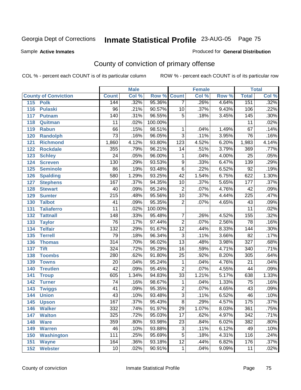Sample **Active Inmates**

### Produced for **General Distribution**

# County of conviction of primary offense

|                             |                  | <b>Male</b> |         |                 | <b>Female</b> |       |                  | <b>Total</b> |
|-----------------------------|------------------|-------------|---------|-----------------|---------------|-------|------------------|--------------|
| <b>County of Conviction</b> | <b>Count</b>     | Col %       | Row %   | <b>Count</b>    | Col %         | Row % | <b>Total</b>     | Col %        |
| 115<br><b>Polk</b>          | 144              | .32%        | 95.36%  | $\overline{7}$  | .26%          | 4.64% | 151              | .32%         |
| 116<br><b>Pulaski</b>       | 96               | .21%        | 90.57%  | 10              | .37%          | 9.43% | 106              | .22%         |
| 117<br><b>Putnam</b>        | 140              | .31%        | 96.55%  | $\overline{5}$  | .18%          | 3.45% | 145              | .30%         |
| 118<br>Quitman              | 11               | .02%        | 100.00% |                 |               |       | 11               | .02%         |
| 119<br><b>Rabun</b>         | 66               | .15%        | 98.51%  | 1               | .04%          | 1.49% | 67               | .14%         |
| 120<br><b>Randolph</b>      | $\overline{73}$  | .16%        | 96.05%  | $\overline{3}$  | .11%          | 3.95% | $\overline{76}$  | .16%         |
| 121<br><b>Richmond</b>      | 1,860            | 4.12%       | 93.80%  | 123             | 4.52%         | 6.20% | 1,983            | 4.14%        |
| 122<br><b>Rockdale</b>      | 355              | .79%        | 96.21%  | 14              | .51%          | 3.79% | 369              | .77%         |
| 123<br><b>Schley</b>        | $\overline{24}$  | .05%        | 96.00%  | 1               | .04%          | 4.00% | $\overline{25}$  | .05%         |
| 124<br><b>Screven</b>       | 130              | .29%        | 93.53%  | $\overline{9}$  | .33%          | 6.47% | 139              | .29%         |
| <b>Seminole</b><br>125      | 86               | .19%        | 93.48%  | $\overline{6}$  | .22%          | 6.52% | $\overline{92}$  | .19%         |
| 126<br><b>Spalding</b>      | 580              | 1.29%       | 93.25%  | $\overline{42}$ | 1.54%         | 6.75% | 622              | 1.30%        |
| 127<br><b>Stephens</b>      | 167              | .37%        | 94.35%  | 10              | .37%          | 5.65% | 177              | .37%         |
| 128<br><b>Stewart</b>       | 40               | .09%        | 95.24%  | $\overline{2}$  | .07%          | 4.76% | $\overline{42}$  | .09%         |
| 129<br><b>Sumter</b>        | $\overline{215}$ | .48%        | 95.56%  | $\overline{10}$ | .37%          | 4.44% | $\overline{225}$ | .47%         |
| <b>Talbot</b><br>130        | 41               | .09%        | 95.35%  | $\overline{2}$  | .07%          | 4.65% | 43               | .09%         |
| 131<br><b>Taliaferro</b>    | $\overline{11}$  | .02%        | 100.00% |                 |               |       | $\overline{11}$  | .02%         |
| <b>Tattnall</b><br>132      | $\overline{148}$ | .33%        | 95.48%  | $\overline{7}$  | .26%          | 4.52% | 155              | .32%         |
| 133<br><b>Taylor</b>        | 76               | .17%        | 97.44%  | $\overline{2}$  | .07%          | 2.56% | 78               | .16%         |
| <b>Telfair</b><br>134       | $\overline{132}$ | .29%        | 91.67%  | $\overline{12}$ | .44%          | 8.33% | 144              | .30%         |
| 135<br><b>Terrell</b>       | $\overline{79}$  | .18%        | 96.34%  | $\overline{3}$  | .11%          | 3.66% | $\overline{82}$  | .17%         |
| 136<br><b>Thomas</b>        | $\overline{314}$ | .70%        | 96.02%  | $\overline{13}$ | .48%          | 3.98% | $\overline{327}$ | .68%         |
| 137<br><b>Tift</b>          | 324              | .72%        | 95.29%  | $\overline{16}$ | .59%          | 4.71% | $\overline{340}$ | .71%         |
| <b>Toombs</b><br>138        | 280              | .62%        | 91.80%  | 25              | .92%          | 8.20% | 305              | .64%         |
| 139<br><b>Towns</b>         | $\overline{20}$  | .04%        | 95.24%  | 1               | .04%          | 4.76% | $\overline{21}$  | .04%         |
| <b>Treutlen</b><br>140      | $\overline{42}$  | .09%        | 95.45%  | $\overline{2}$  | .07%          | 4.55% | 44               | .09%         |
| 141<br><b>Troup</b>         | 605              | 1.34%       | 94.83%  | $\overline{33}$ | 1.21%         | 5.17% | 638              | 1.33%        |
| 142<br><b>Turner</b>        | 74               | .16%        | 98.67%  | 1               | .04%          | 1.33% | $\overline{75}$  | .16%         |
| 143<br><b>Twiggs</b>        | $\overline{41}$  | .09%        | 95.35%  | $\overline{2}$  | .07%          | 4.65% | 43               | .09%         |
| 144<br><b>Union</b>         | $\overline{43}$  | .10%        | 93.48%  | $\overline{3}$  | .11%          | 6.52% | 46               | .10%         |
| 145<br><b>Upson</b>         | 167              | .37%        | 95.43%  | $\overline{8}$  | .29%          | 4.57% | 175              | .37%         |
| 146<br><b>Walker</b>        | 332              | .74%        | 91.97%  | 29              | 1.07%         | 8.03% | 361              | .75%         |
| 147<br><b>Walton</b>        | 325              | .72%        | 95.03%  | $\overline{17}$ | .62%          | 4.97% | $\overline{342}$ | .71%         |
| 148<br><b>Ware</b>          | 359              | .80%        | 93.98%  | $\overline{23}$ | .84%          | 6.02% | 382              | .80%         |
| <b>Warren</b><br>149        | 46               | .10%        | 93.88%  | 3               | .11%          | 6.12% | 49               | .10%         |
| <b>Washington</b><br>150    | 111              | .25%        | 95.69%  | 5               | .18%          | 4.31% | 116              | .24%         |
| 151<br><b>Wayne</b>         | 164              | .36%        | 93.18%  | $\overline{12}$ | .44%          | 6.82% | 176              | .37%         |
| <b>Webster</b><br>152       | 10               | .02%        | 90.91%  | $\mathbf{1}$    | .04%          | 9.09% | 11               | .02%         |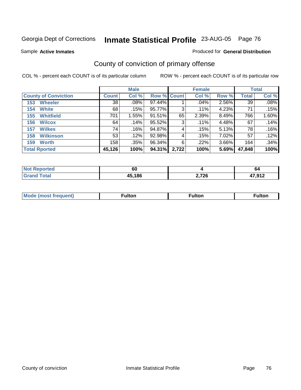Sample **Active Inmates**

#### Produced for **General Distribution**

# County of conviction of primary offense

|                             |              | <b>Male</b> |             |       | <b>Female</b> |       |        | <b>Total</b> |
|-----------------------------|--------------|-------------|-------------|-------|---------------|-------|--------|--------------|
| <b>County of Conviction</b> | <b>Count</b> | Col %       | Row % Count |       | Col %         | Row % | Total  | Col %        |
| <b>Wheeler</b><br>153       | 38           | $.08\%$     | 97.44%      |       | .04%          | 2.56% | 39     | .08%         |
| <b>White</b><br>154         | 68           | .15%        | 95.77%      | 3     | $.11\%$       | 4.23% | 71     | .15%         |
| <b>Whitfield</b><br>155     | 701          | 1.55%       | 91.51%      | 65    | 2.39%         | 8.49% | 766    | 1.60%        |
| <b>Wilcox</b><br>156        | 64           | .14%        | 95.52%      | 3     | .11%          | 4.48% | 67     | .14%         |
| <b>Wilkes</b><br>157        | 74           | $.16\%$     | 94.87%      | 4     | .15%          | 5.13% | 78     | .16%         |
| <b>Wilkinson</b><br>158     | 53           | .12%        | 92.98%      | 4     | .15%          | 7.02% | 57     | .12%         |
| <b>Worth</b><br>159         | 158          | .35%        | 96.34%      | 6     | $.22\%$       | 3.66% | 164    | .34%         |
| <b>Total Rported</b>        | 45,126       | 100%        | 94.31%      | 2,722 | 100%          | 5.69% | 47,848 | 100%         |

| <b>Not Reported</b>   | $\sim$<br>υι |       | O4               |
|-----------------------|--------------|-------|------------------|
| $f \wedge f \wedge f$ | 45,186       | 2,726 | 17 Q12<br>.J I 4 |

| Mode<br>eauent)<br>nost | ∙ulton | ⊺ulton | <b>ulton</b> |
|-------------------------|--------|--------|--------------|
|                         |        |        |              |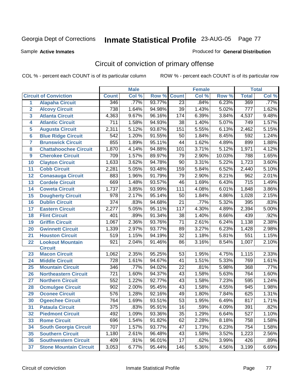Sample **Active Inmates**

#### Produced for **General Distribution**

# Circuit of conviction of primary offense

|                  |                               |                  | <b>Male</b> |        |                  | <b>Female</b> |        |                  | <b>Total</b> |
|------------------|-------------------------------|------------------|-------------|--------|------------------|---------------|--------|------------------|--------------|
|                  | <b>Circuit of Conviction</b>  | <b>Count</b>     | Col %       | Row %  | <b>Count</b>     | Col %         | Row %  | <b>Total</b>     | Col %        |
| $\mathbf{1}$     | <b>Alapaha Circuit</b>        | 346              | .77%        | 93.77% | $\overline{23}$  | .84%          | 6.23%  | 369              | .77%         |
| $\overline{2}$   | <b>Alcovy Circuit</b>         | 738              | 1.64%       | 94.98% | 39               | 1.43%         | 5.02%  | $\overline{777}$ | 1.62%        |
| 3                | <b>Atlanta Circuit</b>        | 4,363            | 9.67%       | 96.16% | 174              | 6.39%         | 3.84%  | 4,537            | 9.48%        |
| 4                | <b>Atlantic Circuit</b>       | 711              | 1.58%       | 94.93% | 38               | 1.40%         | 5.07%  | 749              | 1.57%        |
| 5                | <b>Augusta Circuit</b>        | 2,311            | 5.12%       | 93.87% | 151              | 5.55%         | 6.13%  | 2,462            | 5.15%        |
| $6\phantom{a}$   | <b>Blue Ridge Circuit</b>     | 542              | 1.20%       | 91.55% | 50               | 1.84%         | 8.45%  | 592              | 1.24%        |
| 7                | <b>Brunswick Circuit</b>      | 855              | 1.89%       | 95.11% | 44               | 1.62%         | 4.89%  | 899              | 1.88%        |
| 8                | <b>Chattahoochee Circuit</b>  | 1,870            | 4.14%       | 94.88% | 101              | 3.71%         | 5.12%  | 1,971            | 4.12%        |
| $\boldsymbol{9}$ | <b>Cherokee Circuit</b>       | 709              | 1.57%       | 89.97% | 79               | 2.90%         | 10.03% | 788              | 1.65%        |
| 10               | <b>Clayton Circuit</b>        | 1,633            | 3.62%       | 94.78% | 90               | 3.31%         | 5.22%  | 1,723            | 3.60%        |
| 11               | <b>Cobb Circuit</b>           | 2,281            | 5.05%       | 93.48% | 159              | 5.84%         | 6.52%  | 2,440            | 5.10%        |
| 12               | <b>Conasauga Circuit</b>      | 883              | 1.96%       | 91.79% | 79               | 2.90%         | 8.21%  | 962              | 2.01%        |
| 13               | <b>Cordele Circuit</b>        | 669              | 1.48%       | 93.57% | 46               | 1.69%         | 6.43%  | $\overline{715}$ | 1.49%        |
| 14               | <b>Coweta Circuit</b>         | 1,737            | 3.85%       | 93.99% | 111              | 4.08%         | 6.01%  | 1,848            | 3.86%        |
| 15               | <b>Dougherty Circuit</b>      | 978              | 2.17%       | 95.14% | 50               | 1.84%         | 4.86%  | 1,028            | 2.15%        |
| 16               | <b>Dublin Circuit</b>         | 374              | .83%        | 94.68% | 21               | .77%          | 5.32%  | 395              | .83%         |
| 17               | <b>Eastern Circuit</b>        | 2,277            | 5.05%       | 95.11% | $\overline{117}$ | 4.30%         | 4.89%  | 2,394            | 5.00%        |
| 18               | <b>Flint Circuit</b>          | 401              | .89%        | 91.34% | 38               | 1.40%         | 8.66%  | 439              | .92%         |
| 19               | <b>Griffin Circuit</b>        | 1,067            | 2.36%       | 93.76% | 71               | 2.61%         | 6.24%  | 1,138            | 2.38%        |
| 20               | <b>Gwinnett Circuit</b>       | 1,339            | 2.97%       | 93.77% | 89               | 3.27%         | 6.23%  | 1,428            | 2.98%        |
| 21               | <b>Houston Circuit</b>        | 519              | 1.15%       | 94.19% | $\overline{32}$  | 1.18%         | 5.81%  | 551              | 1.15%        |
| 22               | <b>Lookout Mountain</b>       | 921              | 2.04%       | 91.46% | 86               | 3.16%         | 8.54%  | 1,007            | 2.10%        |
|                  | <b>Circuit</b>                |                  |             |        |                  |               |        |                  |              |
| 23               | <b>Macon Circuit</b>          | 1,062            | 2.35%       | 95.25% | 53               | 1.95%         | 4.75%  | 1,115            | 2.33%        |
| 24               | <b>Middle Circuit</b>         | $\overline{728}$ | 1.61%       | 94.67% | 41               | 1.51%         | 5.33%  | 769              | 1.61%        |
| 25               | <b>Mountain Circuit</b>       | 346              | .77%        | 94.02% | 22               | .81%          | 5.98%  | 368              | .77%         |
| 26               | <b>Northeastern Circuit</b>   | $\overline{721}$ | 1.60%       | 94.37% | 43               | 1.58%         | 5.63%  | 764              | 1.60%        |
| 27               | <b>Northern Circuit</b>       | 552              | 1.22%       | 92.77% | 43               | 1.58%         | 7.23%  | 595              | 1.24%        |
| 28               | <b>Ocmulgee Circuit</b>       | 902              | 2.00%       | 95.45% | 43               | 1.58%         | 4.55%  | 945              | 1.98%        |
| 29               | <b>Oconee Circuit</b>         | 576              | 1.28%       | 92.16% | 49               | 1.80%         | 7.84%  | 625              | 1.31%        |
| 30               | <b>Ogeechee Circuit</b>       | 764              | 1.69%       | 93.51% | 53               | 1.95%         | 6.49%  | 817              | 1.71%        |
| 31               | <b>Pataula Circuit</b>        | $\overline{375}$ | .83%        | 95.91% | $\overline{16}$  | .59%          | 4.09%  | 391              | .82%         |
| 32               | <b>Piedmont Circuit</b>       | 492              | 1.09%       | 93.36% | 35               | 1.29%         | 6.64%  | 527              | 1.10%        |
| 33               | <b>Rome Circuit</b>           | 696              | 1.54%       | 91.82% | 62               | 2.28%         | 8.18%  | 758              | 1.58%        |
| 34               | <b>South Georgia Circuit</b>  | 707              | 1.57%       | 93.77% | 47               | 1.73%         | 6.23%  | 754              | 1.58%        |
| 35               | <b>Southern Circuit</b>       | 1,180            | 2.61%       | 96.48% | 43               | 1.58%         | 3.52%  | 1,223            | 2.56%        |
| 36               | <b>Southwestern Circuit</b>   | 409              | .91%        | 96.01% | 17               | .62%          | 3.99%  | 426              | .89%         |
| 37               | <b>Stone Mountain Circuit</b> | 3,053            | 6.77%       | 95.44% | 146              | 5.36%         | 4.56%  | 3,199            | 6.69%        |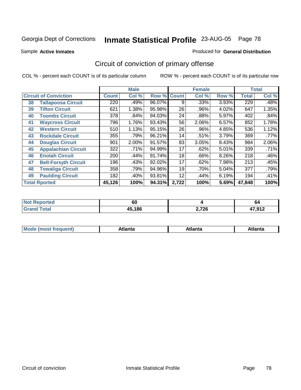Sample **Active Inmates**

#### Produced for **General Distribution**

# Circuit of conviction of primary offense

|    |                              |              | <b>Male</b> |                    |       | <b>Female</b> |       |              | <b>Total</b> |
|----|------------------------------|--------------|-------------|--------------------|-------|---------------|-------|--------------|--------------|
|    | <b>Circuit of Conviction</b> | <b>Count</b> | Col %       | <b>Row % Count</b> |       | Col %         | Row % | <b>Total</b> | Col %        |
| 38 | <b>Tallapoosa Circuit</b>    | 220          | .49%        | 96.07%             | 9     | .33%          | 3.93% | 229          | .48%         |
| 39 | <b>Tifton Circuit</b>        | 621          | 1.38%       | 95.98%             | 26    | .96%          | 4.02% | 647          | 1.35%        |
| 40 | <b>Toombs Circuit</b>        | 378          | $.84\%$     | 94.03%             | 24    | .88%          | 5.97% | 402          | .84%         |
| 41 | <b>Waycross Circuit</b>      | 796          | 1.76%       | 93.43%             | 56    | 2.06%         | 6.57% | 852          | 1.78%        |
| 42 | <b>Western Circuit</b>       | 510          | 1.13%       | 95.15%             | 26    | .96%          | 4.85% | 536          | 1.12%        |
| 43 | <b>Rockdale Circuit</b>      | 355          | .79%        | 96.21%             | 14    | .51%          | 3.79% | 369          | $.77\%$      |
| 44 | <b>Douglas Circuit</b>       | 901          | 2.00%       | 91.57%             | 83    | 3.05%         | 8.43% | 984          | 2.06%        |
| 45 | <b>Appalachian Circuit</b>   | 322          | .71%        | 94.99%             | 17    | .62%          | 5.01% | 339          | .71%         |
| 46 | <b>Enotah Circuit</b>        | 200          | .44%        | 91.74%             | 18    | .66%          | 8.26% | 218          | .46%         |
| 47 | <b>Bell-Forsyth Circuit</b>  | 196          | .43%        | 92.02%             | 17    | .62%          | 7.98% | 213          | .45%         |
| 48 | <b>Towaliga Circuit</b>      | 358          | .79%        | 94.96%             | 19    | .70%          | 5.04% | 377          | .79%         |
| 49 | <b>Paulding Circuit</b>      | 182          | .40%        | 93.81%             | 12    | .44%          | 6.19% | 194          | .41%         |
|    | <b>Total Rported</b>         | 45,126       | 100%        | 94.31%             | 2,722 | 100%          | 5.69% | 47,848       | 100%         |

| rtea<br>NOT<br> | - -<br>υı |       | O4              |
|-----------------|-----------|-------|-----------------|
|                 | 45,186    | 2,726 | 17012<br>,J I 4 |

| M | ---<br><b><i><u>Property and the second second</u></i></b> | ˈanta | ---<br>Alidiild |
|---|------------------------------------------------------------|-------|-----------------|
|   |                                                            |       |                 |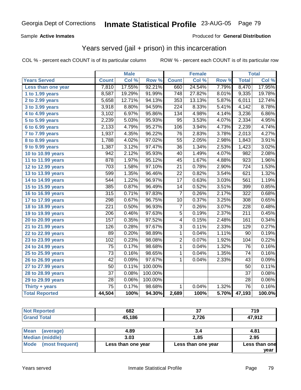### Sample **Active Inmates**

### Produced for **General Distribution**

### Years served (jail + prison) in this incarceration

|                              |                  | <b>Male</b> |         |                  | <b>Female</b> |       |                  | <b>Total</b> |
|------------------------------|------------------|-------------|---------|------------------|---------------|-------|------------------|--------------|
| <b>Years Served</b>          | <b>Count</b>     | Col %       | Row %   | <b>Count</b>     | Col %         | Row % | <b>Total</b>     | Col %        |
| Less than one year           | 7,810            | 17.55%      | 92.21%  | 660              | 24.54%        | 7.79% | 8,470            | 17.95%       |
| 1 to 1.99 years              | 8,587            | 19.29%      | 91.99%  | 748              | 27.82%        | 8.01% | 9,335            | 19.78%       |
| 2 to 2.99 years              | 5,658            | 12.71%      | 94.13%  | 353              | 13.13%        | 5.87% | 6,011            | 12.74%       |
| 3 to 3.99 years              | 3,918            | 8.80%       | 94.59%  | $\overline{224}$ | 8.33%         | 5.41% | 4,142            | 8.78%        |
| $\overline{4}$ to 4.99 years | 3,102            | 6.97%       | 95.86%  | 134              | 4.98%         | 4.14% | 3,236            | 6.86%        |
| 5 to 5.99 years              | 2,239            | 5.03%       | 95.93%  | 95               | 3.53%         | 4.07% | 2,334            | 4.95%        |
| 6 to 6.99 years              | 2,133            | 4.79%       | 95.27%  | 106              | 3.94%         | 4.73% | 2,239            | 4.74%        |
| $\overline{7}$ to 7.99 years | 1,937            | 4.35%       | 96.22%  | 76               | 2.83%         | 3.78% | 2,013            | 4.27%        |
| 8 to 8.99 years              | 1,788            | 4.02%       | 97.02%  | $\overline{55}$  | 2.05%         | 2.98% | 1,843            | 3.91%        |
| 9 to 9.99 years              | 1,387            | 3.12%       | 97.47%  | $\overline{36}$  | 1.34%         | 2.53% | 1,423            | 3.02%        |
| 10 to 10.99 years            | 942              | 2.12%       | 95.93%  | 40               | 1.49%         | 4.07% | $\overline{982}$ | 2.08%        |
| 11 to 11.99 years            | 878              | 1.97%       | 95.12%  | $\overline{45}$  | 1.67%         | 4.88% | 923              | 1.96%        |
| 12 to 12.99 years            | $\overline{703}$ | 1.58%       | 97.10%  | $\overline{21}$  | 0.78%         | 2.90% | $\overline{724}$ | 1.53%        |
| 13 to 13.99 years            | 599              | 1.35%       | 96.46%  | $\overline{22}$  | 0.82%         | 3.54% | 621              | 1.32%        |
| 14 to 14.99 years            | 544              | 1.22%       | 96.97%  | $\overline{17}$  | 0.63%         | 3.03% | 561              | 1.19%        |
| 15 to 15.99 years            | 385              | 0.87%       | 96.49%  | 14               | 0.52%         | 3.51% | 399              | 0.85%        |
| 16 to 16.99 years            | 315              | 0.71%       | 97.83%  | $\overline{7}$   | 0.26%         | 2.17% | $\overline{322}$ | 0.68%        |
| 17 to 17.99 years            | 298              | 0.67%       | 96.75%  | 10               | 0.37%         | 3.25% | $\overline{308}$ | 0.65%        |
| 18 to 18.99 years            | 221              | 0.50%       | 96.93%  | $\overline{7}$   | 0.26%         | 3.07% | $\overline{228}$ | 0.48%        |
| 19 to 19.99 years            | 206              | 0.46%       | 97.63%  | $\overline{5}$   | 0.19%         | 2.37% | $\overline{211}$ | 0.45%        |
| 20 to 20.99 years            | 157              | 0.35%       | 97.52%  | $\overline{4}$   | 0.15%         | 2.48% | 161              | 0.34%        |
| 21 to 21.99 years            | 126              | 0.28%       | 97.67%  | $\overline{3}$   | 0.11%         | 2.33% | 129              | 0.27%        |
| 22 to 22.99 years            | 89               | 0.20%       | 98.89%  | $\mathbf{1}$     | 0.04%         | 1.11% | $\overline{90}$  | 0.19%        |
| 23 to 23.99 years            | 102              | 0.23%       | 98.08%  | $\overline{2}$   | 0.07%         | 1.92% | 104              | 0.22%        |
| 24 to 24.99 years            | 75               | 0.17%       | 98.68%  | $\mathbf{1}$     | 0.04%         | 1.32% | $\overline{76}$  | 0.16%        |
| 25 to 25.99 years            | 73               | 0.16%       | 98.65%  | $\mathbf{1}$     | 0.04%         | 1.35% | 74               | 0.16%        |
| 26 to 26.99 years            | 42               | 0.09%       | 97.67%  | 1                | 0.04%         | 2.33% | 43               | 0.09%        |
| 27 to 27.99 years            | $\overline{50}$  | 0.11%       | 100.00% |                  |               |       | 50               | 0.11%        |
| 28 to 28.99 years            | $\overline{37}$  | 0.08%       | 100.00% |                  |               |       | $\overline{37}$  | 0.08%        |
| 29 to 29.99 years            | $\overline{28}$  | 0.06%       | 100.00% |                  |               |       | 28               | 0.06%        |
| Thirty + years               | $\overline{75}$  | 0.17%       | 98.68%  | $\mathbf{1}$     | 0.04%         | 1.32% | $\overline{76}$  | 0.16%        |
| <b>Total Reported</b>        | 44,504           | 100%        | 94.30%  | 2,689            | 100%          | 5.70% | 47,193           | 100.0%       |

| rted      | 682    | $-$            | 740                        |
|-----------|--------|----------------|----------------------------|
| NO.       |        | ູ              | .                          |
| $\sim$ 40 | 45,186 | つ フつに<br>4,140 | 17 Q12<br>л<br><b>ے</b> ات |

| Mean<br>(average)    | 4.89               | 3.4                | 4.81          |
|----------------------|--------------------|--------------------|---------------|
| Median (middle)      | 3.03               | 1.85               | 2.95          |
| Mode (most frequent) | Less than one year | Less than one year | Less than one |
|                      |                    |                    | vear          |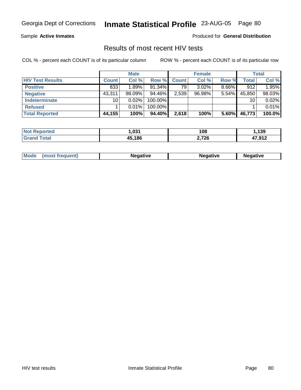Sample **Active Inmates**

Produced for **General Distribution**

### Results of most recent HIV tests

|                         |              | <b>Male</b> |           |              | <b>Female</b> |          |        | Total  |
|-------------------------|--------------|-------------|-----------|--------------|---------------|----------|--------|--------|
| <b>HIV Test Results</b> | <b>Count</b> | Col %       | Row %     | <b>Count</b> | Col %         | Row %    | Total  | Col %  |
| <b>Positive</b>         | 833          | 1.89%       | $91.34\%$ | 79           | $3.02\%$      | $8.66\%$ | 912    | 1.95%  |
| <b>Negative</b>         | 43,311       | $98.09\%$   | 94.46%    | 2,539        | 96.98%        | $5.54\%$ | 45,850 | 98.03% |
| Indeterminate           | 10           | $0.02\%$    | 100.00%   |              |               |          | 10     | 0.02%  |
| <b>Refused</b>          |              | 0.01%       | 100.00%   |              |               |          |        | 0.01%  |
| <b>Total Reported</b>   | 44,155       | 100%        | 94.40%    | 2,618        | 100%          | 5.60%    | 46,773 | 100.0% |

| <b>Not</b><br><b>Reported</b> | ,031   | 108   | ,139             |
|-------------------------------|--------|-------|------------------|
| <b>Total</b><br>'Grand        | 45.186 | 2,726 | 17 Q12<br>.J I 4 |

| <b>Mode</b><br>Negative<br>Negative<br>eative<br>. |
|----------------------------------------------------|
|----------------------------------------------------|